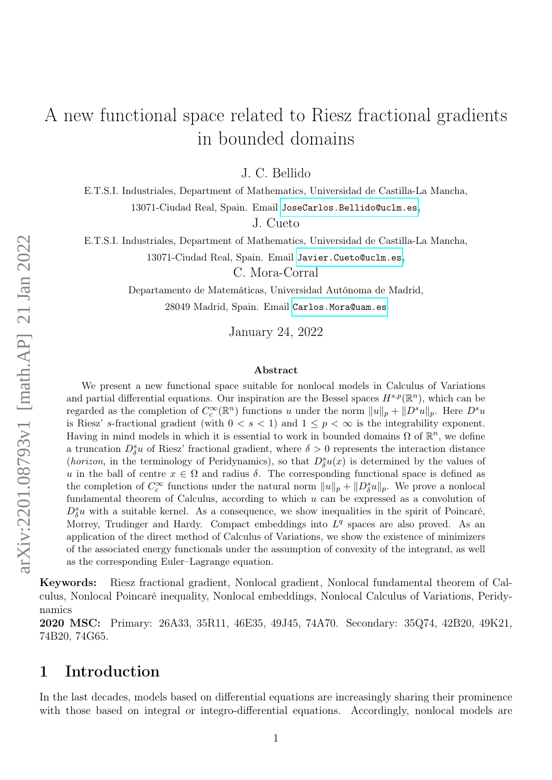# <span id="page-0-0"></span>A new functional space related to Riesz fractional gradients in bounded domains

J. C. Bellido

E.T.S.I. Industriales, Department of Mathematics, Universidad de Castilla-La Mancha, 13071-Ciudad Real, Spain. Email <JoseCarlos.Bellido@uclm.es>,

J. Cueto

E.T.S.I. Industriales, Department of Mathematics, Universidad de Castilla-La Mancha,

13071-Ciudad Real, Spain. Email <Javier.Cueto@uclm.es>,

C. Mora-Corral

Departamento de Matemáticas, Universidad Autónoma de Madrid, 28049 Madrid, Spain. Email <Carlos.Mora@uam.es>

January 24, 2022

#### Abstract

We present a new functional space suitable for nonlocal models in Calculus of Variations and partial differential equations. Our inspiration are the Bessel spaces  $H^{s,p}(\mathbb{R}^n)$ , which can be regarded as the completion of  $C_c^{\infty}(\mathbb{R}^n)$  functions u under the norm  $||u||_p + ||D^s u||_p$ . Here  $D^s u$ is Riesz' s-fractional gradient (with  $0 < s < 1$ ) and  $1 \le p < \infty$  is the integrability exponent. Having in mind models in which it is essential to work in bounded domains  $\Omega$  of  $\mathbb{R}^n$ , we define a truncation  $D_{\delta}^{s}u$  of Riesz' fractional gradient, where  $\delta > 0$  represents the interaction distance (*horizon*, in the terminology of Peridynamics), so that  $D^s_\delta u(x)$  is determined by the values of u in the ball of centre  $x \in \Omega$  and radius  $\delta$ . The corresponding functional space is defined as the completion of  $C_c^{\infty}$  functions under the natural norm  $||u||_p + ||D_{\delta}^s u||_p$ . We prove a nonlocal fundamental theorem of Calculus, according to which  $u$  can be expressed as a convolution of  $D^s_{\delta}$ u with a suitable kernel. As a consequence, we show inequalities in the spirit of Poincaré, Morrey, Trudinger and Hardy. Compact embeddings into  $L<sup>q</sup>$  spaces are also proved. As an application of the direct method of Calculus of Variations, we show the existence of minimizers of the associated energy functionals under the assumption of convexity of the integrand, as well as the corresponding Euler–Lagrange equation.

Keywords: Riesz fractional gradient, Nonlocal gradient, Nonlocal fundamental theorem of Calculus, Nonlocal Poincaré inequality, Nonlocal embeddings, Nonlocal Calculus of Variations, Peridynamics

2020 MSC: Primary: 26A33, 35R11, 46E35, 49J45, 74A70. Secondary: 35Q74, 42B20, 49K21, 74B20, 74G65.

## 1 Introduction

In the last decades, models based on differential equations are increasingly sharing their prominence with those based on integral or integro-differential equations. Accordingly, nonlocal models are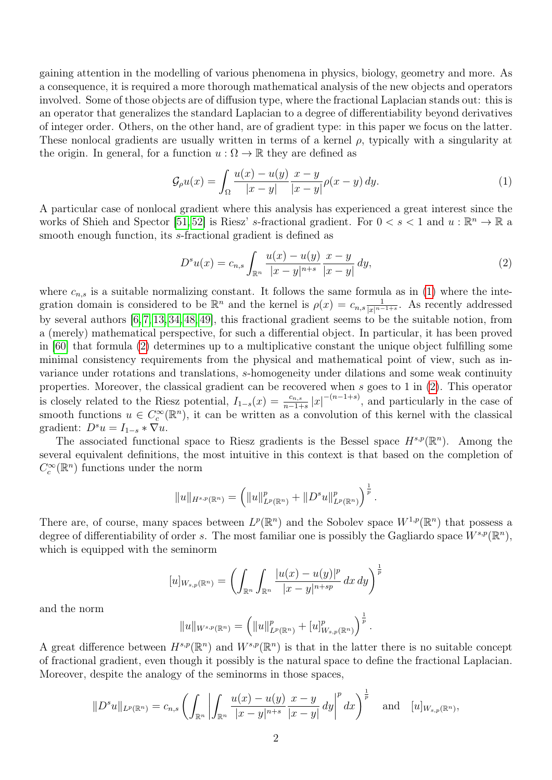gaining attention in the modelling of various phenomena in physics, biology, geometry and more. As a consequence, it is required a more thorough mathematical analysis of the new objects and operators involved. Some of those objects are of diffusion type, where the fractional Laplacian stands out: this is an operator that generalizes the standard Laplacian to a degree of differentiability beyond derivatives of integer order. Others, on the other hand, are of gradient type: in this paper we focus on the latter. These nonlocal gradients are usually written in terms of a kernel  $\rho$ , typically with a singularity at the origin. In general, for a function  $u : \Omega \to \mathbb{R}$  they are defined as

<span id="page-1-0"></span>
$$
\mathcal{G}_{\rho}u(x) = \int_{\Omega} \frac{u(x) - u(y)}{|x - y|} \frac{x - y}{|x - y|} \rho(x - y) dy.
$$
 (1)

A particular case of nonlocal gradient where this analysis has experienced a great interest since the works of Shieh and Spector [\[51,](#page-46-0) [52\]](#page-47-0) is Riesz' s-fractional gradient. For  $0 < s < 1$  and  $u : \mathbb{R}^n \to \mathbb{R}$  a smooth enough function, its s-fractional gradient is defined as

<span id="page-1-1"></span>
$$
D^{s}u(x) = c_{n,s} \int_{\mathbb{R}^n} \frac{u(x) - u(y)}{|x - y|^{n+s}} \frac{x - y}{|x - y|} dy,
$$
\n(2)

where  $c_{n,s}$  is a suitable normalizing constant. It follows the same formula as in [\(1\)](#page-1-0) where the integration domain is considered to be  $\mathbb{R}^n$  and the kernel is  $\rho(x) = c_{n,s} \frac{1}{|x|^{n-s}}$  $\frac{1}{|x|^{n-1+s}}$ . As recently addressed by several authors [\[6,](#page-44-0) [7,](#page-44-1) [13,](#page-44-2) [34,](#page-46-1) [48,](#page-46-2) [49\]](#page-46-3), this fractional gradient seems to be the suitable notion, from a (merely) mathematical perspective, for such a differential object. In particular, it has been proved in [\[60\]](#page-47-1) that formula [\(2\)](#page-1-1) determines up to a multiplicative constant the unique object fulfilling some minimal consistency requirements from the physical and mathematical point of view, such as invariance under rotations and translations, s-homogeneity under dilations and some weak continuity properties. Moreover, the classical gradient can be recovered when s goes to 1 in [\(2\)](#page-1-1). This operator is closely related to the Riesz potential,  $I_{1-s}(x) = \frac{c_{n,s}}{n-1+s} |x|^{-(n-1+s)}$ , and particularly in the case of smooth functions  $u \in C_c^{\infty}(\mathbb{R}^n)$ , it can be written as a convolution of this kernel with the classical gradient:  $D^s u = I_{1-s} * \nabla u$ .

The associated functional space to Riesz gradients is the Bessel space  $H^{s,p}(\mathbb{R}^n)$ . Among the several equivalent definitions, the most intuitive in this context is that based on the completion of  $C_c^{\infty}(\mathbb{R}^n)$  functions under the norm

$$
||u||_{H^{s,p}(\mathbb{R}^n)} = \left(||u||^p_{L^p(\mathbb{R}^n)} + ||D^s u||^p_{L^p(\mathbb{R}^n)}\right)^{\frac{1}{p}}.
$$

There are, of course, many spaces between  $L^p(\mathbb{R}^n)$  and the Sobolev space  $W^{1,p}(\mathbb{R}^n)$  that possess a degree of differentiability of order s. The most familiar one is possibly the Gagliardo space  $W^{s,p}(\mathbb{R}^n)$ , which is equipped with the seminorm

$$
[u]_{W_{s,p}(\mathbb{R}^n)} = \left( \int_{\mathbb{R}^n} \int_{\mathbb{R}^n} \frac{|u(x) - u(y)|^p}{|x - y|^{n + sp}} \, dx \, dy \right)^{\frac{1}{p}}
$$

and the norm

$$
||u||_{W^{s,p}(\mathbb{R}^n)} = (||u||^p_{L^p(\mathbb{R}^n)} + [u]^p_{W_{s,p}(\mathbb{R}^n)})^{\frac{1}{p}}.
$$

A great difference between  $H^{s,p}(\mathbb{R}^n)$  and  $W^{s,p}(\mathbb{R}^n)$  is that in the latter there is no suitable concept of fractional gradient, even though it possibly is the natural space to define the fractional Laplacian. Moreover, despite the analogy of the seminorms in those spaces,

$$
||D^s u||_{L^p(\mathbb{R}^n)} = c_{n,s} \left( \int_{\mathbb{R}^n} \left| \int_{\mathbb{R}^n} \frac{u(x) - u(y)}{|x - y|^{n+s}} \frac{x - y}{|x - y|} dy \right|^p dx \right)^{\frac{1}{p}} \text{ and } [u]_{W_{s,p}(\mathbb{R}^n)},
$$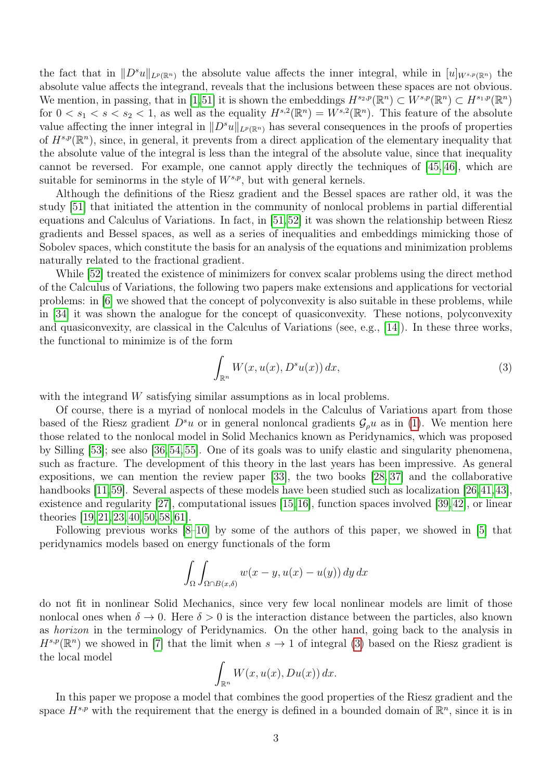the fact that in  $||D^s u||_{L^p(\mathbb{R}^n)}$  the absolute value affects the inner integral, while in  $[u]_{W^{s,p}(\mathbb{R}^n)}$  the absolute value affects the integrand, reveals that the inclusions between these spaces are not obvious. We mention, in passing, that in [\[1,](#page-44-3)[51\]](#page-46-0) it is shown the embeddings  $H^{s_2,p}(\mathbb{R}^n) \subset W^{s,p}(\mathbb{R}^n) \subset H^{s_1,p}(\mathbb{R}^n)$ for  $0 < s_1 < s < s_2 < 1$ , as well as the equality  $H^{s,2}(\mathbb{R}^n) = W^{s,2}(\mathbb{R}^n)$ . This feature of the absolute value affecting the inner integral in  $||D^s u||_{L^p(\mathbb{R}^n)}$  has several consequences in the proofs of properties of  $H^{s,p}(\mathbb{R}^n)$ , since, in general, it prevents from a direct application of the elementary inequality that the absolute value of the integral is less than the integral of the absolute value, since that inequality cannot be reversed. For example, one cannot apply directly the techniques of [\[45,](#page-46-4) [46\]](#page-46-5), which are suitable for seminorms in the style of  $W^{s,p}$ , but with general kernels.

Although the definitions of the Riesz gradient and the Bessel spaces are rather old, it was the study [\[51\]](#page-46-0) that initiated the attention in the community of nonlocal problems in partial differential equations and Calculus of Variations. In fact, in [\[51,](#page-46-0)[52\]](#page-47-0) it was shown the relationship between Riesz gradients and Bessel spaces, as well as a series of inequalities and embeddings mimicking those of Sobolev spaces, which constitute the basis for an analysis of the equations and minimization problems naturally related to the fractional gradient.

While  $[52]$  treated the existence of minimizers for convex scalar problems using the direct method of the Calculus of Variations, the following two papers make extensions and applications for vectorial problems: in [\[6\]](#page-44-0) we showed that the concept of polyconvexity is also suitable in these problems, while in [\[34\]](#page-46-1) it was shown the analogue for the concept of quasiconvexity. These notions, polyconvexity and quasiconvexity, are classical in the Calculus of Variations (see, e.g., [\[14\]](#page-44-4)). In these three works, the functional to minimize is of the form

<span id="page-2-0"></span>
$$
\int_{\mathbb{R}^n} W(x, u(x), D^s u(x)) dx,
$$
\n(3)

with the integrand W satisfying similar assumptions as in local problems.

Of course, there is a myriad of nonlocal models in the Calculus of Variations apart from those based of the Riesz gradient  $D^s u$  or in general nonloncal gradients  $\mathcal{G}_{\rho}u$  as in [\(1\)](#page-1-0). We mention here those related to the nonlocal model in Solid Mechanics known as Peridynamics, which was proposed by Silling [\[53\]](#page-47-2); see also [\[36,](#page-46-6) [54,](#page-47-3) [55\]](#page-47-4). One of its goals was to unify elastic and singularity phenomena, such as fracture. The development of this theory in the last years has been impressive. As general expositions, we can mention the review paper [\[33\]](#page-45-0), the two books [\[28,](#page-45-1) [37\]](#page-46-7) and the collaborative handbooks [\[11,](#page-44-5)[59\]](#page-47-5). Several aspects of these models have been studied such as localization [\[26,](#page-45-2)[41,](#page-46-8)[43\]](#page-46-9), existence and regularity [\[27\]](#page-45-3), computational issues [\[15,](#page-44-6)[16\]](#page-44-7), function spaces involved [\[39,](#page-46-10)[42\]](#page-46-11), or linear theories [\[19,](#page-45-4) [21,](#page-45-5) [23,](#page-45-6) [40,](#page-46-12) [50,](#page-46-13) [58,](#page-47-6) [61\]](#page-47-7).

Following previous works [\[8–](#page-44-8)[10\]](#page-44-9) by some of the authors of this paper, we showed in [\[5\]](#page-44-10) that peridynamics models based on energy functionals of the form

$$
\int_{\Omega} \int_{\Omega \cap B(x,\delta)} w(x - y, u(x) - u(y)) dy dx
$$

do not fit in nonlinear Solid Mechanics, since very few local nonlinear models are limit of those nonlocal ones when  $\delta \to 0$ . Here  $\delta > 0$  is the interaction distance between the particles, also known as horizon in the terminology of Peridynamics. On the other hand, going back to the analysis in  $H^{s,p}(\mathbb{R}^n)$  we showed in [\[7\]](#page-44-1) that the limit when  $s \to 1$  of integral [\(3\)](#page-2-0) based on the Riesz gradient is the local model

$$
\int_{\mathbb{R}^n} W(x, u(x), Du(x)) dx.
$$

In this paper we propose a model that combines the good properties of the Riesz gradient and the space  $H^{s,p}$  with the requirement that the energy is defined in a bounded domain of  $\mathbb{R}^n$ , since it is in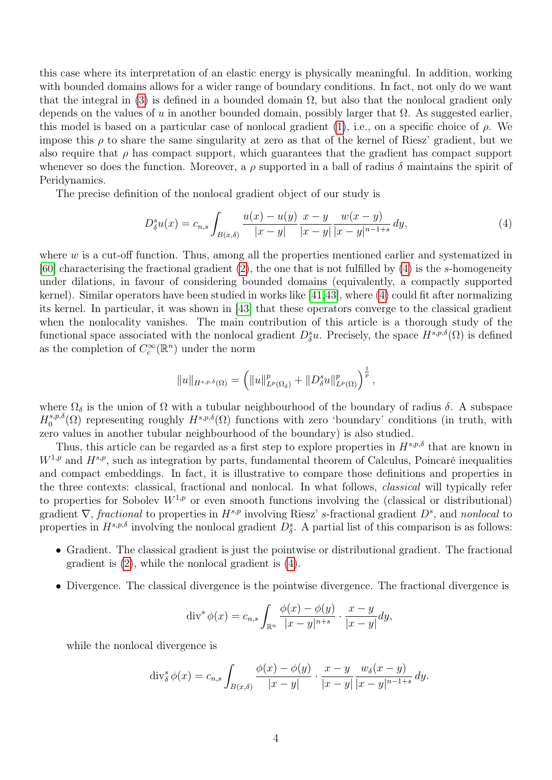this case where its interpretation of an elastic energy is physically meaningful. In addition, working with bounded domains allows for a wider range of boundary conditions. In fact, not only do we want that the integral in [\(3\)](#page-2-0) is defined in a bounded domain  $\Omega$ , but also that the nonlocal gradient only depends on the values of u in another bounded domain, possibly larger that  $\Omega$ . As suggested earlier, this model is based on a particular case of nonlocal gradient [\(1\)](#page-1-0), i.e., on a specific choice of  $\rho$ . We impose this  $\rho$  to share the same singularity at zero as that of the kernel of Riesz' gradient, but we also require that  $\rho$  has compact support, which guarantees that the gradient has compact support whenever so does the function. Moreover, a  $\rho$  supported in a ball of radius  $\delta$  maintains the spirit of Peridynamics.

The precise definition of the nonlocal gradient object of our study is

<span id="page-3-0"></span>
$$
D_{\delta}^{s}u(x) = c_{n,s} \int_{B(x,\delta)} \frac{u(x) - u(y)}{|x - y|} \frac{x - y}{|x - y|} \frac{w(x - y)}{|x - y|^{n - 1 + s}} dy,
$$
\n
$$
(4)
$$

where  $w$  is a cut-off function. Thus, among all the properties mentioned earlier and systematized in [\[60\]](#page-47-1) characterising the fractional gradient  $(2)$ , the one that is not fulfilled by  $(4)$  is the s-homogeneity under dilations, in favour of considering bounded domains (equivalently, a compactly supported kernel). Similar operators have been studied in works like [\[41,](#page-46-8)[43\]](#page-46-9), where [\(4\)](#page-3-0) could fit after normalizing its kernel. In particular, it was shown in [\[43\]](#page-46-9) that these operators converge to the classical gradient when the nonlocality vanishes. The main contribution of this article is a thorough study of the functional space associated with the nonlocal gradient  $D^s_{\delta}u$ . Precisely, the space  $H^{s,p,\delta}(\Omega)$  is defined as the completion of  $C_c^{\infty}(\mathbb{R}^n)$  under the norm

$$
||u||_{H^{s,p,\delta}(\Omega)} = \left(||u||_{L^p(\Omega_\delta)}^p + ||D_\delta^s u||_{L^p(\Omega)}^p\right)^{\frac{1}{p}},
$$

where  $\Omega_{\delta}$  is the union of  $\Omega$  with a tubular neighbourhood of the boundary of radius  $\delta$ . A subspace  $H_0^{s,p,\delta}$ <sup>s,p, $\delta(\Omega)$ </sup> representing roughly  $H^{s,p,\delta}(\Omega)$  functions with zero 'boundary' conditions (in truth, with zero values in another tubular neighbourhood of the boundary) is also studied.

Thus, this article can be regarded as a first step to explore properties in  $H^{s,p,\delta}$  that are known in  $W^{1,p}$  and  $H^{s,p}$ , such as integration by parts, fundamental theorem of Calculus, Poincaré inequalities and compact embeddings. In fact, it is illustrative to compare those definitions and properties in the three contexts: classical, fractional and nonlocal. In what follows, classical will typically refer to properties for Sobolev  $W^{1,p}$  or even smooth functions involving the (classical or distributional) gradient  $\nabla$ , fractional to properties in  $H^{s,p}$  involving Riesz' s-fractional gradient  $D^s$ , and nonlocal to properties in  $H^{s,p,\delta}$  involving the nonlocal gradient  $D^s_{\delta}$ . A partial list of this comparison is as follows:

- Gradient. The classical gradient is just the pointwise or distributional gradient. The fractional gradient is [\(2\)](#page-1-1), while the nonlocal gradient is [\(4\)](#page-3-0).
- Divergence. The classical divergence is the pointwise divergence. The fractional divergence is

$$
\operatorname{div}^s \phi(x) = c_{n,s} \int_{\mathbb{R}^n} \frac{\phi(x) - \phi(y)}{|x - y|^{n+s}} \cdot \frac{x - y}{|x - y|} dy,
$$

while the nonlocal divergence is

$$
\operatorname{div}_{\delta}^{s} \phi(x) = c_{n,s} \int_{B(x,\delta)} \frac{\phi(x) - \phi(y)}{|x - y|} \cdot \frac{x - y}{|x - y|} \frac{w_{\delta}(x - y)}{|x - y|^{n - 1 + s}} dy.
$$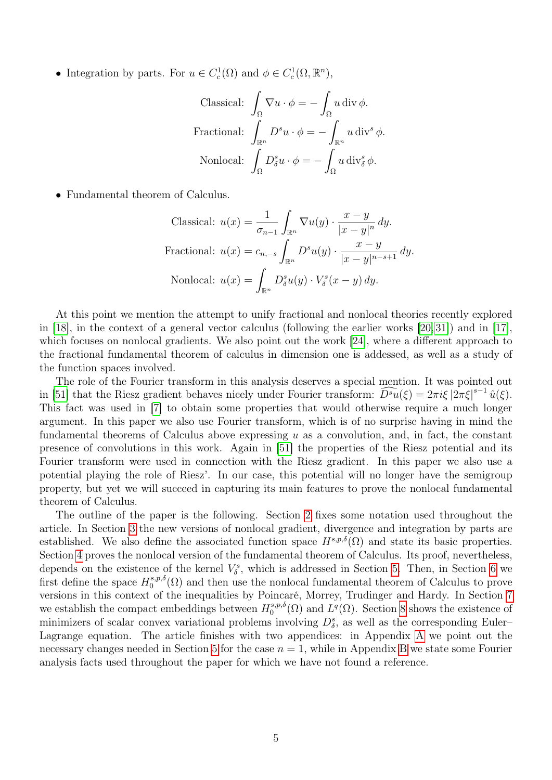• Integration by parts. For  $u \in C_c^1(\Omega)$  and  $\phi \in C_c^1(\Omega, \mathbb{R}^n)$ ,

Classical: 
$$
\int_{\Omega} \nabla u \cdot \phi = -\int_{\Omega} u \, \text{div} \, \phi.
$$
  
Frational: 
$$
\int_{\mathbb{R}^n} D^s u \cdot \phi = -\int_{\mathbb{R}^n} u \, \text{div}^s \, \phi.
$$
  
Nonlocal: 
$$
\int_{\Omega} D^s_{\delta} u \cdot \phi = -\int_{\Omega} u \, \text{div}^s_{\delta} \, \phi.
$$

• Fundamental theorem of Calculus.

Classical: 
$$
u(x) = \frac{1}{\sigma_{n-1}} \int_{\mathbb{R}^n} \nabla u(y) \cdot \frac{x - y}{|x - y|^n} dy
$$
.  
Frational:  $u(x) = c_{n,-s} \int_{\mathbb{R}^n} D^s u(y) \cdot \frac{x - y}{|x - y|^{n-s+1}} dy$ .  
Nonlocal:  $u(x) = \int_{\mathbb{R}^n} D^s u(y) \cdot V^s_{\delta}(x - y) dy$ .

At this point we mention the attempt to unify fractional and nonlocal theories recently explored in [\[18\]](#page-45-7), in the context of a general vector calculus (following the earlier works [\[20,](#page-45-8) [31\]](#page-45-9)) and in [[17\]](#page-45-10), which focuses on nonlocal gradients. We also point out the work [\[24\]](#page-45-11), where a different approach to the fractional fundamental theorem of calculus in dimension one is addessed, as well as a study of the function spaces involved.

The role of the Fourier transform in this analysis deserves a special mention. It was pointed out in [\[51\]](#page-46-0) that the Riesz gradient behaves nicely under Fourier transform:  $\widehat{D^s u}(\xi) = 2\pi i \xi \left| 2\pi \xi \right|^{s-1} \hat{u}(\xi)$ . This fact was used in [\[7\]](#page-44-1) to obtain some properties that would otherwise require a much longer argument. In this paper we also use Fourier transform, which is of no surprise having in mind the fundamental theorems of Calculus above expressing  $u$  as a convolution, and, in fact, the constant presence of convolutions in this work. Again in [\[51\]](#page-46-0) the properties of the Riesz potential and its Fourier transform were used in connection with the Riesz gradient. In this paper we also use a potential playing the role of Riesz'. In our case, this potential will no longer have the semigroup property, but yet we will succeed in capturing its main features to prove the nonlocal fundamental theorem of Calculus.

The outline of the paper is the following. Section [2](#page-5-0) fixes some notation used throughout the article. In Section [3](#page-6-0) the new versions of nonlocal gradient, divergence and integration by parts are established. We also define the associated function space  $H^{s,p,\delta}(\Omega)$  and state its basic properties. Section [4](#page-11-0) proves the nonlocal version of the fundamental theorem of Calculus. Its proof, nevertheless, depends on the existence of the kernel  $V^s_{\delta}$ , which is addressed in Section [5.](#page-15-0) Then, in Section [6](#page-30-0) we first define the space  $H_0^{s,p,\delta}$  $0^{s,p,o}(\Omega)$  and then use the nonlocal fundamental theorem of Calculus to prove versions in this context of the inequalities by Poincaré, Morrey, Trudinger and Hardy. In Section [7](#page-34-0) we establish the compact embeddings between  $H_0^{s,p,\delta}$  $\mathcal{L}^{s,p,\delta}(\Omega)$  and  $L^q(\Omega)$ . Section [8](#page-37-0) shows the existence of minimizers of scalar convex variational problems involving  $D_{\delta}^s$ , as well as the corresponding Euler– Lagrange equation. The article finishes with two appendices: in Appendix [A](#page-39-0) we point out the necessary changes needed in Section [5](#page-15-0) for the case  $n = 1$ , while in Appendix [B](#page-41-0) we state some Fourier analysis facts used throughout the paper for which we have not found a reference.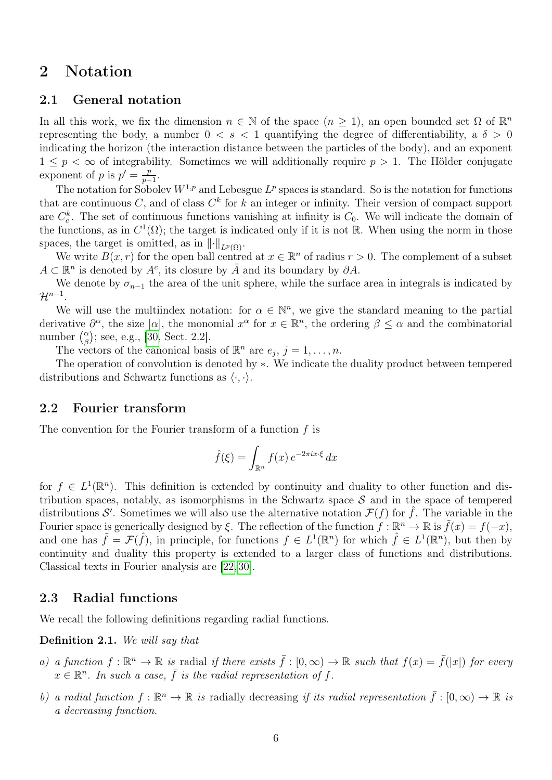### <span id="page-5-0"></span>2 Notation

#### 2.1 General notation

In all this work, we fix the dimension  $n \in \mathbb{N}$  of the space  $(n \geq 1)$ , an open bounded set  $\Omega$  of  $\mathbb{R}^n$ representing the body, a number  $0 < s < 1$  quantifying the degree of differentiability, a  $\delta > 0$ indicating the horizon (the interaction distance between the particles of the body), and an exponent  $1 \leq p < \infty$  of integrability. Sometimes we will additionally require  $p > 1$ . The Hölder conjugate exponent of p is  $p' = \frac{p}{p}$  $\frac{p}{p-1}$ .

The notation for Sobolev  $W^{1,p}$  and Lebesgue  $L^p$  spaces is standard. So is the notation for functions that are continuous C, and of class  $C^k$  for k an integer or infinity. Their version of compact support are  $C_c^k$ . The set of continuous functions vanishing at infinity is  $C_0$ . We will indicate the domain of the functions, as in  $C^1(\Omega)$ ; the target is indicated only if it is not R. When using the norm in those spaces, the target is omitted, as in  $\lVert \cdot \rVert_{L^p(\Omega)}$ .

We write  $B(x, r)$  for the open ball centred at  $x \in \mathbb{R}^n$  of radius  $r > 0$ . The complement of a subset  $A \subset \mathbb{R}^n$  is denoted by  $A^c$ , its closure by  $\overline{A}$  and its boundary by  $\partial A$ .

We denote by  $\sigma_{n-1}$  the area of the unit sphere, while the surface area in integrals is indicated by  $\mathcal{H}^{n-1}.$ 

We will use the multiindex notation: for  $\alpha \in \mathbb{N}^n$ , we give the standard meaning to the partial derivative  $\partial^{\alpha}$ , the size  $|\alpha|$ , the monomial  $x^{\alpha}$  for  $x \in \mathbb{R}^{n}$ , the ordering  $\beta \leq \alpha$  and the combinatorial number  $\binom{\alpha}{\beta}$  $\binom{\alpha}{\beta}$ ; see, e.g., [\[30,](#page-45-12) Sect. 2.2].

The vectors of the canonical basis of  $\mathbb{R}^n$  are  $e_j$ ,  $j = 1, \ldots, n$ .

The operation of convolution is denoted by ∗. We indicate the duality product between tempered distributions and Schwartz functions as  $\langle \cdot, \cdot \rangle$ .

#### <span id="page-5-2"></span>2.2 Fourier transform

The convention for the Fourier transform of a function  $f$  is

$$
\hat{f}(\xi) = \int_{\mathbb{R}^n} f(x) e^{-2\pi ix \cdot \xi} dx
$$

for  $f \in L^1(\mathbb{R}^n)$ . This definition is extended by continuity and duality to other function and distribution spaces, notably, as isomorphisms in the Schwartz space  $S$  and in the space of tempered distributions S'. Sometimes we will also use the alternative notation  $\mathcal{F}(f)$  for  $\hat{f}$ . The variable in the Fourier space is generically designed by  $\xi$ . The reflection of the function  $f: \mathbb{R}^n \to \mathbb{R}$  is  $\tilde{f}(x) = f(-x)$ , and one has  $\tilde{f} = \mathcal{F}(\hat{f})$ , in principle, for functions  $f \in L^1(\mathbb{R}^n)$  for which  $\hat{f} \in L^1(\mathbb{R}^n)$ , but then by continuity and duality this property is extended to a larger class of functions and distributions. Classical texts in Fourier analysis are [\[22,](#page-45-13) [30\]](#page-45-12).

#### 2.3 Radial functions

We recall the following definitions regarding radial functions.

<span id="page-5-1"></span>Definition 2.1. We will say that

- a) a function  $f : \mathbb{R}^n \to \mathbb{R}$  is radial if there exists  $\bar{f} : [0, \infty) \to \mathbb{R}$  such that  $f(x) = \bar{f}(|x|)$  for every  $x \in \mathbb{R}^n$ . In such a case,  $\bar{f}$  is the radial representation of f.
- b) a radial function  $f : \mathbb{R}^n \to \mathbb{R}$  is radially decreasing if its radial representation  $\bar{f} : [0, \infty) \to \mathbb{R}$  is a decreasing function.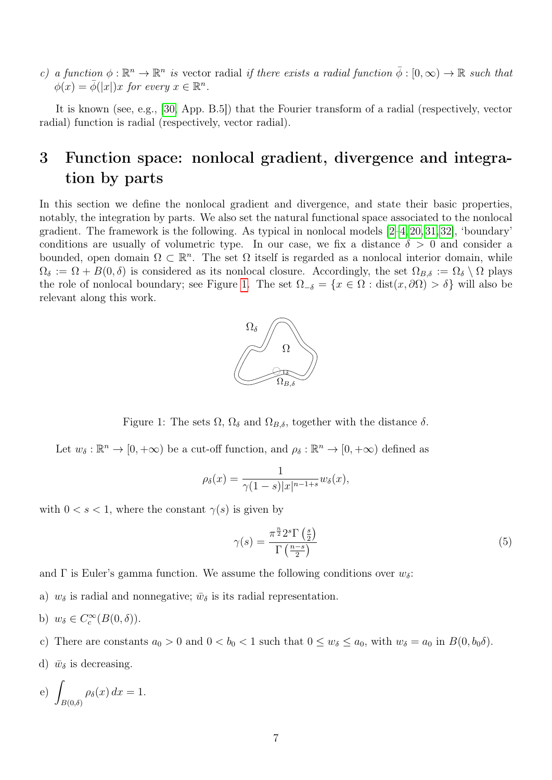c) a function  $\phi : \mathbb{R}^n \to \mathbb{R}^n$  is vector radial if there exists a radial function  $\overline{\phi} : [0, \infty) \to \mathbb{R}$  such that  $\phi(x) = \overline{\phi}(|x|)x$  for every  $x \in \mathbb{R}^n$ .

It is known (see, e.g., [\[30,](#page-45-12) App. B.5]) that the Fourier transform of a radial (respectively, vector radial) function is radial (respectively, vector radial).

## <span id="page-6-0"></span>3 Function space: nonlocal gradient, divergence and integration by parts

In this section we define the nonlocal gradient and divergence, and state their basic properties, notably, the integration by parts. We also set the natural functional space associated to the nonlocal gradient. The framework is the following. As typical in nonlocal models  $[2-4, 20, 31, 32]$  $[2-4, 20, 31, 32]$  $[2-4, 20, 31, 32]$  $[2-4, 20, 31, 32]$  $[2-4, 20, 31, 32]$ , 'boundary' conditions are usually of volumetric type. In our case, we fix a distance  $\delta > 0$  and consider a bounded, open domain  $\Omega \subset \mathbb{R}^n$ . The set  $\Omega$  itself is regarded as a nonlocal interior domain, while  $\Omega_{\delta} := \Omega + B(0,\delta)$  is considered as its nonlocal closure. Accordingly, the set  $\Omega_{B,\delta} := \Omega_{\delta} \setminus \Omega$  plays the role of nonlocal boundary; see Figure [1.](#page-6-1) The set  $\Omega_{-\delta} = \{x \in \Omega : dist(x, \partial \Omega) > \delta\}$  will also be relevant along this work.



<span id="page-6-1"></span>Figure 1: The sets  $\Omega$ ,  $\Omega_{\delta}$  and  $\Omega_{B,\delta}$ , together with the distance  $\delta$ .

Let  $w_{\delta}: \mathbb{R}^n \to [0, +\infty)$  be a cut-off function, and  $\rho_{\delta}: \mathbb{R}^n \to [0, +\infty)$  defined as

$$
\rho_{\delta}(x) = \frac{1}{\gamma(1-s)|x|^{n-1+s}} w_{\delta}(x),
$$

with  $0 < s < 1$ , where the constant  $\gamma(s)$  is given by

<span id="page-6-3"></span>
$$
\gamma(s) = \frac{\pi^{\frac{n}{2}} 2^s \Gamma\left(\frac{s}{2}\right)}{\Gamma\left(\frac{n-s}{2}\right)}\tag{5}
$$

and  $\Gamma$  is Euler's gamma function. We assume the following conditions over  $w_{\delta}$ :

- a)  $w_{\delta}$  is radial and nonnegative;  $\bar{w}_{\delta}$  is its radial representation.
- b)  $w_{\delta} \in C_c^{\infty}(B(0,\delta)).$
- c) There are constants  $a_0 > 0$  and  $0 < b_0 < 1$  such that  $0 \le w_\delta \le a_0$ , with  $w_\delta = a_0$  in  $B(0, b_0\delta)$ .
- <span id="page-6-2"></span>d)  $\bar{w}_{\delta}$  is decreasing.

e) 
$$
\int_{B(0,\delta)} \rho_{\delta}(x) dx = 1.
$$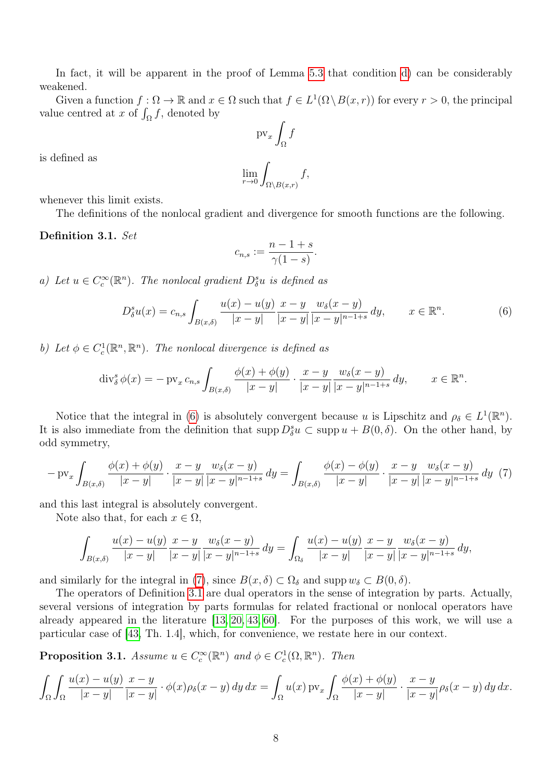In fact, it will be apparent in the proof of Lemma [5.3](#page-18-0) that condition [d\)](#page-6-2) can be considerably weakened.

Given a function  $f : \Omega \to \mathbb{R}$  and  $x \in \Omega$  such that  $f \in L^1(\Omega \setminus B(x,r))$  for every  $r > 0$ , the principal value centred at x of  $\int_{\Omega} f$ , denoted by

$$
\mathrm{pv}_x \int_{\Omega} f
$$

is defined as

$$
\lim_{r \to 0} \int_{\Omega \setminus B(x,r)} f,
$$

whenever this limit exists.

The definitions of the nonlocal gradient and divergence for smooth functions are the following.

#### <span id="page-7-2"></span>Definition 3.1. Set

$$
c_{n,s} := \frac{n-1+s}{\gamma(1-s)}.
$$

<span id="page-7-4"></span>a) Let  $u \in C_c^{\infty}(\mathbb{R}^n)$ . The nonlocal gradient  $D_{\delta}^s u$  is defined as

<span id="page-7-0"></span>
$$
D_{\delta}^{s}u(x) = c_{n,s} \int_{B(x,\delta)} \frac{u(x) - u(y)}{|x - y|} \frac{x - y}{|x - y|} \frac{w_{\delta}(x - y)}{|x - y|^{n - 1 + s}} dy, \qquad x \in \mathbb{R}^{n}.
$$
 (6)

b) Let  $\phi \in C_c^1(\mathbb{R}^n, \mathbb{R}^n)$ . The nonlocal divergence is defined as

$$
\operatorname{div}_{\delta}^{s} \phi(x) = -\operatorname{pv}_{x} c_{n,s} \int_{B(x,\delta)} \frac{\phi(x) + \phi(y)}{|x - y|} \cdot \frac{x - y}{|x - y|} \frac{w_{\delta}(x - y)}{|x - y|^{n - 1 + s}} dy, \qquad x \in \mathbb{R}^{n}.
$$

Notice that the integral in [\(6\)](#page-7-0) is absolutely convergent because u is Lipschitz and  $\rho_{\delta} \in L^1(\mathbb{R}^n)$ . It is also immediate from the definition that  $\text{supp } D_{\delta}^{s}u \subset \text{supp } u + B(0, \delta)$ . On the other hand, by odd symmetry,

<span id="page-7-1"></span>
$$
- \operatorname{pv}_{x} \int_{B(x,\delta)} \frac{\phi(x) + \phi(y)}{|x - y|} \cdot \frac{x - y}{|x - y|} \frac{w_{\delta}(x - y)}{|x - y|^{n - 1 + s}} dy = \int_{B(x,\delta)} \frac{\phi(x) - \phi(y)}{|x - y|} \cdot \frac{x - y}{|x - y|} \frac{w_{\delta}(x - y)}{|x - y|} dy \tag{7}
$$

and this last integral is absolutely convergent.

Note also that, for each  $x \in \Omega$ ,

$$
\int_{B(x,\delta)} \frac{u(x) - u(y)}{|x - y|} \frac{x - y}{|x - y|} \frac{w_{\delta}(x - y)}{|x - y|^{n - 1 + s}} dy = \int_{\Omega_{\delta}} \frac{u(x) - u(y)}{|x - y|} \frac{x - y}{|x - y|} \frac{w_{\delta}(x - y)}{|x - y|^{n - 1 + s}} dy,
$$

and similarly for the integral in [\(7\)](#page-7-1), since  $B(x, \delta) \subset \Omega_{\delta}$  and supp $w_{\delta} \subset B(0, \delta)$ .

The operators of Definition [3.1](#page-7-2) are dual operators in the sense of integration by parts. Actually, several versions of integration by parts formulas for related fractional or nonlocal operators have already appeared in the literature [\[13,](#page-44-2) [20,](#page-45-8) [43,](#page-46-9) [60\]](#page-47-1). For the purposes of this work, we will use a particular case of [\[43,](#page-46-9) Th. 1.4], which, for convenience, we restate here in our context.

<span id="page-7-3"></span>**Proposition 3.1.** Assume  $u \in C_c^{\infty}(\mathbb{R}^n)$  and  $\phi \in C_c^1(\Omega, \mathbb{R}^n)$ . Then

$$
\int_{\Omega} \int_{\Omega} \frac{u(x) - u(y)}{|x - y|} \frac{x - y}{|x - y|} \cdot \phi(x) \rho_{\delta}(x - y) \, dy \, dx = \int_{\Omega} u(x) \, \text{pv}_{x} \int_{\Omega} \frac{\phi(x) + \phi(y)}{|x - y|} \cdot \frac{x - y}{|x - y|} \rho_{\delta}(x - y) \, dy \, dx.
$$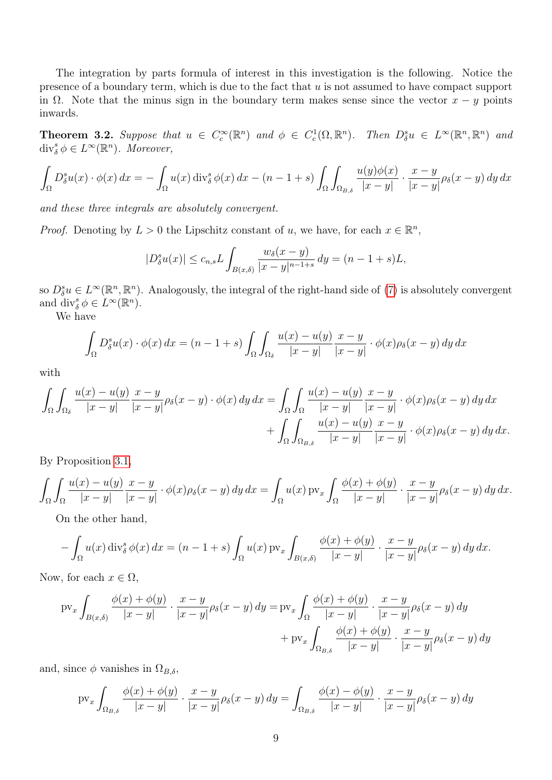The integration by parts formula of interest in this investigation is the following. Notice the presence of a boundary term, which is due to the fact that  $u$  is not assumed to have compact support in  $\Omega$ . Note that the minus sign in the boundary term makes sense since the vector  $x - y$  points inwards.

<span id="page-8-0"></span>**Theorem 3.2.** Suppose that  $u \in C_c^{\infty}(\mathbb{R}^n)$  and  $\phi \in C_c^1(\Omega, \mathbb{R}^n)$ . Then  $D_{\delta}^s u \in L^{\infty}(\mathbb{R}^n, \mathbb{R}^n)$  and  $\text{div}_{\delta}^{s} \phi \in L^{\infty}(\mathbb{R}^{n}).$  Moreover,

$$
\int_{\Omega} D_{\delta}^{s} u(x) \cdot \phi(x) dx = -\int_{\Omega} u(x) \operatorname{div}_{\delta}^{s} \phi(x) dx - (n - 1 + s) \int_{\Omega} \int_{\Omega_{B,\delta}} \frac{u(y)\phi(x)}{|x - y|} \cdot \frac{x - y}{|x - y|} \rho_{\delta}(x - y) dy dx
$$

and these three integrals are absolutely convergent.

*Proof.* Denoting by  $L > 0$  the Lipschitz constant of u, we have, for each  $x \in \mathbb{R}^n$ ,

$$
|D_{\delta}^{s}u(x)| \leq c_{n,s}L \int_{B(x,\delta)} \frac{w_{\delta}(x-y)}{|x-y|^{n-1+s}} dy = (n-1+s)L,
$$

so  $D_{\delta}^{s}u \in L^{\infty}(\mathbb{R}^{n}, \mathbb{R}^{n})$ . Analogously, the integral of the right-hand side of [\(7\)](#page-7-1) is absolutely convergent and  $\text{div}_{\delta}^{s} \phi \in L^{\infty}(\mathbb{R}^{n})$ .

We have

$$
\int_{\Omega} D_{\delta}^{s} u(x) \cdot \phi(x) dx = (n - 1 + s) \int_{\Omega} \int_{\Omega_{\delta}} \frac{u(x) - u(y)}{|x - y|} \frac{x - y}{|x - y|} \cdot \phi(x) \rho_{\delta}(x - y) dy dx
$$

with

$$
\int_{\Omega} \int_{\Omega_{\delta}} \frac{u(x) - u(y)}{|x - y|} \frac{x - y}{|x - y|} \rho_{\delta}(x - y) \cdot \phi(x) \, dy \, dx = \int_{\Omega} \int_{\Omega} \frac{u(x) - u(y)}{|x - y|} \frac{x - y}{|x - y|} \cdot \phi(x) \rho_{\delta}(x - y) \, dy \, dx + \int_{\Omega} \int_{\Omega_{B, \delta}} \frac{u(x) - u(y)}{|x - y|} \frac{x - y}{|x - y|} \cdot \phi(x) \rho_{\delta}(x - y) \, dy \, dx.
$$

By Proposition [3.1,](#page-7-3)

$$
\int_{\Omega} \int_{\Omega} \frac{u(x) - u(y)}{|x - y|} \frac{x - y}{|x - y|} \cdot \phi(x) \rho_{\delta}(x - y) dy dx = \int_{\Omega} u(x) \operatorname{pv}_{x} \int_{\Omega} \frac{\phi(x) + \phi(y)}{|x - y|} \cdot \frac{x - y}{|x - y|} \rho_{\delta}(x - y) dy dx.
$$

On the other hand,

$$
-\int_{\Omega} u(x) \operatorname{div}_{\delta}^{s} \phi(x) dx = (n-1+s) \int_{\Omega} u(x) \operatorname{pv}_{x} \int_{B(x,\delta)} \frac{\phi(x) + \phi(y)}{|x-y|} \cdot \frac{x-y}{|x-y|} \rho_{\delta}(x-y) dy dx.
$$

Now, for each  $x \in \Omega$ ,

$$
\text{pv}_x \int_{B(x,\delta)} \frac{\phi(x) + \phi(y)}{|x - y|} \cdot \frac{x - y}{|x - y|} \rho_{\delta}(x - y) \, dy = \text{pv}_x \int_{\Omega} \frac{\phi(x) + \phi(y)}{|x - y|} \cdot \frac{x - y}{|x - y|} \rho_{\delta}(x - y) \, dy
$$

$$
+ \text{pv}_x \int_{\Omega_{B,\delta}} \frac{\phi(x) + \phi(y)}{|x - y|} \cdot \frac{x - y}{|x - y|} \rho_{\delta}(x - y) \, dy
$$

and, since  $\phi$  vanishes in  $\Omega_{B,\delta}$ ,

$$
\text{pv}_x \int_{\Omega_{B,\delta}} \frac{\phi(x) + \phi(y)}{|x - y|} \cdot \frac{x - y}{|x - y|} \rho_{\delta}(x - y) \, dy = \int_{\Omega_{B,\delta}} \frac{\phi(x) - \phi(y)}{|x - y|} \cdot \frac{x - y}{|x - y|} \rho_{\delta}(x - y) \, dy
$$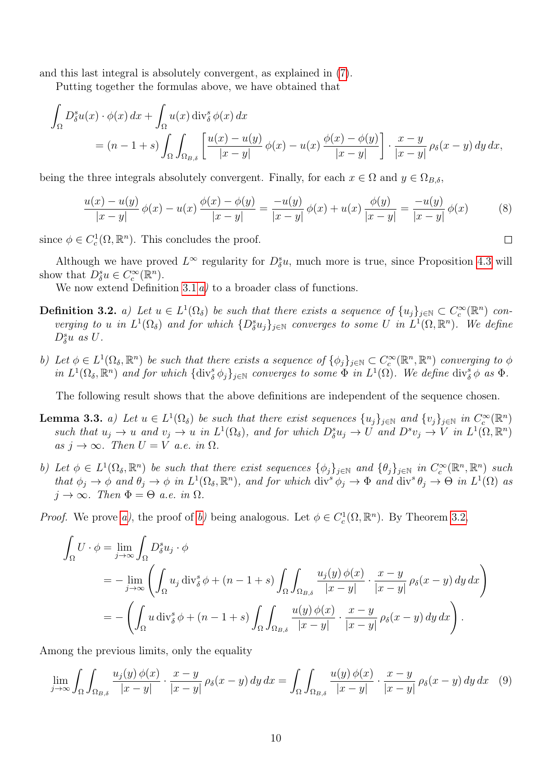and this last integral is absolutely convergent, as explained in [\(7\)](#page-7-1).

Putting together the formulas above, we have obtained that

$$
\int_{\Omega} D_{\delta}^{s} u(x) \cdot \phi(x) dx + \int_{\Omega} u(x) \operatorname{div}_{\delta}^{s} \phi(x) dx
$$
\n
$$
= (n - 1 + s) \int_{\Omega} \int_{\Omega_{B,\delta}} \left[ \frac{u(x) - u(y)}{|x - y|} \phi(x) - u(x) \frac{\phi(x) - \phi(y)}{|x - y|} \right] \cdot \frac{x - y}{|x - y|} \rho_{\delta}(x - y) dy dx,
$$

being the three integrals absolutely convergent. Finally, for each  $x \in \Omega$  and  $y \in \Omega_{B,\delta}$ ,

$$
\frac{u(x) - u(y)}{|x - y|} \phi(x) - u(x) \frac{\phi(x) - \phi(y)}{|x - y|} = \frac{-u(y)}{|x - y|} \phi(x) + u(x) \frac{\phi(y)}{|x - y|} = \frac{-u(y)}{|x - y|} \phi(x) \tag{8}
$$

since  $\phi \in C_c^1(\Omega, \mathbb{R}^n)$ . This concludes the proof.

Although we have proved  $L^{\infty}$  regularity for  $D_{\delta}^{s}u$ , much more is true, since Proposition [4.3](#page-13-0) will show that  $D_{\delta}^{s}u \in C_{c}^{\infty}(\mathbb{R}^{n})$ .

We now extend Definition [3.1](#page-7-2)  $a$ ) to a broader class of functions.

- **Definition 3.2.** a) Let  $u \in L^1(\Omega_\delta)$  be such that there exists a sequence of  $\{u_j\}_{j\in\mathbb{N}} \subset C_c^{\infty}(\mathbb{R}^n)$  converging to u in  $L^1(\Omega_\delta)$  and for which  $\{D^s_\delta u_j\}_{j\in\mathbb{N}}$  converges to some U in  $L^1(\Omega,\mathbb{R}^n)$ . We define  $D^s_{\delta}u$  as  $U$ .
- b) Let  $\phi \in L^1(\Omega_\delta, \mathbb{R}^n)$  be such that there exists a sequence of  $\{\phi_j\}_{j\in\mathbb{N}} \subset C_c^{\infty}(\mathbb{R}^n, \mathbb{R}^n)$  converging to  $\phi$ in  $L^1(\Omega_\delta,\mathbb{R}^n)$  and for which  $\{\text{div}_\delta^s \phi_j\}_{j\in\mathbb{N}}$  converges to some  $\Phi$  in  $L^1(\Omega)$ . We define  $\text{div}_\delta^s \phi$  as  $\Phi$ .

The following result shows that the above definitions are independent of the sequence chosen.

- <span id="page-9-0"></span>**Lemma 3.3.** a) Let  $u \in L^1(\Omega_\delta)$  be such that there exist sequences  $\{u_j\}_{j\in\mathbb{N}}$  and  $\{v_j\}_{j\in\mathbb{N}}$  in  $C_c^{\infty}(\mathbb{R}^n)$ such that  $u_j \to u$  and  $v_j \to u$  in  $L^1(\Omega_\delta)$ , and for which  $D^s_\delta u_j \to U$  and  $D^s v_j \to V$  in  $L^1(\Omega,\mathbb{R}^n)$ as  $j \to \infty$ . Then  $U = V$  a.e. in  $\Omega$ .
- <span id="page-9-1"></span>b) Let  $\phi \in L^1(\Omega_\delta, \mathbb{R}^n)$  be such that there exist sequences  $\{\phi_j\}_{j\in\mathbb{N}}$  and  $\{\theta_j\}_{j\in\mathbb{N}}$  in  $C_c^{\infty}(\mathbb{R}^n, \mathbb{R}^n)$  such that  $\phi_j \to \phi$  and  $\theta_j \to \phi$  in  $L^1(\Omega_\delta, \mathbb{R}^n)$ , and for which  $\text{div}^s \phi_j \to \Phi$  and  $\text{div}^s \theta_j \to \Theta$  in  $L^1(\Omega)$  as  $j \to \infty$ . Then  $\Phi = \Theta$  a.e. in  $\Omega$ .

*Proof.* We prove [a\)](#page-9-0), the proof of [b\)](#page-9-1) being analogous. Let  $\phi \in C_c^1(\Omega, \mathbb{R}^n)$ . By Theorem [3.2,](#page-8-0)

$$
\int_{\Omega} U \cdot \phi = \lim_{j \to \infty} \int_{\Omega} D_{\delta}^{s} u_{j} \cdot \phi
$$
\n
$$
= -\lim_{j \to \infty} \left( \int_{\Omega} u_{j} \operatorname{div}_{\delta}^{s} \phi + (n - 1 + s) \int_{\Omega} \int_{\Omega_{B,\delta}} \frac{u_{j}(y) \phi(x)}{|x - y|} \cdot \frac{x - y}{|x - y|} \rho_{\delta}(x - y) dy dx \right)
$$
\n
$$
= -\left( \int_{\Omega} u \operatorname{div}_{\delta}^{s} \phi + (n - 1 + s) \int_{\Omega} \int_{\Omega_{B,\delta}} \frac{u(y) \phi(x)}{|x - y|} \cdot \frac{x - y}{|x - y|} \rho_{\delta}(x - y) dy dx \right).
$$

Among the previous limits, only the equality

<span id="page-9-2"></span>
$$
\lim_{j \to \infty} \int_{\Omega} \int_{\Omega_{B,\delta}} \frac{u_j(y)\phi(x)}{|x-y|} \cdot \frac{x-y}{|x-y|} \rho_{\delta}(x-y) \, dy \, dx = \int_{\Omega} \int_{\Omega_{B,\delta}} \frac{u(y)\phi(x)}{|x-y|} \cdot \frac{x-y}{|x-y|} \rho_{\delta}(x-y) \, dy \, dx \tag{9}
$$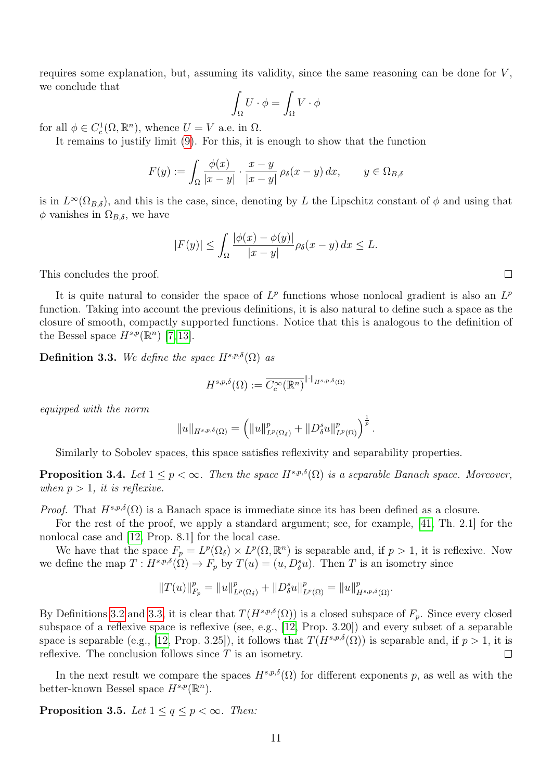requires some explanation, but, assuming its validity, since the same reasoning can be done for V, we conclude that

$$
\int_{\Omega} U \cdot \phi = \int_{\Omega} V \cdot \phi
$$

for all  $\phi \in C_c^1(\Omega, \mathbb{R}^n)$ , whence  $U = V$  a.e. in  $\Omega$ .

It remains to justify limit [\(9\)](#page-9-2). For this, it is enough to show that the function

$$
F(y) := \int_{\Omega} \frac{\phi(x)}{|x - y|} \cdot \frac{x - y}{|x - y|} \rho_{\delta}(x - y) dx, \qquad y \in \Omega_{B, \delta}
$$

is in  $L^{\infty}(\Omega_{B,\delta})$ , and this is the case, since, denoting by L the Lipschitz constant of  $\phi$  and using that  $\phi$  vanishes in  $\Omega_{B,\delta}$ , we have

$$
|F(y)| \le \int_{\Omega} \frac{|\phi(x) - \phi(y)|}{|x - y|} \rho_{\delta}(x - y) dx \le L.
$$

This concludes the proof.

It is quite natural to consider the space of  $L^p$  functions whose nonlocal gradient is also an  $L^p$ function. Taking into account the previous definitions, it is also natural to define such a space as the closure of smooth, compactly supported functions. Notice that this is analogous to the definition of the Bessel space  $H^{s,p}(\mathbb{R}^n)$  [\[7,](#page-44-1) [13\]](#page-44-2).

<span id="page-10-0"></span>**Definition 3.3.** We define the space  $H^{s,p,\delta}(\Omega)$  as

$$
H^{s,p,\delta}(\Omega) := \overline{C_c^{\infty}(\mathbb{R}^n)}^{\|\cdot\|_{H^{s,p,\delta}(\Omega)}}
$$

equipped with the norm

$$
||u||_{H^{s,p,\delta}(\Omega)} = \left(||u||_{L^p(\Omega_\delta)}^p + ||D_\delta^s u||_{L^p(\Omega)}^p\right)^{\frac{1}{p}}.
$$

Similarly to Sobolev spaces, this space satisfies reflexivity and separability properties.

<span id="page-10-2"></span>**Proposition 3.4.** Let  $1 \leq p < \infty$ . Then the space  $H^{s,p,\delta}(\Omega)$  is a separable Banach space. Moreover, when  $p > 1$ , it is reflexive.

*Proof.* That  $H^{s,p,\delta}(\Omega)$  is a Banach space is immediate since its has been defined as a closure.

For the rest of the proof, we apply a standard argument; see, for example, [\[41,](#page-46-8) Th. 2.1] for the nonlocal case and [\[12,](#page-44-13) Prop. 8.1] for the local case.

We have that the space  $F_p = L^p(\Omega_\delta) \times L^p(\Omega, \mathbb{R}^n)$  is separable and, if  $p > 1$ , it is reflexive. Now we define the map  $T: H^{s,p,\delta}(\Omega) \to F_p$  by  $T(u) = (u, D^s_{\delta}u)$ . Then T is an isometry since

$$
||T(u)||_{F_p}^p = ||u||_{L^p(\Omega_\delta)}^p + ||D_\delta^s u||_{L^p(\Omega)}^p = ||u||_{H^{s,p,\delta}(\Omega)}^p.
$$

By Definitions [3.2](#page-0-0) and [3.3,](#page-10-0) it is clear that  $T(H^{s,p,\delta}(\Omega))$  is a closed subspace of  $F_p$ . Since every closed subspace of a reflexive space is reflexive (see, e.g., [\[12,](#page-44-13) Prop. 3.20]) and every subset of a separable space is separable (e.g., [\[12,](#page-44-13) Prop. 3.25]), it follows that  $T(H^{s,p,\delta}(\Omega))$  is separable and, if  $p > 1$ , it is reflexive. The conclusion follows since  $T$  is an isometry.  $\Box$ 

In the next result we compare the spaces  $H^{s,p,\delta}(\Omega)$  for different exponents p, as well as with the better-known Bessel space  $H^{s,p}(\mathbb{R}^n)$ .

<span id="page-10-1"></span>**Proposition 3.5.** Let  $1 \leq q \leq p < \infty$ . Then: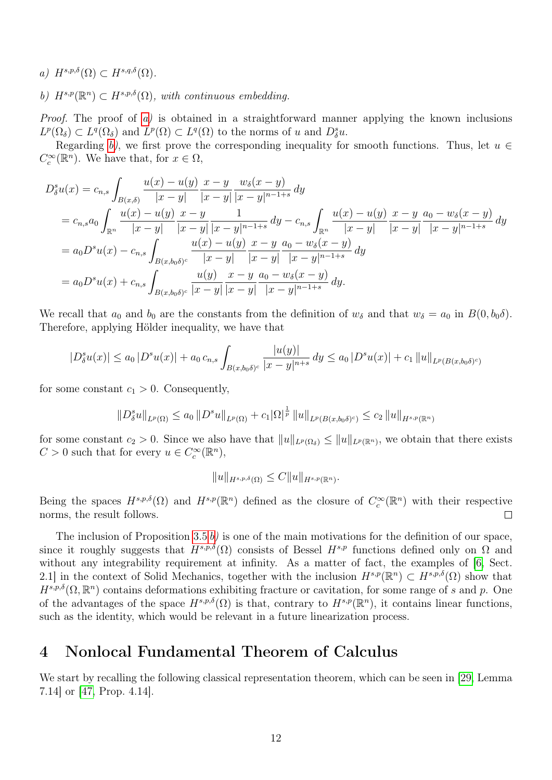<span id="page-11-1"></span>a)  $H^{s,p,\delta}(\Omega) \subset H^{s,q,\delta}(\Omega)$ .

<span id="page-11-2"></span>b)  $H^{s,p}(\mathbb{R}^n) \subset H^{s,p,\delta}(\Omega)$ , with continuous embedding.

Proof. The proof of [a\)](#page-11-1) is obtained in a straightforward manner applying the known inclusions  $L^p(\Omega_\delta) \subset L^q(\Omega_\delta)$  and  $L^p(\Omega) \subset L^q(\Omega)$  to the norms of u and  $D_\delta^s u$ .

Regarding [b\)](#page-11-2), we first prove the corresponding inequality for smooth functions. Thus, let  $u \in$  $C_c^{\infty}(\mathbb{R}^n)$ . We have that, for  $x \in \Omega$ ,

$$
D_{\delta}^{s}u(x) = c_{n,s} \int_{B(x,\delta)} \frac{u(x) - u(y)}{|x - y|} \frac{x - y}{|x - y|} \frac{w_{\delta}(x - y)}{|x - y|^{n - 1 + s}} dy
$$
  
\n
$$
= c_{n,s}a_0 \int_{\mathbb{R}^n} \frac{u(x) - u(y)}{|x - y|} \frac{x - y}{|x - y|} \frac{1}{|x - y|^{n - 1 + s}} dy - c_{n,s} \int_{\mathbb{R}^n} \frac{u(x) - u(y)}{|x - y|} \frac{x - y}{|x - y|} \frac{a_0 - w_{\delta}(x - y)}{|x - y|} dy
$$
  
\n
$$
= a_0 D^{s}u(x) - c_{n,s} \int_{B(x,b_0\delta)^c} \frac{u(x) - u(y)}{|x - y|} \frac{x - y}{|x - y|} \frac{a_0 - w_{\delta}(x - y)}{|x - y|^{n - 1 + s}} dy
$$
  
\n
$$
= a_0 D^{s}u(x) + c_{n,s} \int_{B(x,b_0\delta)^c} \frac{u(y)}{|x - y|} \frac{x - y}{|x - y|} \frac{a_0 - w_{\delta}(x - y)}{|x - y|^{n - 1 + s}} dy.
$$

We recall that  $a_0$  and  $b_0$  are the constants from the definition of  $w_\delta$  and that  $w_\delta = a_0$  in  $B(0, b_0\delta)$ . Therefore, applying Hölder inequality, we have that

$$
|D_{\delta}^{s}u(x)| \leq a_0 |D^{s}u(x)| + a_0 c_{n,s} \int_{B(x,b_0\delta)^c} \frac{|u(y)|}{|x-y|^{n+s}} dy \leq a_0 |D^{s}u(x)| + c_1 \|u\|_{L^p(B(x,b_0\delta)^c)}
$$

for some constant  $c_1 > 0$ . Consequently,

$$
||D_{\delta}^{s}u||_{L^{p}(\Omega)} \leq a_{0} ||D^{s}u||_{L^{p}(\Omega)} + c_{1} |\Omega|^{\frac{1}{p}} ||u||_{L^{p}(B(x,b_{0}\delta)^{c})} \leq c_{2} ||u||_{H^{s,p}(\mathbb{R}^{n})}
$$

for some constant  $c_2 > 0$ . Since we also have that  $||u||_{L^p(\Omega_\delta)} \le ||u||_{L^p(\mathbb{R}^n)}$ , we obtain that there exists  $C > 0$  such that for every  $u \in C_c^{\infty}(\mathbb{R}^n)$ ,

$$
||u||_{H^{s,p,\delta}(\Omega)} \leq C||u||_{H^{s,p}(\mathbb{R}^n)}.
$$

Being the spaces  $H^{s,p,\delta}(\Omega)$  and  $H^{s,p}(\mathbb{R}^n)$  defined as the closure of  $C_c^{\infty}(\mathbb{R}^n)$  with their respective norms, the result follows.  $\Box$ 

The inclusion of Proposition [3.5](#page-10-1) [b\)](#page-11-2) is one of the main motivations for the definition of our space, since it roughly suggests that  $H^{s,p,\delta}(\Omega)$  consists of Bessel  $H^{s,p}$  functions defined only on  $\Omega$  and without any integrability requirement at infinity. As a matter of fact, the examples of [\[6,](#page-44-0) Sect. 2.1 in the context of Solid Mechanics, together with the inclusion  $H^{s,p}(\mathbb{R}^n) \subset H^{s,p,\delta}(\Omega)$  show that  $H^{s,p,\delta}(\Omega,\mathbb{R}^n)$  contains deformations exhibiting fracture or cavitation, for some range of s and p. One of the advantages of the space  $H^{s,p,\delta}(\Omega)$  is that, contrary to  $H^{s,p}(\mathbb{R}^n)$ , it contains linear functions, such as the identity, which would be relevant in a future linearization process.

## <span id="page-11-0"></span>4 Nonlocal Fundamental Theorem of Calculus

We start by recalling the following classical representation theorem, which can be seen in [\[29,](#page-45-15) Lemma 7.14] or [\[47,](#page-46-14) Prop. 4.14].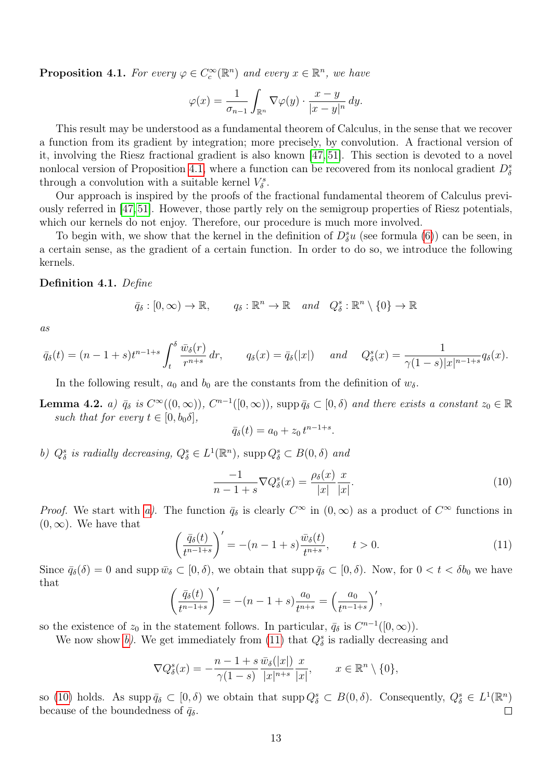<span id="page-12-0"></span>**Proposition 4.1.** For every  $\varphi \in C_c^{\infty}(\mathbb{R}^n)$  and every  $x \in \mathbb{R}^n$ , we have

$$
\varphi(x) = \frac{1}{\sigma_{n-1}} \int_{\mathbb{R}^n} \nabla \varphi(y) \cdot \frac{x - y}{|x - y|^n} \, dy.
$$

This result may be understood as a fundamental theorem of Calculus, in the sense that we recover a function from its gradient by integration; more precisely, by convolution. A fractional version of it, involving the Riesz fractional gradient is also known [\[47,](#page-46-14) [51\]](#page-46-0). This section is devoted to a novel nonlocal version of Proposition [4.1,](#page-12-0) where a function can be recovered from its nonlocal gradient  $D_{\delta}^{s}$ through a convolution with a suitable kernel  $V^s_{\delta}$ .

Our approach is inspired by the proofs of the fractional fundamental theorem of Calculus previously referred in [\[47,](#page-46-14)[51\]](#page-46-0). However, those partly rely on the semigroup properties of Riesz potentials, which our kernels do not enjoy. Therefore, our procedure is much more involved.

To begin with, we show that the kernel in the definition of  $D^s_{\delta}u$  (see formula [\(6\)](#page-7-0)) can be seen, in a certain sense, as the gradient of a certain function. In order to do so, we introduce the following kernels.

#### <span id="page-12-5"></span>Definition 4.1. Define

$$
\bar{q}_{\delta}: [0, \infty) \to \mathbb{R}, \quad q_{\delta}: \mathbb{R}^n \to \mathbb{R} \quad and \quad Q_{\delta}^s: \mathbb{R}^n \setminus \{0\} \to \mathbb{R}
$$

as

$$
\bar{q}_{\delta}(t) = (n-1+s)t^{n-1+s} \int_{t}^{\delta} \frac{\bar{w}_{\delta}(r)}{r^{n+s}} dr, \qquad q_{\delta}(x) = \bar{q}_{\delta}(|x|) \quad and \quad Q_{\delta}^{s}(x) = \frac{1}{\gamma(1-s)|x|^{n-1+s}} q_{\delta}(x).
$$

In the following result,  $a_0$  and  $b_0$  are the constants from the definition of  $w_\delta$ .

<span id="page-12-1"></span>**Lemma 4.2.** a)  $\bar{q}_{\delta}$  is  $C^{\infty}((0,\infty))$ ,  $C^{n-1}([0,\infty))$ , supp  $\bar{q}_{\delta} \subset [0,\delta)$  and there exists a constant  $z_0 \in \mathbb{R}$ such that for every  $t \in [0, b_0\delta]$ ,

$$
\bar{q}_{\delta}(t) = a_0 + z_0 t^{n-1+s}.
$$

<span id="page-12-2"></span>b)  $Q_{\delta}^{s}$  is radially decreasing,  $Q_{\delta}^{s} \in L^{1}(\mathbb{R}^{n})$ , supp  $Q_{\delta}^{s} \subset B(0,\delta)$  and

<span id="page-12-4"></span>
$$
\frac{-1}{n-1+s}\nabla Q^s_{\delta}(x) = \frac{\rho_{\delta}(x)}{|x|}\frac{x}{|x|}.\tag{10}
$$

*Proof.* We start with [a\)](#page-12-1). The function  $\bar{q}_{\delta}$  is clearly  $C^{\infty}$  in  $(0,\infty)$  as a product of  $C^{\infty}$  functions in  $(0, \infty)$ . We have that

<span id="page-12-3"></span>
$$
\left(\frac{\bar{q}_{\delta}(t)}{t^{n-1+s}}\right)' = -(n-1+s)\frac{\bar{w}_{\delta}(t)}{t^{n+s}}, \qquad t > 0. \tag{11}
$$

Since  $\bar{q}_{\delta}(\delta) = 0$  and supp  $\bar{w}_{\delta} \subset [0, \delta)$ , we obtain that supp  $\bar{q}_{\delta} \subset [0, \delta)$ . Now, for  $0 < t < \delta b_0$  we have that

$$
\left(\frac{\bar{q}_{\delta}(t)}{t^{n-1+s}}\right)' = -(n-1+s)\frac{a_0}{t^{n+s}} = \left(\frac{a_0}{t^{n-1+s}}\right)',
$$

so the existence of  $z_0$  in the statement follows. In particular,  $\bar{q}_\delta$  is  $C^{n-1}([0,\infty))$ .

We now show [b\)](#page-12-2). We get immediately from [\(11\)](#page-12-3) that  $Q_{\delta}^{s}$  is radially decreasing and

$$
\nabla Q_{\delta}^{s}(x) = -\frac{n-1+s}{\gamma(1-s)} \frac{\bar{w}_{\delta}(|x|)}{|x|^{n+s}} \frac{x}{|x|}, \qquad x \in \mathbb{R}^{n} \setminus \{0\},
$$

so [\(10\)](#page-12-4) holds. As supp  $\bar{q}_{\delta} \subset [0,\delta)$  we obtain that supp  $Q_{\delta}^{s} \subset B(0,\delta)$ . Consequently,  $Q_{\delta}^{s} \in L^{1}(\mathbb{R}^{n})$ because of the boundedness of  $\bar{q}_{\delta}$ .  $\Box$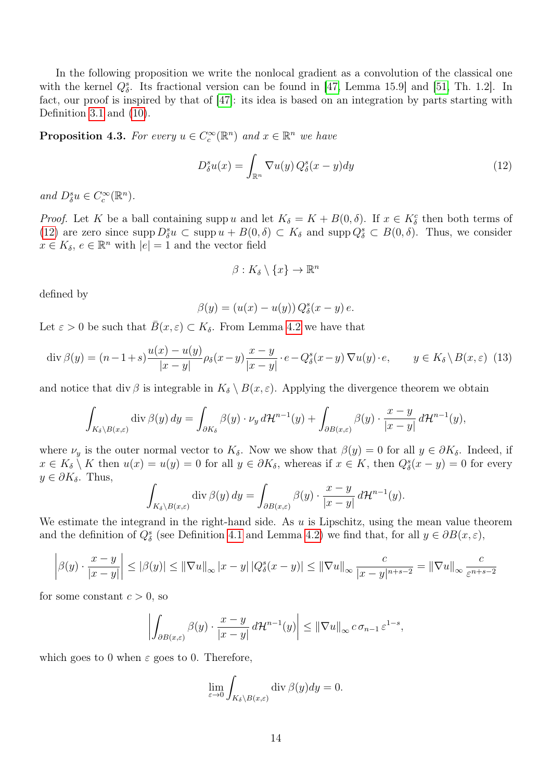In the following proposition we write the nonlocal gradient as a convolution of the classical one with the kernel  $Q_{\delta}^{s}$ . Its fractional version can be found in [\[47,](#page-46-14) Lemma 15.9] and [\[51,](#page-46-0) Th. 1.2]. In fact, our proof is inspired by that of [\[47\]](#page-46-14): its idea is based on an integration by parts starting with Definition [3.1](#page-7-2) and [\(10\)](#page-12-4).

<span id="page-13-0"></span>**Proposition 4.3.** For every  $u \in C_c^{\infty}(\mathbb{R}^n)$  and  $x \in \mathbb{R}^n$  we have

<span id="page-13-1"></span>
$$
D_{\delta}^{s}u(x) = \int_{\mathbb{R}^{n}} \nabla u(y) Q_{\delta}^{s}(x - y) dy
$$
\n(12)

and  $D_{\delta}^{s}u \in C_{c}^{\infty}(\mathbb{R}^{n})$ .

*Proof.* Let K be a ball containing supp u and let  $K_{\delta} = K + B(0, \delta)$ . If  $x \in K_{\delta}^{c}$  then both terms of [\(12\)](#page-13-1) are zero since supp  $D_{\delta}^{s}u \subset \text{supp} u + B(0,\delta) \subset K_{\delta}$  and supp  $Q_{\delta}^{s} \subset B(0,\delta)$ . Thus, we consider  $x \in K_{\delta}, e \in \mathbb{R}^{n}$  with  $|e| = 1$  and the vector field

$$
\beta: K_{\delta} \setminus \{x\} \to \mathbb{R}^n
$$

defined by

$$
\beta(y) = (u(x) - u(y)) Q^s_{\delta}(x - y) e.
$$

Let  $\varepsilon > 0$  be such that  $\overline{B}(x,\varepsilon) \subset K_{\delta}$ . From Lemma [4.2](#page-0-0) we have that

<span id="page-13-2"></span>
$$
\operatorname{div}\beta(y) = (n-1+s)\frac{u(x) - u(y)}{|x-y|}\rho_{\delta}(x-y)\frac{x-y}{|x-y|}\cdot e - Q_{\delta}^{s}(x-y)\nabla u(y)\cdot e, \qquad y \in K_{\delta}\setminus B(x,\varepsilon)
$$
(13)

and notice that div  $\beta$  is integrable in  $K_{\delta} \setminus B(x, \varepsilon)$ . Applying the divergence theorem we obtain

$$
\int_{K_{\delta}\setminus B(x,\varepsilon)} \operatorname{div} \beta(y) dy = \int_{\partial K_{\delta}} \beta(y) \cdot \nu_y d\mathcal{H}^{n-1}(y) + \int_{\partial B(x,\varepsilon)} \beta(y) \cdot \frac{x-y}{|x-y|} d\mathcal{H}^{n-1}(y),
$$

where  $\nu_y$  is the outer normal vector to  $K_\delta$ . Now we show that  $\beta(y) = 0$  for all  $y \in \partial K_\delta$ . Indeed, if  $x \in K_{\delta} \setminus K$  then  $u(x) = u(y) = 0$  for all  $y \in \partial K_{\delta}$ , whereas if  $x \in K$ , then  $Q_{\delta}^{s}(x - y) = 0$  for every  $y \in \partial K_{\delta}$ . Thus,

$$
\int_{K_{\delta}\setminus B(x,\varepsilon)} \operatorname{div} \beta(y) dy = \int_{\partial B(x,\varepsilon)} \beta(y) \cdot \frac{x-y}{|x-y|} d\mathcal{H}^{n-1}(y).
$$

We estimate the integrand in the right-hand side. As  $u$  is Lipschitz, using the mean value theorem and the definition of  $Q_{\delta}^{s}$  (see Definition [4.1](#page-12-5) and Lemma [4.2\)](#page-0-0) we find that, for all  $y \in \partial B(x, \varepsilon)$ ,

$$
\left|\beta(y)\cdot\frac{x-y}{|x-y|}\right|\leq\left|\beta(y)\right|\leq\left\|\nabla u\right\|_{\infty}|x-y|\left|Q_{\delta}^{s}(x-y)\right|\leq\left\|\nabla u\right\|_{\infty}\frac{c}{|x-y|^{n+s-2}}=\left\|\nabla u\right\|_{\infty}\frac{c}{\varepsilon^{n+s-2}}
$$

for some constant  $c > 0$ , so

$$
\left| \int_{\partial B(x,\varepsilon)} \beta(y) \cdot \frac{x-y}{|x-y|} d\mathcal{H}^{n-1}(y) \right| \leq ||\nabla u||_{\infty} c \sigma_{n-1} \varepsilon^{1-s},
$$

which goes to 0 when  $\varepsilon$  goes to 0. Therefore,

$$
\lim_{\varepsilon \to 0} \int_{K_{\delta} \setminus B(x,\varepsilon)} \operatorname{div} \beta(y) dy = 0.
$$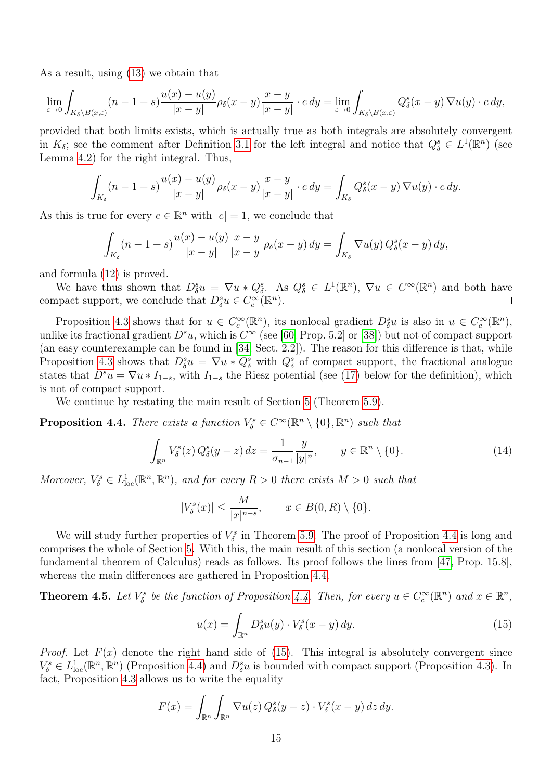As a result, using [\(13\)](#page-13-2) we obtain that

$$
\lim_{\varepsilon \to 0} \int_{K_{\delta} \setminus B(x,\varepsilon)} (n-1+s) \frac{u(x)-u(y)}{|x-y|} \rho_{\delta}(x-y) \frac{x-y}{|x-y|} \cdot e \, dy = \lim_{\varepsilon \to 0} \int_{K_{\delta} \setminus B(x,\varepsilon)} Q_{\delta}^s(x-y) \, \nabla u(y) \cdot e \, dy,
$$

provided that both limits exists, which is actually true as both integrals are absolutely convergent in  $K_{\delta}$ ; see the comment after Definition [3.1](#page-7-2) for the left integral and notice that  $Q_{\delta}^{s} \in L^{1}(\mathbb{R}^{n})$  (see Lemma [4.2\)](#page-0-0) for the right integral. Thus,

$$
\int_{K_{\delta}} (n-1+s) \frac{u(x)-u(y)}{|x-y|} \rho_{\delta}(x-y) \frac{x-y}{|x-y|} \cdot e \, dy = \int_{K_{\delta}} Q_{\delta}^{s}(x-y) \, \nabla u(y) \cdot e \, dy.
$$

As this is true for every  $e \in \mathbb{R}^n$  with  $|e|=1$ , we conclude that

$$
\int_{K_{\delta}} (n-1+s) \frac{u(x)-u(y)}{|x-y|} \frac{x-y}{|x-y|} \rho_{\delta}(x-y) dy = \int_{K_{\delta}} \nabla u(y) Q_{\delta}^{s}(x-y) dy,
$$

and formula [\(12\)](#page-13-1) is proved.

We have thus shown that  $D^s_{\delta}u = \nabla u * Q^s_{\delta}$ . As  $Q^s_{\delta} \in L^1(\mathbb{R}^n)$ ,  $\nabla u \in C^{\infty}(\mathbb{R}^n)$  and both have compact support, we conclude that  $D^s_\delta u \in C_c^\infty(\mathbb{R}^n)$ .  $\Box$ 

Proposition [4.3](#page-13-0) shows that for  $u \in C_c^{\infty}(\mathbb{R}^n)$ , its nonlocal gradient  $D_{\delta}^s u$  is also in  $u \in C_c^{\infty}(\mathbb{R}^n)$ , unlike its fractional gradient  $D^s u$ , which is  $C^{\infty}$  (see [\[60,](#page-47-1) Prop. 5.2] or [\[38\]](#page-46-15)) but not of compact support (an easy counterexample can be found in [\[34,](#page-46-1) Sect. 2.2]). The reason for this difference is that, while Proposition [4.3](#page-13-0) shows that  $D^s_\delta u = \nabla u * Q^s_\delta$  with  $Q^s_\delta$  of compact support, the fractional analogue states that  $D^s u = \nabla u * I_{1-s}$ , with  $I_{1-s}$  the Riesz potential (see [\(17\)](#page-15-1) below for the definition), which is not of compact support.

We continue by restating the main result of Section [5](#page-15-0) (Theorem [5.9\)](#page-27-0).

<span id="page-14-0"></span>**Proposition 4.4.** There exists a function  $V^s_{\delta} \in C^{\infty}(\mathbb{R}^n \setminus \{0\}, \mathbb{R}^n)$  such that

<span id="page-14-2"></span>
$$
\int_{\mathbb{R}^n} V_\delta^s(z) Q_\delta^s(y-z) dz = \frac{1}{\sigma_{n-1}} \frac{y}{|y|^n}, \qquad y \in \mathbb{R}^n \setminus \{0\}. \tag{14}
$$

Moreover,  $V^s_{\delta} \in L^1_{loc}(\mathbb{R}^n, \mathbb{R}^n)$ , and for every  $R > 0$  there exists  $M > 0$  such that

$$
|V^s_\delta(x)| \le \frac{M}{|x|^{n-s}}, \qquad x \in B(0,R) \setminus \{0\}.
$$

We will study further properties of  $V^s_{\delta}$  in Theorem [5.9.](#page-27-0) The proof of Proposition [4.4](#page-14-0) is long and comprises the whole of Section [5.](#page-15-0) With this, the main result of this section (a nonlocal version of the fundamental theorem of Calculus) reads as follows. Its proof follows the lines from [\[47,](#page-46-14) Prop. 15.8], whereas the main differences are gathered in Proposition [4.4.](#page-14-0)

<span id="page-14-3"></span>**Theorem 4.5.** Let  $V_{\delta}^{s}$  be the function of Proposition [4.4.](#page-14-0) Then, for every  $u \in C_c^{\infty}(\mathbb{R}^n)$  and  $x \in \mathbb{R}^n$ ,

<span id="page-14-1"></span>
$$
u(x) = \int_{\mathbb{R}^n} D_\delta^s u(y) \cdot V_\delta^s(x - y) \, dy. \tag{15}
$$

*Proof.* Let  $F(x)$  denote the right hand side of [\(15\)](#page-14-1). This integral is absolutely convergent since  $V^s_\delta \in L^1_{loc}(\mathbb{R}^n, \mathbb{R}^n)$  (Proposition [4.4\)](#page-14-0) and  $D^s_\delta u$  is bounded with compact support (Proposition [4.3\)](#page-13-0). In fact, Proposition [4.3](#page-13-0) allows us to write the equality

$$
F(x) = \int_{\mathbb{R}^n} \int_{\mathbb{R}^n} \nabla u(z) Q^s_{\delta}(y - z) \cdot V^s_{\delta}(x - y) dz dy.
$$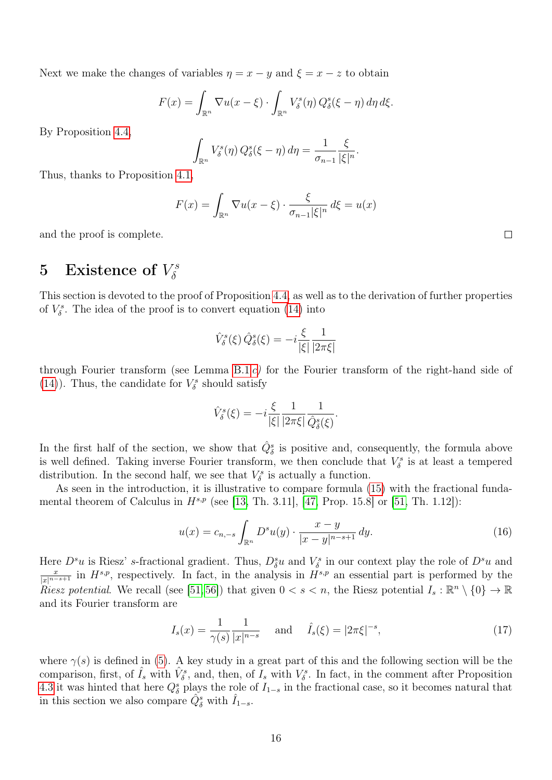Next we make the changes of variables  $\eta = x - y$  and  $\xi = x - z$  to obtain

$$
F(x) = \int_{\mathbb{R}^n} \nabla u(x - \xi) \cdot \int_{\mathbb{R}^n} V_{\delta}^s(\eta) Q_{\delta}^s(\xi - \eta) d\eta d\xi.
$$

By Proposition [4.4,](#page-14-0)

$$
\int_{\mathbb{R}^n} V_{\delta}^s(\eta) Q_{\delta}^s(\xi - \eta) d\eta = \frac{1}{\sigma_{n-1}} \frac{\xi}{|\xi|^n}.
$$

Thus, thanks to Proposition [4.1,](#page-12-0)

$$
F(x) = \int_{\mathbb{R}^n} \nabla u(x - \xi) \cdot \frac{\xi}{\sigma_{n-1} |\xi|^n} d\xi = u(x)
$$

and the proof is complete.

#### <span id="page-15-0"></span>5 Existence of  $V^s_\delta$  $\delta$

This section is devoted to the proof of Proposition [4.4,](#page-14-0) as well as to the derivation of further properties of  $V^s_{\delta}$ . The idea of the proof is to convert equation [\(14\)](#page-14-2) into

$$
\hat{V}^s_{\delta}(\xi)\,\hat{Q}^s_{\delta}(\xi)=-i\frac{\xi}{|\xi|}\frac{1}{|2\pi\xi|}
$$

through Fourier transform (see Lemma [B.1](#page-0-0) [c\)](#page-41-1) for the Fourier transform of the right-hand side of [\(14\)](#page-14-2)). Thus, the candidate for  $V^s_{\delta}$  should satisfy

$$
\hat{V}^s_{\delta}(\xi) = -i \frac{\xi}{|\xi|} \frac{1}{|2\pi\xi|} \frac{1}{\hat{Q}^s_{\delta}(\xi)}.
$$

In the first half of the section, we show that  $\hat{Q}^s_{\delta}$  is positive and, consequently, the formula above is well defined. Taking inverse Fourier transform, we then conclude that  $V^s_{\delta}$  is at least a tempered distribution. In the second half, we see that  $V^s_{\delta}$  is actually a function.

As seen in the introduction, it is illustrative to compare formula [\(15\)](#page-14-1) with the fractional fundamental theorem of Calculus in  $H^{s,p}$  (see [\[13,](#page-44-2) Th. 3.11], [\[47,](#page-46-14) Prop. 15.8] or [\[51,](#page-46-0) Th. 1.12]):

<span id="page-15-2"></span>
$$
u(x) = c_{n,-s} \int_{\mathbb{R}^n} D^s u(y) \cdot \frac{x-y}{|x-y|^{n-s+1}} \, dy. \tag{16}
$$

Here  $D^s u$  is Riesz' s-fractional gradient. Thus,  $D^s_{\delta}u$  and  $V^s_{\delta}$  in our context play the role of  $D^s u$  and  $\frac{x}{|x|^{n-s+1}}$  in  $H^{s,p}$ , respectively. In fact, in the analysis in  $H^{s,p}$  an essential part is performed by the *Riesz potential.* We recall (see [\[51,](#page-46-0)56]) that given  $0 < s < n$ , the Riesz potential  $I_s : \mathbb{R}^n \setminus \{0\} \to \mathbb{R}$ and its Fourier transform are

<span id="page-15-1"></span>
$$
I_s(x) = \frac{1}{\gamma(s)} \frac{1}{|x|^{n-s}} \quad \text{and} \quad \hat{I}_s(\xi) = |2\pi\xi|^{-s},\tag{17}
$$

where  $\gamma(s)$  is defined in [\(5\)](#page-6-3). A key study in a great part of this and the following section will be the comparison, first, of  $\hat{I}_s$  with  $\hat{V}_\delta^s$ , and, then, of  $\hat{I}_s$  with  $V_\delta^s$ . In fact, in the comment after Proposition [4.3](#page-13-0) it was hinted that here  $Q_{\delta}^{s}$  plays the role of  $I_{1-s}$  in the fractional case, so it becomes natural that in this section we also compare  $\hat{Q}_{\delta}^s$  with  $\hat{I}_{1-s}$ .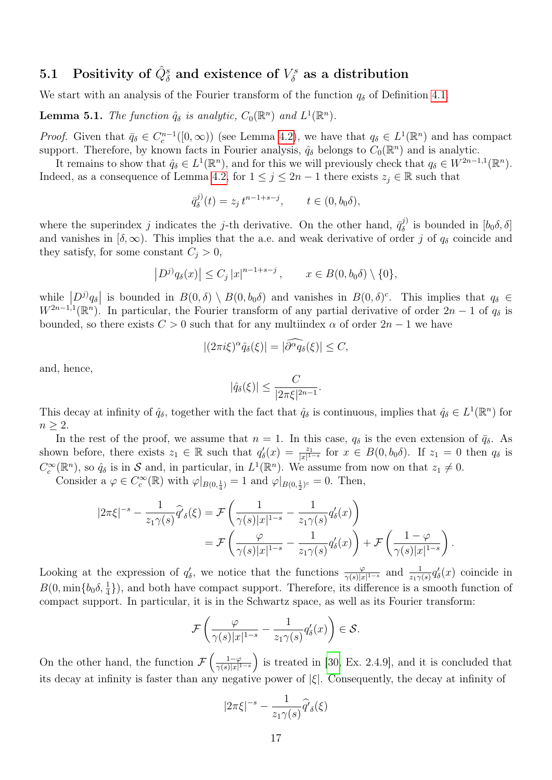#### 5.1 Positivity of  $\hat{Q}^s_{\delta}$  and existence of  $V^s_{\delta}$  $\delta^{\scriptscriptstyle \tau s}_{\delta}$  as a distribution

We start with an analysis of the Fourier transform of the function  $q_{\delta}$  of Definition [4.1.](#page-12-5)

<span id="page-16-0"></span>**Lemma 5.1.** The function  $\hat{q}_{\delta}$  is analytic,  $C_0(\mathbb{R}^n)$  and  $L^1(\mathbb{R}^n)$ .

*Proof.* Given that  $\bar{q}_{\delta} \in C_c^{n-1}([0,\infty))$  (see Lemma [4.2\)](#page-0-0), we have that  $q_{\delta} \in L^1(\mathbb{R}^n)$  and has compact support. Therefore, by known facts in Fourier analysis,  $\hat{q}_{\delta}$  belongs to  $C_0(\mathbb{R}^n)$  and is analytic.

It remains to show that  $\hat{q}_{\delta} \in L^1(\mathbb{R}^n)$ , and for this we will previously check that  $q_{\delta} \in W^{2n-1,1}(\mathbb{R}^n)$ . Indeed, as a consequence of Lemma [4.2,](#page-0-0) for  $1 \leq j \leq 2n-1$  there exists  $z_j \in \mathbb{R}$  such that

$$
\bar{q}_{\delta}^{j)}(t) = z_{j} t^{n-1+s-j}, \qquad t \in (0, b_{0}\delta),
$$

where the superindex j indicates the j-th derivative. On the other hand,  $\bar{q}_{\delta}^{j}$  $\delta_{\delta}^{(j)}$  is bounded in  $[b_0\delta,\delta]$ and vanishes in  $[\delta, \infty)$ . This implies that the a.e. and weak derivative of order j of  $q_\delta$  coincide and they satisfy, for some constant  $C_j > 0$ ,

$$
|D^{j)}q_{\delta}(x)| \leq C_{j} |x|^{n-1+s-j}, \qquad x \in B(0, b_{0}\delta) \setminus \{0\},\
$$

while  $|D^{j)}q_{\delta}|$  is bounded in  $B(0,\delta) \setminus B(0,b_{0}\delta)$  and vanishes in  $B(0,\delta)^{c}$ . This implies that  $q_{\delta} \in$  $W^{2n-1,1}(\mathbb{R}^n)$ . In particular, the Fourier transform of any partial derivative of order  $2n-1$  of  $q_\delta$  is bounded, so there exists  $C > 0$  such that for any multiindex  $\alpha$  of order  $2n - 1$  we have

$$
|(2\pi i\xi)^{\alpha}\hat{q}_{\delta}(\xi)| = |\tilde{\partial}^{\alpha}\tilde{q}_{\delta}(\xi)| \leq C,
$$

and, hence,

$$
|\hat{q}_{\delta}(\xi)| \leq \frac{C}{|2\pi\xi|^{2n-1}}.
$$

This decay at infinity of  $\hat{q}_{\delta}$ , together with the fact that  $\hat{q}_{\delta}$  is continuous, implies that  $\hat{q}_{\delta} \in L^1(\mathbb{R}^n)$  for  $n \geq 2$ .

In the rest of the proof, we assume that  $n = 1$ . In this case,  $q_{\delta}$  is the even extension of  $\bar{q}_{\delta}$ . As shown before, there exists  $z_1 \in \mathbb{R}$  such that  $q'_\delta(x) = \frac{z_1}{|x|^{1-s}}$  for  $x \in B(0, b_0\delta)$ . If  $z_1 = 0$  then  $q_\delta$  is  $C_c^{\infty}(\mathbb{R}^n)$ , so  $\hat{q}_\delta$  is in S and, in particular, in  $L^1(\mathbb{R}^n)$ . We assume from now on that  $z_1 \neq 0$ .

Consider a  $\varphi \in C_c^{\infty}(\mathbb{R})$  with  $\varphi|_{B(0, \frac{1}{4})} = 1$  and  $\varphi|_{B(0, \frac{1}{2})^c} = 0$ . Then,

$$
|2\pi\xi|^{-s} - \frac{1}{z_1\gamma(s)}\widehat{q}'_{\delta}(\xi) = \mathcal{F}\left(\frac{1}{\gamma(s)|x|^{1-s}} - \frac{1}{z_1\gamma(s)}q'_{\delta}(x)\right)
$$
  
= 
$$
\mathcal{F}\left(\frac{\varphi}{\gamma(s)|x|^{1-s}} - \frac{1}{z_1\gamma(s)}q'_{\delta}(x)\right) + \mathcal{F}\left(\frac{1-\varphi}{\gamma(s)|x|^{1-s}}\right).
$$

Looking at the expression of  $q'_\delta$ , we notice that the functions  $\frac{\varphi}{\gamma(s)|x|^{1-s}}$  and  $\frac{1}{z_1\gamma(s)}q'_\delta(x)$  coincide in  $B(0, \min\{b_0\delta, \frac{1}{4}\})$ , and both have compact support. Therefore, its difference is a smooth function of compact support. In particular, it is in the Schwartz space, as well as its Fourier transform:

$$
\mathcal{F}\left(\frac{\varphi}{\gamma(s)|x|^{1-s}}-\frac{1}{z_1\gamma(s)}q'_\delta(x)\right)\in\mathcal{S}.
$$

On the other hand, the function  $\mathcal{F}\left(\frac{1-\varphi}{\gamma(s)|x|^{1}}\right)$  $\frac{1-\varphi}{\gamma(s)|x|^{1-s}}$  is treated in [\[30,](#page-45-12) Ex. 2.4.9], and it is concluded that its decay at infinity is faster than any negative power of  $|\xi|$ . Consequently, the decay at infinity of

$$
|2\pi\xi|^{-s}-\frac{1}{z_1\gamma(s)}\widehat{q'}_{\delta}(\xi)
$$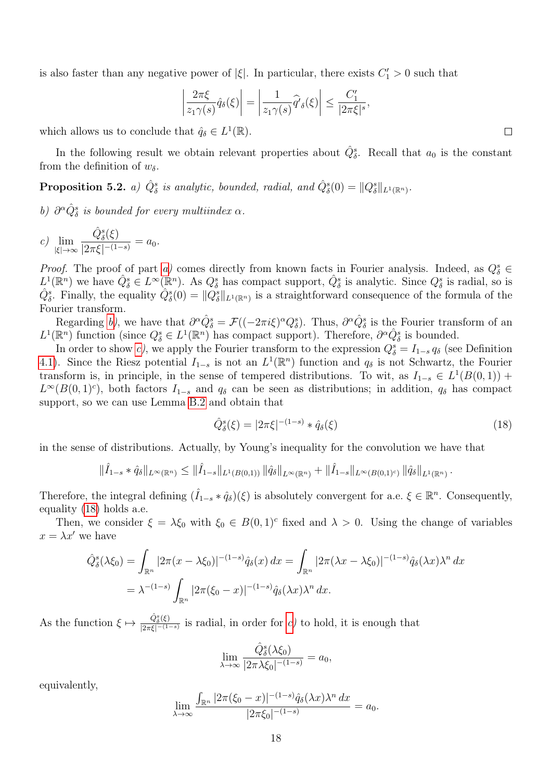is also faster than any negative power of  $|\xi|$ . In particular, there exists  $C_1' > 0$  such that

$$
\left|\frac{2\pi\xi}{z_1\gamma(s)}\hat{q}_\delta(\xi)\right| = \left|\frac{1}{z_1\gamma(s)}\hat{q}_\delta(\xi)\right| \le \frac{C_1'}{|2\pi\xi|^s},
$$

which allows us to conclude that  $\hat{q}_{\delta} \in L^1(\mathbb{R})$ .

In the following result we obtain relevant properties about  $\hat{Q}_{\delta}^s$ . Recall that  $a_0$  is the constant from the definition of  $w_\delta$ .

<span id="page-17-0"></span>Proposition 5.2. a)  $\hat{Q}^s_{\delta}$  is analytic, bounded, radial, and  $\hat{Q}^s_{\delta}(0) = ||Q^s_{\delta}||_{L^1(\mathbb{R}^n)}$ .

<span id="page-17-1"></span>b)  $\partial^{\alpha} \hat{Q}_{\delta}^{s}$  is bounded for every multiindex  $\alpha$ .

<span id="page-17-2"></span>c) 
$$
\lim_{|\xi| \to \infty} \frac{\hat{Q}_{\delta}^s(\xi)}{|2\pi\xi|^{-(1-s)}} = a_0.
$$

*Proof.* The proof of part [a\)](#page-17-0) comes directly from known facts in Fourier analysis. Indeed, as  $Q_{\delta}^{s} \in$  $L^1(\mathbb{R}^n)$  we have  $\hat{Q}^s_{\delta} \in L^{\infty}(\mathbb{R}^n)$ . As  $Q^s_{\delta}$  has compact support,  $\hat{Q}^s_{\delta}$  is analytic. Since  $Q^s_{\delta}$  is radial, so is  $\hat{Q}_{\delta}^s$ . Finally, the equality  $\hat{Q}_{\delta}^s(0) = ||Q_{\delta}^s||_{L^1(\mathbb{R}^n)}$  is a straightforward consequence of the formula of the Fourier transform.

Regarding [b\)](#page-17-1), we have that  $\partial^{\alpha}\hat{Q}^{s}_{\delta} = \mathcal{F}((-2\pi i\xi)^{\alpha}Q^{s}_{\delta})$ . Thus,  $\partial^{\alpha}\hat{Q}^{s}_{\delta}$  is the Fourier transform of an  $L^1(\mathbb{R}^n)$  function (since  $Q^s_\delta \in L^1(\mathbb{R}^n)$  has compact support). Therefore,  $\partial^\alpha \hat{Q}^s_\delta$  is bounded.

In order to show [c\)](#page-17-2), we apply the Fourier transform to the expression  $Q_{\delta}^{s} = I_{1-s} q_{\delta}$  (see Definition [4.1\)](#page-12-5). Since the Riesz potential  $I_{1-s}$  is not an  $L^1(\mathbb{R}^n)$  function and  $q_\delta$  is not Schwartz, the Fourier transform is, in principle, in the sense of tempered distributions. To wit, as  $I_{1-s} \in L^1(B(0,1))$  +  $L^{\infty}(B(0,1)^c)$ , both factors  $I_{1-s}$  and  $q_\delta$  can be seen as distributions; in addition,  $q_\delta$  has compact support, so we can use Lemma [B.2](#page-43-0) and obtain that

<span id="page-17-3"></span>
$$
\hat{Q}^s_{\delta}(\xi) = |2\pi\xi|^{-(1-s)} * \hat{q}_{\delta}(\xi)
$$
\n(18)

in the sense of distributions. Actually, by Young's inequality for the convolution we have that

$$
\|\hat{I}_{1-s} * \hat{q}_{\delta}\|_{L^{\infty}(\mathbb{R}^n)} \leq \|\hat{I}_{1-s}\|_{L^1(B(0,1))} \|\hat{q}_{\delta}\|_{L^{\infty}(\mathbb{R}^n)} + \|\hat{I}_{1-s}\|_{L^{\infty}(B(0,1)^c)} \|\hat{q}_{\delta}\|_{L^1(\mathbb{R}^n)}.
$$

Therefore, the integral defining  $(\hat{I}_{1-s} * \hat{q}_\delta)(\xi)$  is absolutely convergent for a.e.  $\xi \in \mathbb{R}^n$ . Consequently, equality [\(18\)](#page-17-3) holds a.e.

Then, we consider  $\xi = \lambda \xi_0$  with  $\xi_0 \in B(0,1)^c$  fixed and  $\lambda > 0$ . Using the change of variables  $x = \lambda x'$  we have

$$
\hat{Q}_{\delta}^{s}(\lambda \xi_0) = \int_{\mathbb{R}^n} |2\pi(x - \lambda \xi_0)|^{-(1-s)} \hat{q}_{\delta}(x) dx = \int_{\mathbb{R}^n} |2\pi(\lambda x - \lambda \xi_0)|^{-(1-s)} \hat{q}_{\delta}(\lambda x) \lambda^n dx
$$

$$
= \lambda^{-(1-s)} \int_{\mathbb{R}^n} |2\pi(\xi_0 - x)|^{-(1-s)} \hat{q}_{\delta}(\lambda x) \lambda^n dx.
$$

As the function  $\xi \mapsto \frac{\hat{Q}_{\delta}^s(\xi)}{12\pi\epsilon^{s-1}}$  $\frac{Q_{\delta}(\xi)}{|2\pi\xi|^{-(1-s)}}$  is radial, in order for [c\)](#page-17-2) to hold, it is enough that

$$
\lim_{\lambda \to \infty} \frac{\hat{Q}_{\delta}^s(\lambda \xi_0)}{|2\pi \lambda \xi_0|^{-(1-s)}} = a_0,
$$

equivalently,

$$
\lim_{\lambda \to \infty} \frac{\int_{\mathbb{R}^n} |2\pi(\xi_0 - x)|^{-(1-s)} \hat{q}_{\delta}(\lambda x) \lambda^n dx}{|2\pi \xi_0|^{-(1-s)}} = a_0.
$$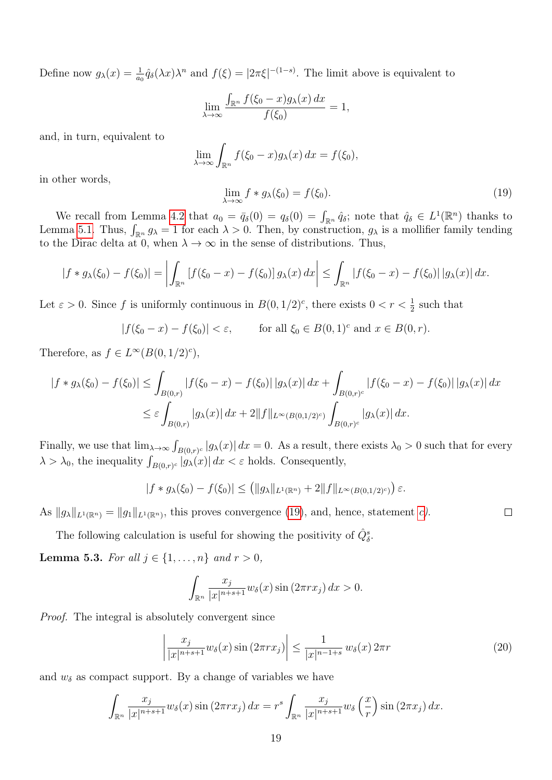Define now  $g_{\lambda}(x) = \frac{1}{a_0} \hat{q}_{\delta}(\lambda x) \lambda^n$  and  $f(\xi) = |2\pi\xi|^{-(1-s)}$ . The limit above is equivalent to

$$
\lim_{\lambda \to \infty} \frac{\int_{\mathbb{R}^n} f(\xi_0 - x) g_\lambda(x) dx}{f(\xi_0)} = 1,
$$

and, in turn, equivalent to

$$
\lim_{\lambda \to \infty} \int_{\mathbb{R}^n} f(\xi_0 - x) g_\lambda(x) \, dx = f(\xi_0),
$$

in other words,

<span id="page-18-1"></span>
$$
\lim_{\lambda \to \infty} f * g_{\lambda}(\xi_0) = f(\xi_0). \tag{19}
$$

We recall from Lemma [4.2](#page-0-0) that  $a_0 = \bar{q}_{\delta}(0) = q_{\delta}(0) = \int_{\mathbb{R}^n} \hat{q}_{\delta}$ ; note that  $\hat{q}_{\delta} \in L^1(\mathbb{R}^n)$  thanks to Lemma [5.1.](#page-16-0) Thus,  $\int_{\mathbb{R}^n} g_\lambda = 1$  for each  $\lambda > 0$ . Then, by construction,  $g_\lambda$  is a mollifier family tending to the Dirac delta at 0, when  $\lambda \to \infty$  in the sense of distributions. Thus,

$$
|f * g_\lambda(\xi_0) - f(\xi_0)| = \left| \int_{\mathbb{R}^n} \left[ f(\xi_0 - x) - f(\xi_0) \right] g_\lambda(x) \, dx \right| \le \int_{\mathbb{R}^n} \left| f(\xi_0 - x) - f(\xi_0) \right| \left| g_\lambda(x) \right| dx.
$$

Let  $\varepsilon > 0$ . Since f is uniformly continuous in  $B(0, 1/2)^c$ , there exists  $0 < r < \frac{1}{2}$  such that

$$
|f(\xi_0 - x) - f(\xi_0)| < \varepsilon, \qquad \text{for all } \xi_0 \in B(0, 1)^c \text{ and } x \in B(0, r).
$$

Therefore, as  $f \in L^{\infty}(B(0,1/2)^c)$ ,

$$
|f * g_\lambda(\xi_0) - f(\xi_0)| \le \int_{B(0,r)} |f(\xi_0 - x) - f(\xi_0)| |g_\lambda(x)| dx + \int_{B(0,r)^c} |f(\xi_0 - x) - f(\xi_0)| |g_\lambda(x)| dx
$$
  

$$
\le \varepsilon \int_{B(0,r)} |g_\lambda(x)| dx + 2||f||_{L^\infty(B(0,1/2)^c)} \int_{B(0,r)^c} |g_\lambda(x)| dx.
$$

Finally, we use that  $\lim_{\lambda\to\infty}\int_{B(0,r)^c}|g_\lambda(x)|\,dx=0$ . As a result, there exists  $\lambda_0>0$  such that for every  $\lambda > \lambda_0$ , the inequality  $\int_{B(0,r)^c} |g_\lambda(x)| dx < \varepsilon$  holds. Consequently,

$$
|f * g_\lambda(\xi_0) - f(\xi_0)| \le (||g_\lambda||_{L^1(\mathbb{R}^n)} + 2||f||_{L^\infty(B(0,1/2)^c)}) \varepsilon.
$$

As  $||g_{\lambda}||_{L^{1}(\mathbb{R}^{n})} = ||g_{1}||_{L^{1}(\mathbb{R}^{n})}$ , this proves convergence [\(19\)](#page-18-1), and, hence, statement [c\)](#page-17-2).

The following calculation is useful for showing the positivity of  $\hat{Q}_{\delta}^s$ .

<span id="page-18-0"></span>**Lemma 5.3.** For all  $j \in \{1, ..., n\}$  and  $r > 0$ ,

$$
\int_{\mathbb{R}^n} \frac{x_j}{|x|^{n+s+1}} w_\delta(x) \sin(2\pi rx_j) dx > 0.
$$

Proof. The integral is absolutely convergent since

<span id="page-18-2"></span>
$$
\left|\frac{x_j}{|x|^{n+s+1}}w_\delta(x)\sin\left(2\pi rx_j\right)\right| \le \frac{1}{|x|^{n-1+s}}w_\delta(x)\,2\pi r\tag{20}
$$

 $\Box$ 

and  $w_{\delta}$  as compact support. By a change of variables we have

$$
\int_{\mathbb{R}^n} \frac{x_j}{|x|^{n+s+1}} w_\delta(x) \sin(2\pi rx_j) dx = r^s \int_{\mathbb{R}^n} \frac{x_j}{|x|^{n+s+1}} w_\delta\left(\frac{x}{r}\right) \sin(2\pi x_j) dx.
$$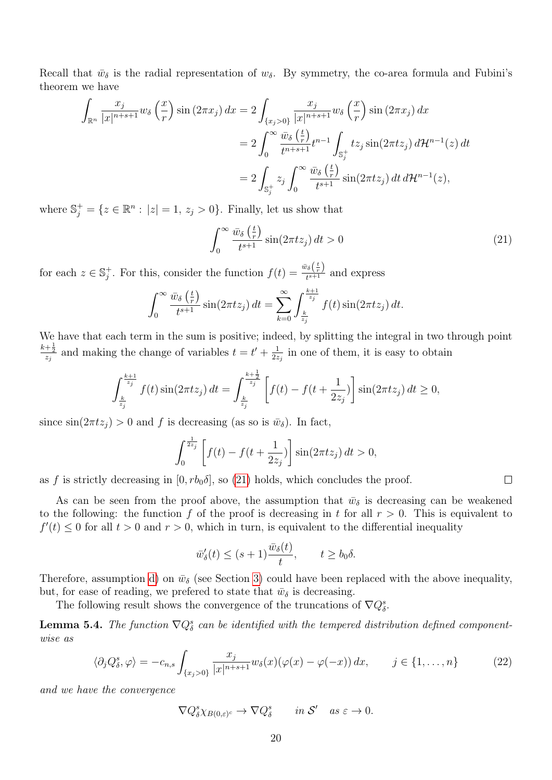Recall that  $\bar{w}_{\delta}$  is the radial representation of  $w_{\delta}$ . By symmetry, the co-area formula and Fubini's theorem we have

$$
\int_{\mathbb{R}^n} \frac{x_j}{|x|^{n+s+1}} w_\delta\left(\frac{x}{r}\right) \sin\left(2\pi x_j\right) dx = 2 \int_{\{x_j > 0\}} \frac{x_j}{|x|^{n+s+1}} w_\delta\left(\frac{x}{r}\right) \sin\left(2\pi x_j\right) dx
$$
  
\n
$$
= 2 \int_0^\infty \frac{\bar{w}_\delta\left(\frac{t}{r}\right)}{t^{n+s+1}} t^{n-1} \int_{\mathbb{S}_j^+} t z_j \sin\left(2\pi t z_j\right) d\mathcal{H}^{n-1}(z) dt
$$
  
\n
$$
= 2 \int_{\mathbb{S}_j^+} z_j \int_0^\infty \frac{\bar{w}_\delta\left(\frac{t}{r}\right)}{t^{s+1}} \sin\left(2\pi t z_j\right) dt d\mathcal{H}^{n-1}(z),
$$

where  $\mathbb{S}_j^+ = \{z \in \mathbb{R}^n : |z| = 1, z_j > 0\}$ . Finally, let us show that

<span id="page-19-0"></span>
$$
\int_0^\infty \frac{\bar{w}_\delta\left(\frac{t}{r}\right)}{t^{s+1}} \sin(2\pi t z_j) dt > 0 \tag{21}
$$

for each  $z \in \mathbb{S}_i^+$ <sup>+</sup><sub>j</sub>. For this, consider the function  $f(t) = \frac{\bar{w}_{\delta}(\frac{t}{r})}{t^{\delta+1}}$  $\frac{\partial \delta \langle r \rangle}{t^{s+1}}$  and express

$$
\int_0^\infty \frac{\bar{w}_\delta\left(\frac{t}{r}\right)}{t^{s+1}} \sin(2\pi t z_j) dt = \sum_{k=0}^\infty \int_{\frac{k}{z_j}}^{\frac{k+1}{z_j}} f(t) \sin(2\pi t z_j) dt.
$$

We have that each term in the sum is positive; indeed, by splitting the integral in two through point  $\frac{k+\frac{1}{2}}{z_j}$  and making the change of variables  $t = t' + \frac{1}{2z}$  $\frac{1}{2z_j}$  in one of them, it is easy to obtain

$$
\int_{\frac{k}{z_j}}^{\frac{k+1}{z_j}} f(t) \sin(2\pi t z_j) dt = \int_{\frac{k}{z_j}}^{\frac{k+\frac{1}{2}}{z_j}} \left[ f(t) - f(t + \frac{1}{2z_j}) \right] \sin(2\pi t z_j) dt \ge 0,
$$

since  $\sin(2\pi t z_i) > 0$  and f is decreasing (as so is  $\bar{w}_\delta$ ). In fact,

$$
\int_0^{\frac{1}{2z_j}} \left[ f(t) - f(t + \frac{1}{2z_j}) \right] \sin(2\pi t z_j) dt > 0,
$$

as f is strictly decreasing in  $[0, rb_0\delta]$ , so [\(21\)](#page-19-0) holds, which concludes the proof.

As can be seen from the proof above, the assumption that  $\bar{w}_{\delta}$  is decreasing can be weakened to the following: the function f of the proof is decreasing in t for all  $r > 0$ . This is equivalent to  $f'(t) \leq 0$  for all  $t > 0$  and  $r > 0$ , which in turn, is equivalent to the differential inequality

$$
\bar{w}'_{\delta}(t) \le (s+1)\frac{\bar{w}_{\delta}(t)}{t}, \qquad t \ge b_0 \delta.
$$

Therefore, assumption [d\)](#page-6-2) on  $\bar{w}_{\delta}$  (see Section [3\)](#page-6-0) could have been replaced with the above inequality, but, for ease of reading, we prefered to state that  $\bar{w}_{\delta}$  is decreasing.

The following result shows the convergence of the truncations of  $\nabla Q^s_{\delta}$ .

<span id="page-19-2"></span>**Lemma 5.4.** The function  $\nabla Q_{\delta}^{s}$  can be identified with the tempered distribution defined componentwise as

<span id="page-19-1"></span>
$$
\langle \partial_j Q^s_{\delta}, \varphi \rangle = -c_{n,s} \int_{\{x_j > 0\}} \frac{x_j}{|x|^{n+s+1}} w_{\delta}(x) (\varphi(x) - \varphi(-x)) dx, \qquad j \in \{1, \dots, n\}
$$
 (22)

and we have the convergence

$$
\nabla Q^s_{\delta} \chi_{B(0,\varepsilon)^c} \to \nabla Q^s_{\delta} \qquad \text{in } \mathcal{S}' \quad \text{as } \varepsilon \to 0.
$$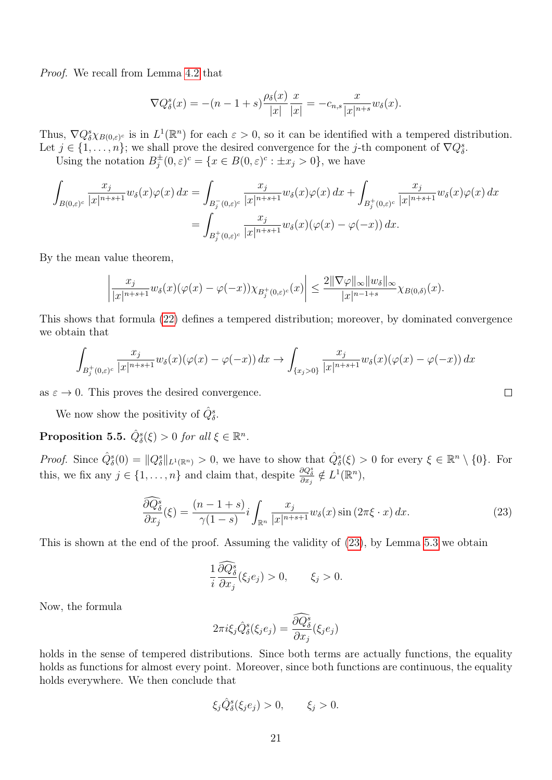Proof. We recall from Lemma [4.2](#page-0-0) that

$$
\nabla Q_{\delta}^{s}(x) = -(n-1+s)\frac{\rho_{\delta}(x)}{|x|}\frac{x}{|x|} = -c_{n,s}\frac{x}{|x|^{n+s}}w_{\delta}(x).
$$

Thus,  $\nabla Q^s_\delta \chi_{B(0,\varepsilon)^c}$  is in  $L^1(\mathbb{R}^n)$  for each  $\varepsilon > 0$ , so it can be identified with a tempered distribution. Let  $j \in \{1, \ldots, n\}$ ; we shall prove the desired convergence for the j-th component of  $\nabla Q^s_{\delta}$ .

Using the notation  $B_i^{\pm}$  $j^{\pm}(0,\varepsilon)^{c} = \{x \in B(0,\varepsilon)^{c} : \pm x_{j} > 0\},\,$  we have

$$
\int_{B(0,\varepsilon)^c} \frac{x_j}{|x|^{n+s+1}} w_\delta(x) \varphi(x) dx = \int_{B_j^-(0,\varepsilon)^c} \frac{x_j}{|x|^{n+s+1}} w_\delta(x) \varphi(x) dx + \int_{B_j^+(0,\varepsilon)^c} \frac{x_j}{|x|^{n+s+1}} w_\delta(x) \varphi(x) dx
$$

$$
= \int_{B_j^+(0,\varepsilon)^c} \frac{x_j}{|x|^{n+s+1}} w_\delta(x) (\varphi(x) - \varphi(-x)) dx.
$$

By the mean value theorem,

$$
\left|\frac{x_j}{|x|^{n+s+1}}w_\delta(x)(\varphi(x)-\varphi(-x))\chi_{B_j^+(0,\varepsilon)^c}(x)\right|\leq \frac{2\|\nabla\varphi\|_\infty\|w_\delta\|_\infty}{|x|^{n-1+s}}\chi_{B(0,\delta)}(x).
$$

This shows that formula [\(22\)](#page-19-1) defines a tempered distribution; moreover, by dominated convergence we obtain that

$$
\int_{B_j^+(0,\varepsilon)^c} \frac{x_j}{|x|^{n+s+1}} w_\delta(x) (\varphi(x) - \varphi(-x)) dx \to \int_{\{x_j > 0\}} \frac{x_j}{|x|^{n+s+1}} w_\delta(x) (\varphi(x) - \varphi(-x)) dx
$$

as  $\varepsilon \to 0$ . This proves the desired convergence.

We now show the positivity of  $\hat{Q}_{\delta}^s$ .

<span id="page-20-1"></span>**Proposition 5.5.**  $\hat{Q}_{\delta}^s(\xi) > 0$  for all  $\xi \in \mathbb{R}^n$ .

*Proof.* Since  $\hat{Q}_{\delta}^s(0) = ||Q_{\delta}^s||_{L^1(\mathbb{R}^n)} > 0$ , we have to show that  $\hat{Q}_{\delta}^s(\xi) > 0$  for every  $\xi \in \mathbb{R}^n \setminus \{0\}$ . For this, we fix any  $j \in \{1, \ldots, n\}$  and claim that, despite  $\frac{\partial Q^s_{\delta}}{\partial x_j} \notin L^1(\mathbb{R}^n)$ ,

<span id="page-20-0"></span>
$$
\frac{\partial Q_{\delta}^s}{\partial x_j}(\xi) = \frac{(n-1+s)}{\gamma(1-s)} i \int_{\mathbb{R}^n} \frac{x_j}{|x|^{n+s+1}} w_{\delta}(x) \sin(2\pi \xi \cdot x) dx.
$$
\n(23)

 $\Box$ 

This is shown at the end of the proof. Assuming the validity of  $(23)$ , by Lemma [5.3](#page-18-0) we obtain

$$
\frac{1}{i}\frac{\partial \widehat{Q}_{\delta}^{s}}{\partial x_{j}}(\xi_{j}e_{j})>0, \qquad \xi_{j}>0.
$$

Now, the formula

$$
2\pi i\xi_j\hat{Q}^s_{\delta}(\xi_je_j)=\frac{\widehat{\partial Q^s_{\delta}}}{\partial x_j}(\xi_je_j)
$$

holds in the sense of tempered distributions. Since both terms are actually functions, the equality holds as functions for almost every point. Moreover, since both functions are continuous, the equality holds everywhere. We then conclude that

$$
\xi_j \hat{Q}^s_{\delta}(\xi_j e_j) > 0, \qquad \xi_j > 0.
$$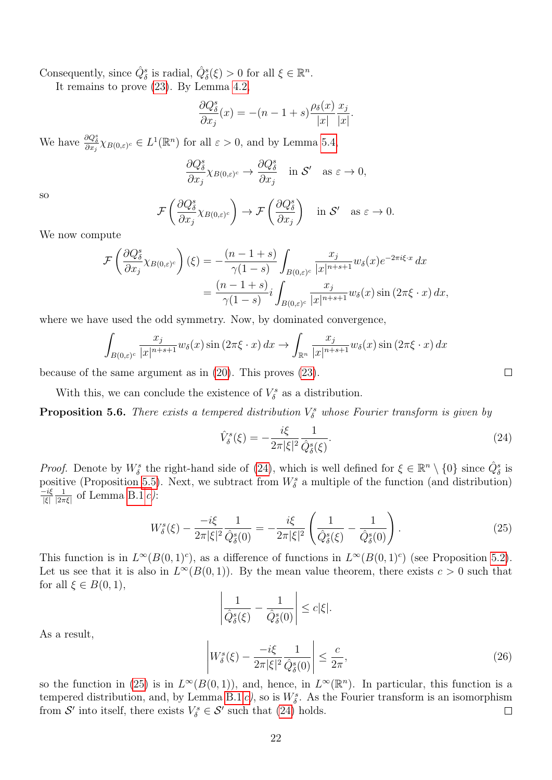Consequently, since  $\hat{Q}_{\delta}^s$  is radial,  $\hat{Q}_{\delta}^s(\xi) > 0$  for all  $\xi \in \mathbb{R}^n$ .

It remains to prove [\(23\)](#page-20-0). By Lemma [4.2,](#page-0-0)

$$
\frac{\partial Q^s_{\delta}}{\partial x_j}(x) = -(n-1+s)\frac{\rho_{\delta}(x)}{|x|}\frac{x_j}{|x|}.
$$

We have  $\frac{\partial Q_{\delta}^s}{\partial x_j} \chi_{B(0,\varepsilon)^c} \in L^1(\mathbb{R}^n)$  for all  $\varepsilon > 0$ , and by Lemma [5.4,](#page-19-2)

$$
\frac{\partial Q_{\delta}^s}{\partial x_j} \chi_{B(0,\varepsilon)^c} \to \frac{\partial Q_{\delta}^s}{\partial x_j} \quad \text{in $\mathcal{S}'$} \quad \text{as $\varepsilon \to 0$},
$$

so

$$
\mathcal{F}\left(\frac{\partial Q_{\delta}^s}{\partial x_j}\chi_{B(0,\varepsilon)^c}\right) \to \mathcal{F}\left(\frac{\partial Q_{\delta}^s}{\partial x_j}\right) \quad \text{in } \mathcal{S}' \quad \text{as } \varepsilon \to 0.
$$

We now compute

$$
\mathcal{F}\left(\frac{\partial Q_{\delta}^{s}}{\partial x_{j}}\chi_{B(0,\varepsilon)^{c}}\right)(\xi) = -\frac{(n-1+s)}{\gamma(1-s)} \int_{B(0,\varepsilon)^{c}} \frac{x_{j}}{|x|^{n+s+1}} w_{\delta}(x) e^{-2\pi i \xi \cdot x} dx
$$

$$
= \frac{(n-1+s)}{\gamma(1-s)} i \int_{B(0,\varepsilon)^{c}} \frac{x_{j}}{|x|^{n+s+1}} w_{\delta}(x) \sin(2\pi \xi \cdot x) dx,
$$

where we have used the odd symmetry. Now, by dominated convergence,

$$
\int_{B(0,\varepsilon)^c} \frac{x_j}{|x|^{n+s+1}} w_\delta(x) \sin(2\pi\xi \cdot x) dx \to \int_{\mathbb{R}^n} \frac{x_j}{|x|^{n+s+1}} w_\delta(x) \sin(2\pi\xi \cdot x) dx
$$

because of the same argument as in [\(20\)](#page-18-2). This proves [\(23\)](#page-20-0).

With this, we can conclude the existence of  $V^s_{\delta}$  as a distribution.

<span id="page-21-2"></span>**Proposition 5.6.** There exists a tempered distribution  $V^s_{\delta}$  whose Fourier transform is given by

<span id="page-21-0"></span>
$$
\hat{V}^s_{\delta}(\xi) = -\frac{i\xi}{2\pi|\xi|^2} \frac{1}{\hat{Q}^s_{\delta}(\xi)}.
$$
\n(24)

*Proof.* Denote by  $W^s_\delta$  the right-hand side of [\(24\)](#page-21-0), which is well defined for  $\xi \in \mathbb{R}^n \setminus \{0\}$  since  $\hat{Q}^s_\delta$  is positive (Proposition [5.5\)](#page-20-1). Next, we subtract from  $W^s_{\delta}$  a multiple of the function (and distribution)  $-i\xi$ |ξ| 1  $\frac{1}{|2\pi\xi|}$  of Lemma [B.1](#page-0-0) [c\)](#page-41-1):

<span id="page-21-1"></span>
$$
W_{\delta}^{s}(\xi) - \frac{-i\xi}{2\pi|\xi|^{2}} \frac{1}{\hat{Q}_{\delta}^{s}(0)} = -\frac{i\xi}{2\pi|\xi|^{2}} \left(\frac{1}{\hat{Q}_{\delta}^{s}(\xi)} - \frac{1}{\hat{Q}_{\delta}^{s}(0)}\right).
$$
\n(25)

This function is in  $L^{\infty}(B(0,1)^c)$ , as a difference of functions in  $L^{\infty}(B(0,1)^c)$  (see Proposition [5.2\)](#page-0-0). Let us see that it is also in  $L^{\infty}(B(0,1))$ . By the mean value theorem, there exists  $c > 0$  such that for all  $\xi \in B(0,1)$ ,

$$
\left|\frac{1}{\hat{Q}_{\delta}^s(\xi)} - \frac{1}{\hat{Q}_{\delta}^s(0)}\right| \leq c|\xi|.
$$

As a result,

<span id="page-21-3"></span>
$$
\left| W^s_{\delta}(\xi) - \frac{-i\xi}{2\pi |\xi|^2} \frac{1}{\hat{Q}^s_{\delta}(0)} \right| \le \frac{c}{2\pi},\tag{26}
$$

so the function in [\(25\)](#page-21-1) is in  $L^{\infty}(B(0,1))$ , and, hence, in  $L^{\infty}(\mathbb{R}^n)$ . In particular, this function is a tempered distribution, and, by Lemma [B.1](#page-0-0) [c\)](#page-41-1), so is  $W^s_{\delta}$ . As the Fourier transform is an isomorphism from  $\mathcal{S}'$  into itself, there exists  $V^s_{\delta} \in \mathcal{S}'$  such that [\(24\)](#page-21-0) holds.  $\Box$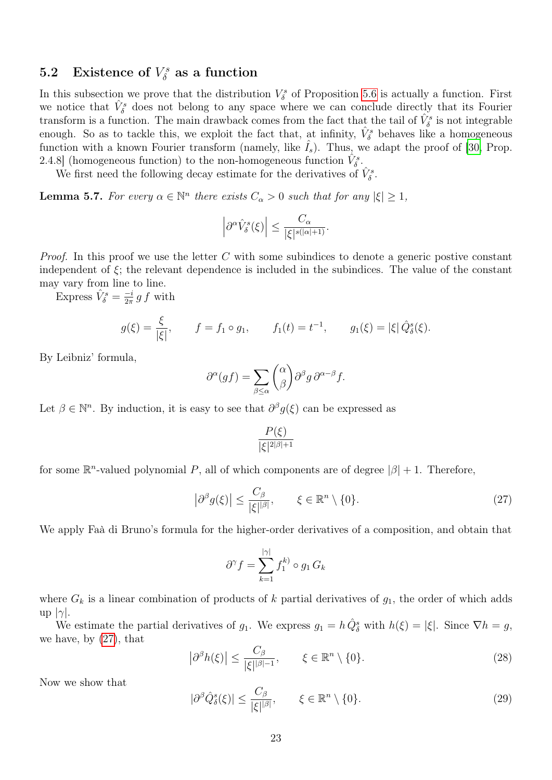#### 5.2 Existence of  $V^s_\delta$  $\delta^{\scriptscriptstyle{rs}}_{\delta}$  as a function

In this subsection we prove that the distribution  $V^s_{\delta}$  of Proposition [5.6](#page-21-2) is actually a function. First we notice that  $\hat{V}^s_{\delta}$  does not belong to any space where we can conclude directly that its Fourier transform is a function. The main drawback comes from the fact that the tail of  $\hat{V}^s_{\delta}$  is not integrable enough. So as to tackle this, we exploit the fact that, at infinity,  $\hat{V}^s_{\delta}$  behaves like a homogeneous function with a known Fourier transform (namely, like  $I_s$ ). Thus, we adapt the proof of [\[30,](#page-45-12) Prop. 2.4.8] (homogeneous function) to the non-homogeneous function  $\hat{V}^s_{\delta}$ .

We first need the following decay estimate for the derivatives of  $\hat{V}^s_{\delta}$ .

<span id="page-22-3"></span>**Lemma 5.7.** For every  $\alpha \in \mathbb{N}^n$  there exists  $C_{\alpha} > 0$  such that for any  $|\xi| \geq 1$ ,

$$
\left|\partial^{\alpha}\hat{V}^{s}_{\delta}(\xi)\right|\leq \frac{C_{\alpha}}{|\xi|^{s(|\alpha|+1)}}.
$$

*Proof.* In this proof we use the letter  $C$  with some subindices to denote a generic postive constant independent of  $\xi$ ; the relevant dependence is included in the subindices. The value of the constant may vary from line to line.

Express  $\hat{V}^s_{\delta} = \frac{-i}{2\pi}$  $\frac{-i}{2\pi} g f$  with

$$
g(\xi) = \frac{\xi}{|\xi|},
$$
  $f = f_1 \circ g_1,$   $f_1(t) = t^{-1},$   $g_1(\xi) = |\xi| \hat{Q}_{\delta}^s(\xi).$ 

By Leibniz' formula,

$$
\partial^{\alpha}(gf) = \sum_{\beta \leq \alpha} {\alpha \choose \beta} \partial^{\beta}g \, \partial^{\alpha-\beta}f.
$$

Let  $\beta \in \mathbb{N}^n$ . By induction, it is easy to see that  $\partial^{\beta} g(\xi)$  can be expressed as

 $\bigg\}$ 

$$
\frac{P(\xi)}{|\xi|^{2|\beta|+1}}
$$

for some  $\mathbb{R}^n$ -valued polynomial P, all of which components are of degree  $|\beta| + 1$ . Therefore,

<span id="page-22-0"></span>
$$
\left|\partial^{\beta}g(\xi)\right| \leq \frac{C_{\beta}}{|\xi|^{\beta}}, \qquad \xi \in \mathbb{R}^{n} \setminus \{0\}.
$$
 (27)

We apply Faà di Bruno's formula for the higher-order derivatives of a composition, and obtain that

$$
\partial^{\gamma} f = \sum_{k=1}^{|\gamma|} f_1^{k)} \circ g_1 G_k
$$

where  $G_k$  is a linear combination of products of k partial derivatives of  $g_1$ , the order of which adds up  $|\gamma|$ .

We estimate the partial derivatives of  $g_1$ . We express  $g_1 = h \hat{Q}_\delta^s$  with  $h(\xi) = |\xi|$ . Since  $\nabla h = g$ , we have, by [\(27\)](#page-22-0), that

<span id="page-22-2"></span>
$$
\left|\partial^{\beta}h(\xi)\right| \le \frac{C_{\beta}}{|\xi|^{\beta-1}}, \qquad \xi \in \mathbb{R}^n \setminus \{0\}. \tag{28}
$$

Now we show that

<span id="page-22-1"></span>
$$
|\partial^{\beta}\hat{Q}_{\delta}^{s}(\xi)| \le \frac{C_{\beta}}{|\xi|^{|\beta|}}, \qquad \xi \in \mathbb{R}^{n} \setminus \{0\}.
$$
 (29)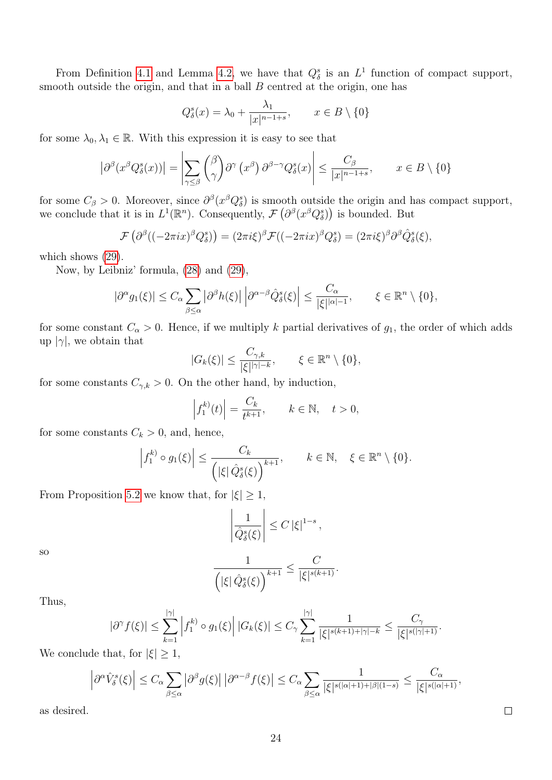From Definition [4.1](#page-12-5) and Lemma [4.2,](#page-0-0) we have that  $Q_{\delta}^{s}$  is an  $L^{1}$  function of compact support, smooth outside the origin, and that in a ball  $B$  centred at the origin, one has

$$
Q_{\delta}^{s}(x) = \lambda_0 + \frac{\lambda_1}{|x|^{n-1+s}}, \qquad x \in B \setminus \{0\}
$$

for some  $\lambda_0, \lambda_1 \in \mathbb{R}$ . With this expression it is easy to see that

$$
\left| \partial^{\beta} (x^{\beta} Q_{\delta}^{s}(x)) \right| = \left| \sum_{\gamma \leq \beta} {\beta \choose \gamma} \partial^{\gamma} (x^{\beta}) \partial^{\beta - \gamma} Q_{\delta}^{s}(x) \right| \leq \frac{C_{\beta}}{|x|^{n-1+s}}, \qquad x \in B \setminus \{0\}
$$

for some  $C_\beta > 0$ . Moreover, since  $\partial^\beta (x^\beta Q_\delta^s)$  is smooth outside the origin and has compact support, we conclude that it is in  $L^1(\mathbb{R}^n)$ . Consequently,  $\mathcal{F}(\partial^\beta(x^\beta Q_\delta^s))$  is bounded. But

$$
\mathcal{F}\left(\partial^{\beta}((-2\pi ix)^{\beta}Q_{\delta}^{s})\right)=(2\pi i\xi)^{\beta}\mathcal{F}((-2\pi ix)^{\beta}Q_{\delta}^{s})=(2\pi i\xi)^{\beta}\partial^{\beta}\hat{Q}_{\delta}^{s}(\xi),
$$

which shows  $(29)$ .

Now, by Leibniz' formula, [\(28\)](#page-22-2) and [\(29\)](#page-22-1),

$$
|\partial^{\alpha}g_1(\xi)| \leq C_{\alpha} \sum_{\beta \leq \alpha} |\partial^{\beta}h(\xi)| \left| \partial^{\alpha-\beta} \hat{Q}_{\delta}^s(\xi) \right| \leq \frac{C_{\alpha}}{|\xi|^{\alpha-1}}, \qquad \xi \in \mathbb{R}^n \setminus \{0\},\
$$

for some constant  $C_{\alpha} > 0$ . Hence, if we multiply k partial derivatives of  $g_1$ , the order of which adds up  $|\gamma|$ , we obtain that

$$
|G_k(\xi)| \le \frac{C_{\gamma,k}}{|\xi|^{|\gamma|-k}}, \qquad \xi \in \mathbb{R}^n \setminus \{0\},\
$$

for some constants  $C_{\gamma,k} > 0$ . On the other hand, by induction,

$$
\left| f_1^{(k)}(t) \right| = \frac{C_k}{t^{k+1}}, \qquad k \in \mathbb{N}, \quad t > 0,
$$

for some constants  $C_k > 0$ , and, hence,

$$
\left|f_1^{k}\circ g_1(\xi)\right| \leq \frac{C_k}{\left(|\xi|\,\hat{Q}_{\delta}^s(\xi)\right)^{k+1}}, \qquad k \in \mathbb{N}, \quad \xi \in \mathbb{R}^n \setminus \{0\}.
$$

From Proposition [5.2](#page-0-0) we know that, for  $|\xi| \geq 1$ ,

$$
\left|\frac{1}{\hat{Q}_{\delta}^{s}(\xi)}\right| \leq C |\xi|^{1-s},
$$

so

$$
\frac{1}{\left( |\xi|\,\hat{Q}^s_{\delta}(\xi)\right)^{k+1}}\leq \frac{C}{|\xi|^{s(k+1)}}.
$$

Thus,

$$
|\partial^{\gamma} f(\xi)| \leq \sum_{k=1}^{|\gamma|} \left| f_1^{k} \circ g_1(\xi) \right| |G_k(\xi)| \leq C_{\gamma} \sum_{k=1}^{|\gamma|} \frac{1}{|\xi|^{s(k+1)+|\gamma|-k}} \leq \frac{C_{\gamma}}{|\xi|^{s(|\gamma|+1)}}.
$$

We conclude that, for  $|\xi| \geq 1$ ,

$$
\left|\partial^{\alpha}\hat{V}_{\delta}^{s}(\xi)\right| \leq C_{\alpha} \sum_{\beta \leq \alpha} \left|\partial^{\beta}g(\xi)\right| \left|\partial^{\alpha-\beta}f(\xi)\right| \leq C_{\alpha} \sum_{\beta \leq \alpha} \frac{1}{|\xi|^{s(|\alpha|+1)+|\beta|(1-s)}} \leq \frac{C_{\alpha}}{|\xi|^{s(|\alpha|+1)}},
$$

 $\Box$ 

as desired.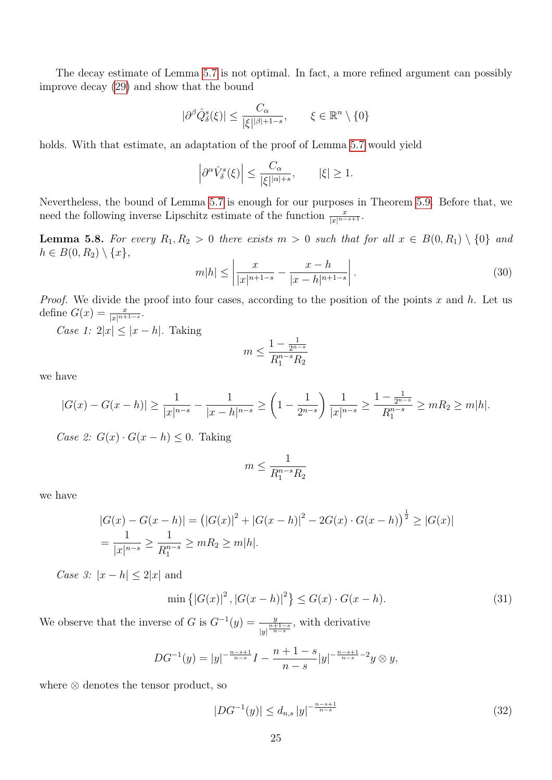The decay estimate of Lemma [5.7](#page-22-3) is not optimal. In fact, a more refined argument can possibly improve decay [\(29\)](#page-22-1) and show that the bound

$$
|\partial^{\beta}\hat{Q}_{\delta}^{s}(\xi)| \leq \frac{C_{\alpha}}{|\xi|^{|\beta|+1-s}}, \qquad \xi \in \mathbb{R}^{n} \setminus \{0\}
$$

holds. With that estimate, an adaptation of the proof of Lemma [5.7](#page-22-3) would yield

$$
\left|\partial^{\alpha}\hat{V}^{s}_{\delta}(\xi)\right| \leq \frac{C_{\alpha}}{|\xi|^{\vert\alpha\vert+s}}, \qquad |\xi|\geq 1.
$$

Nevertheless, the bound of Lemma [5.7](#page-22-3) is enough for our purposes in Theorem [5.9.](#page-27-0) Before that, we need the following inverse Lipschitz estimate of the function  $\frac{x}{|x|^{n-s+1}}$ .

<span id="page-24-3"></span>**Lemma 5.8.** For every  $R_1, R_2 > 0$  there exists  $m > 0$  such that for all  $x \in B(0, R_1) \setminus \{0\}$  and  $h \in B(0, R_2) \setminus \{x\},\$ 

<span id="page-24-2"></span>
$$
m|h| \le \left| \frac{x}{|x|^{n+1-s}} - \frac{x-h}{|x-h|^{n+1-s}} \right|.
$$
\n(30)

*Proof.* We divide the proof into four cases, according to the position of the points x and h. Let us define  $G(x) = \frac{x}{|x|^{n+1-s}}$ .

Case 1:  $2|x| \leq |x-h|$ . Taking

$$
m \le \frac{1 - \frac{1}{2^{n-s}}}{R_1^{n-s} R_2}
$$

we have

$$
|G(x) - G(x - h)| \ge \frac{1}{|x|^{n-s}} - \frac{1}{|x - h|^{n-s}} \ge \left(1 - \frac{1}{2^{n-s}}\right) \frac{1}{|x|^{n-s}} \ge \frac{1 - \frac{1}{2^{n-s}}}{R_1^{n-s}} \ge mR_2 \ge m|h|.
$$

Case 2:  $G(x) \cdot G(x-h) \leq 0$ . Taking

$$
m \le \frac{1}{R_1^{n-s}R_2}
$$

we have

$$
|G(x) - G(x - h)| = (|G(x)|^2 + |G(x - h)|^2 - 2G(x) \cdot G(x - h))^{1/2} \ge |G(x)|
$$
  
= 
$$
\frac{1}{|x|^{n-s}} \ge \frac{1}{R_1^{n-s}} \ge mR_2 \ge m|h|.
$$

Case 3:  $|x-h| \leq 2|x|$  and

<span id="page-24-1"></span>
$$
\min\{|G(x)|^2, |G(x-h)|^2\} \le G(x) \cdot G(x-h). \tag{31}
$$

We observe that the inverse of G is  $G^{-1}(y) = \frac{y}{|y|^{\frac{n+1-s}{n-s}}}$ , with derivative

$$
DG^{-1}(y) = |y|^{-\frac{n-s+1}{n-s}}I - \frac{n+1-s}{n-s}|y|^{-\frac{n-s+1}{n-s}-2}y \otimes y,
$$

where ⊗ denotes the tensor product, so

<span id="page-24-0"></span>
$$
|DG^{-1}(y)| \le d_{n,s} \, |y|^{-\frac{n-s+1}{n-s}} \tag{32}
$$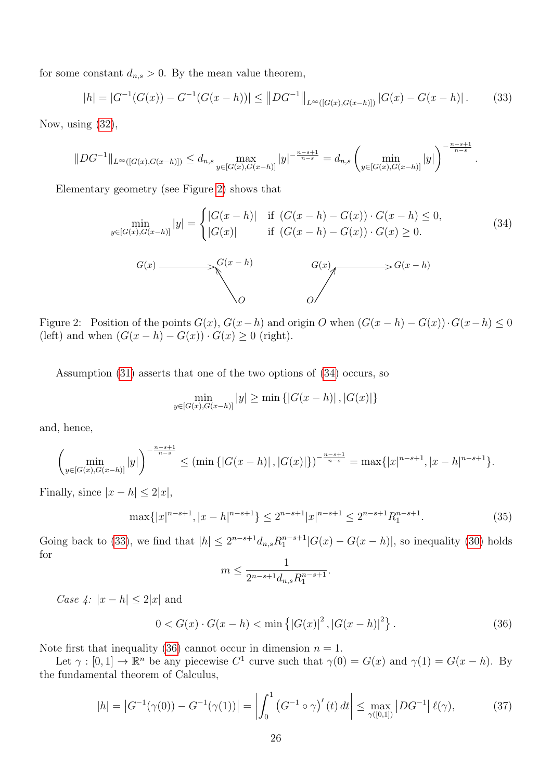for some constant  $d_{n,s} > 0$ . By the mean value theorem,

<span id="page-25-2"></span>
$$
|h| = |G^{-1}(G(x)) - G^{-1}(G(x - h))| \le ||DG^{-1}||_{L^{\infty}([G(x), G(x - h)])} |G(x) - G(x - h)|. \tag{33}
$$

Now, using [\(32\)](#page-24-0),

$$
||DG^{-1}||_{L^{\infty}([G(x),G(x-h)])} \leq d_{n,s} \max_{y \in [G(x),G(x-h)]} |y|^{-\frac{n-s+1}{n-s}} = d_{n,s} \left( \min_{y \in [G(x),G(x-h)]} |y| \right)^{-\frac{n-s+1}{n-s}}.
$$

Elementary geometry (see Figure [2\)](#page-25-0) shows that

<span id="page-25-1"></span>
$$
\min_{y \in [G(x), G(x-h)]} |y| = \begin{cases} |G(x-h)| & \text{if } (G(x-h) - G(x)) \cdot G(x-h) \le 0, \\ |G(x)| & \text{if } (G(x-h) - G(x)) \cdot G(x) \ge 0. \end{cases} (34)
$$
\n
$$
G(x) \longrightarrow G(x-h)
$$
\n
$$
G(x) \longrightarrow G(x-h)
$$
\n
$$
G(x) \longrightarrow G(x-h)
$$

<span id="page-25-0"></span>Figure 2: Position of the points  $G(x)$ ,  $G(x-h)$  and origin O when  $(G(x-h) - G(x)) \cdot G(x-h) \leq 0$ (left) and when  $(G(x - h) - G(x)) \cdot G(x) \geq 0$  (right).

Assumption [\(31\)](#page-24-1) asserts that one of the two options of [\(34\)](#page-25-1) occurs, so

$$
\min_{y \in [G(x), G(x-h)]} |y| \ge \min \{ |G(x-h)|, |G(x)| \}
$$

and, hence,

$$
\left(\min_{y\in[G(x),G(x-h)]}|y|\right)^{-\frac{n-s+1}{n-s}} \leq \left(\min\left\{|G(x-h)|,|G(x)|\right\}\right)^{-\frac{n-s+1}{n-s}} = \max\{|x|^{n-s+1},|x-h|^{n-s+1}\}.
$$

Finally, since  $|x - h| \leq 2|x|$ ,

<span id="page-25-5"></span>
$$
\max\{|x|^{n-s+1}, |x-h|^{n-s+1}\} \le 2^{n-s+1}|x|^{n-s+1} \le 2^{n-s+1}R_1^{n-s+1}.\tag{35}
$$

Going back to [\(33\)](#page-25-2), we find that  $|h| \leq 2^{n-s+1} d_{n,s} R_1^{n-s+1} |G(x) - G(x-h)|$ , so inequality [\(30\)](#page-24-2) holds for

$$
m \le \frac{1}{2^{n-s+1}d_{n,s}R_1^{n-s+1}}.
$$

Case 4:  $|x-h| \leq 2|x|$  and

<span id="page-25-3"></span>
$$
0 < G(x) \cdot G(x - h) < \min\left\{ |G(x)|^2, |G(x - h)|^2 \right\}. \tag{36}
$$

Note first that inequality [\(36\)](#page-25-3) cannot occur in dimension  $n = 1$ .

Let  $\gamma : [0,1] \to \mathbb{R}^n$  be any piecewise  $C^1$  curve such that  $\gamma(0) = G(x)$  and  $\gamma(1) = G(x-h)$ . By the fundamental theorem of Calculus,

<span id="page-25-4"></span>
$$
|h| = |G^{-1}(\gamma(0)) - G^{-1}(\gamma(1))| = \left| \int_0^1 (G^{-1} \circ \gamma)'(t) dt \right| \le \max_{\gamma([0,1])} |DG^{-1}| \ell(\gamma), \tag{37}
$$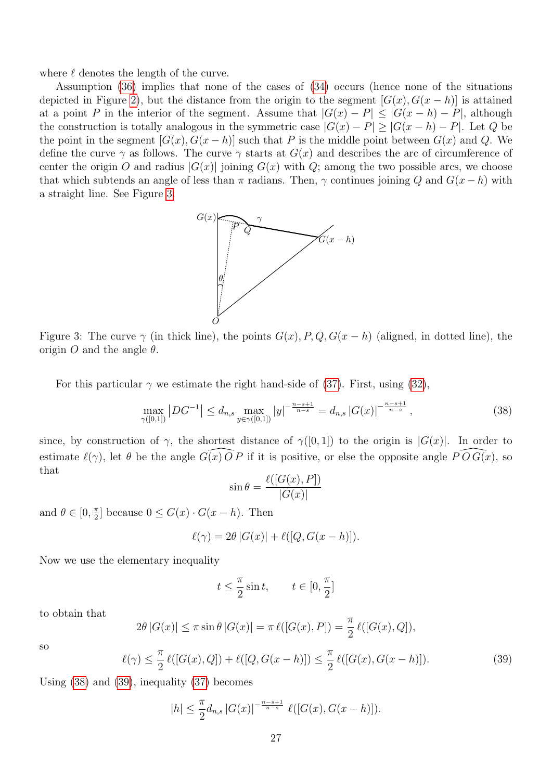where  $\ell$  denotes the length of the curve.

Assumption [\(36\)](#page-25-3) implies that none of the cases of [\(34\)](#page-25-1) occurs (hence none of the situations depicted in Figure [2\)](#page-25-0), but the distance from the origin to the segment  $[G(x), G(x - h)]$  is attained at a point P in the interior of the segment. Assume that  $|G(x) - P| \leq |G(x - h) - P|$ , although the construction is totally analogous in the symmetric case  $|G(x) - P| \geq |G(x - h) - P|$ . Let Q be the point in the segment  $[G(x), G(x-h)]$  such that P is the middle point between  $G(x)$  and Q. We define the curve  $\gamma$  as follows. The curve  $\gamma$  starts at  $G(x)$  and describes the arc of circumference of center the origin O and radius  $|G(x)|$  joining  $G(x)$  with Q; among the two possible arcs, we choose that which subtends an angle of less than  $\pi$  radians. Then,  $\gamma$  continues joining Q and  $G(x - h)$  with a straight line. See Figure [3.](#page-26-0)



<span id="page-26-0"></span>Figure 3: The curve  $\gamma$  (in thick line), the points  $G(x)$ , P, Q,  $G(x-h)$  (aligned, in dotted line), the origin O and the angle  $\theta$ .

For this particular  $\gamma$  we estimate the right hand-side of [\(37\)](#page-25-4). First, using [\(32\)](#page-24-0),

<span id="page-26-1"></span>
$$
\max_{\gamma([0,1])} |DG^{-1}| \le d_{n,s} \max_{y \in \gamma([0,1])} |y|^{-\frac{n-s+1}{n-s}} = d_{n,s} |G(x)|^{-\frac{n-s+1}{n-s}}, \tag{38}
$$

since, by construction of  $\gamma$ , the shortest distance of  $\gamma([0,1])$  to the origin is  $|G(x)|$ . In order to estimate  $\ell(\gamma)$ , let  $\theta$  be the angle  $G(\overline{x}) \overline{O} P$  if it is positive, or else the opposite angle  $\widehat{P} \widehat{O} G(\overline{x})$ , so that

$$
\sin \theta = \frac{\ell([G(x), P])}{|G(x)|}
$$

and  $\theta \in [0, \frac{\pi}{2}]$  $\frac{\pi}{2}$  because  $0 \leq G(x) \cdot G(x-h)$ . Then

$$
\ell(\gamma) = 2\theta |G(x)| + \ell([Q, G(x-h)]).
$$

Now we use the elementary inequality

$$
t\leq\frac{\pi}{2}\sin t,\qquad t\in[0,\frac{\pi}{2}]
$$

to obtain that

$$
2\theta |G(x)| \le \pi \sin \theta |G(x)| = \pi \ell([G(x), P]) = \frac{\pi}{2} \ell([G(x), Q]),
$$

so

<span id="page-26-2"></span>
$$
\ell(\gamma) \le \frac{\pi}{2} \ell([G(x), Q]) + \ell([Q, G(x - h)]) \le \frac{\pi}{2} \ell([G(x), G(x - h)]). \tag{39}
$$

Using [\(38\)](#page-26-1) and [\(39\)](#page-26-2), inequality [\(37\)](#page-25-4) becomes

$$
|h| \leq \frac{\pi}{2} d_{n,s} |G(x)|^{-\frac{n-s+1}{n-s}} \ell([G(x), G(x-h)]).
$$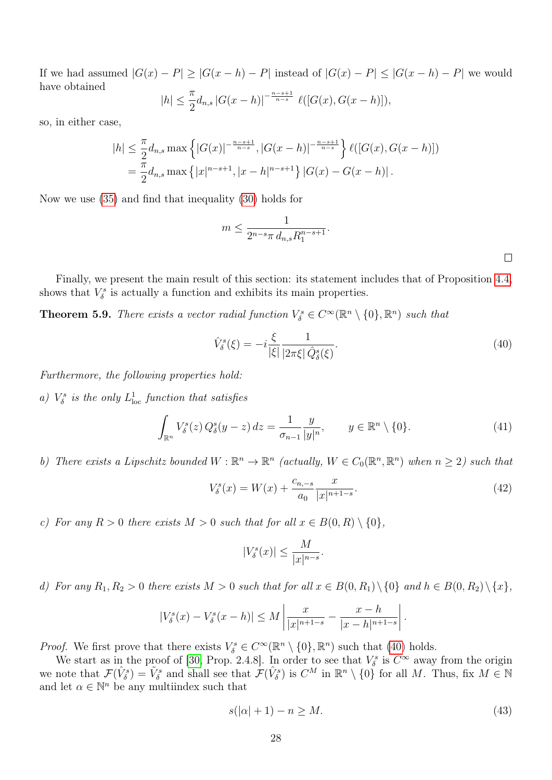If we had assumed  $|G(x) - P| \geq |G(x - h) - P|$  instead of  $|G(x) - P| \leq |G(x - h) - P|$  we would have obtained  $|h| \leq \frac{\pi}{2}$ −  $n-s+1$ 

$$
h| \leq \frac{n}{2} d_{n,s} |G(x-h)|^{-\frac{n-s+1}{n-s}} \ell([G(x), G(x-h)]),
$$

so, in either case,

$$
|h| \leq \frac{\pi}{2} d_{n,s} \max \left\{ |G(x)|^{-\frac{n-s+1}{n-s}}, |G(x-h)|^{-\frac{n-s+1}{n-s}} \right\} \ell([G(x), G(x-h)])
$$
  
=  $\frac{\pi}{2} d_{n,s} \max \left\{ |x|^{n-s+1}, |x-h|^{n-s+1} \right\} |G(x) - G(x-h)|.$ 

Now we use [\(35\)](#page-25-5) and find that inequality [\(30\)](#page-24-2) holds for

$$
m\leq \frac{1}{2^{n-s}\pi\,d_{n,s}R_1^{n-s+1}}.
$$

Finally, we present the main result of this section: its statement includes that of Proposition [4.4,](#page-14-0) shows that  $V^s_{\delta}$  is actually a function and exhibits its main properties.

<span id="page-27-0"></span>**Theorem 5.9.** There exists a vector radial function  $V^s_{\delta} \in C^{\infty}(\mathbb{R}^n \setminus \{0\}, \mathbb{R}^n)$  such that

<span id="page-27-1"></span>
$$
\hat{V}^s_{\delta}(\xi) = -i \frac{\xi}{|\xi|} \frac{1}{|2\pi\xi| \hat{Q}^s_{\delta}(\xi)}.
$$
\n(40)

Furthermore, the following properties hold:

<span id="page-27-4"></span>a)  $V^s_{\delta}$  is the only  $L^1_{\text{loc}}$  function that satisfies

<span id="page-27-5"></span>
$$
\int_{\mathbb{R}^n} V_\delta^s(z) Q_\delta^s(y-z) dz = \frac{1}{\sigma_{n-1}} \frac{y}{|y|^n}, \qquad y \in \mathbb{R}^n \setminus \{0\}.
$$
\n(41)

<span id="page-27-6"></span>b) There exists a Lipschitz bounded  $W : \mathbb{R}^n \to \mathbb{R}^n$  (actually,  $W \in C_0(\mathbb{R}^n, \mathbb{R}^n)$  when  $n \geq 2$ ) such that

<span id="page-27-3"></span>
$$
V_{\delta}^{s}(x) = W(x) + \frac{c_{n,-s}}{a_0} \frac{x}{|x|^{n+1-s}}.
$$
\n(42)

<span id="page-27-7"></span>c) For any  $R > 0$  there exists  $M > 0$  such that for all  $x \in B(0, R) \setminus \{0\},$ 

$$
|V^s_{\delta}(x)| \le \frac{M}{|x|^{n-s}}.
$$

<span id="page-27-8"></span>d) For any  $R_1, R_2 > 0$  there exists  $M > 0$  such that for all  $x \in B(0, R_1) \setminus \{0\}$  and  $h \in B(0, R_2) \setminus \{x\}$ ,

$$
|V^s_{\delta}(x) - V^s_{\delta}(x - h)| \le M \left| \frac{x}{|x|^{n+1-s}} - \frac{x - h}{|x - h|^{n+1-s}} \right|.
$$

*Proof.* We first prove that there exists  $V^s_\delta \in C^\infty(\mathbb{R}^n \setminus \{0\}, \mathbb{R}^n)$  such that [\(40\)](#page-27-1) holds.

We start as in the proof of [\[30,](#page-45-12) Prop. 2.4.8]. In order to see that  $V^s_\delta$  is  $C^\infty$  away from the origin we note that  $\mathcal{F}(\hat{V}_{\delta}^s) = \tilde{V}_{\delta}^s$  and shall see that  $\mathcal{F}(\hat{V}_{\delta}^s)$  is  $C^M$  in  $\mathbb{R}^n \setminus \{0\}$  for all M. Thus, fix  $M \in \mathbb{N}$ and let  $\alpha \in \mathbb{N}^n$  be any multiindex such that

<span id="page-27-2"></span>
$$
s(|\alpha|+1) - n \ge M. \tag{43}
$$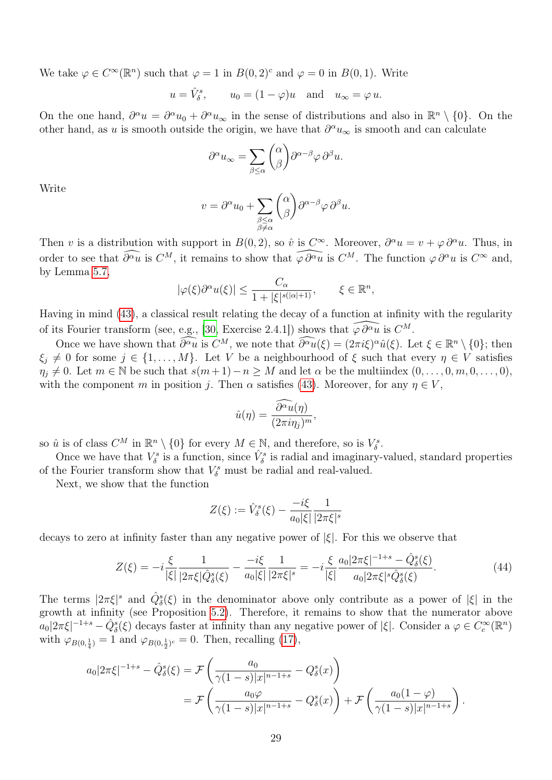We take  $\varphi \in C^{\infty}(\mathbb{R}^n)$  such that  $\varphi = 1$  in  $B(0, 2)^c$  and  $\varphi = 0$  in  $B(0, 1)$ . Write

$$
u = \hat{V}_{\delta}^{s}
$$
,  $u_0 = (1 - \varphi)u$  and  $u_{\infty} = \varphi u$ .

On the one hand,  $\partial^{\alpha} u = \partial^{\alpha} u_0 + \partial^{\alpha} u_{\infty}$  in the sense of distributions and also in  $\mathbb{R}^n \setminus \{0\}$ . On the other hand, as u is smooth outside the origin, we have that  $\partial^{\alpha}u_{\infty}$  is smooth and can calculate

$$
\partial^{\alpha} u_{\infty} = \sum_{\beta \leq \alpha} {\alpha \choose \beta} \partial^{\alpha-\beta} \varphi \, \partial^{\beta} u.
$$

Write

$$
v = \partial^{\alpha} u_0 + \sum_{\substack{\beta \leq \alpha \\ \beta \neq \alpha}} {\alpha \choose \beta} \partial^{\alpha-\beta} \varphi \, \partial^{\beta} u.
$$

Then v is a distribution with support in  $B(0, 2)$ , so  $\hat{v}$  is  $C^{\infty}$ . Moreover,  $\partial^{\alpha}u = v + \varphi \partial^{\alpha}u$ . Thus, in order to see that  $\widehat{\partial^{\alpha} u}$  is  $C^M$ , it remains to show that  $\widehat{\varphi \partial^{\alpha} u}$  is  $C^M$ . The function  $\varphi \partial^{\alpha} u$  is  $C^{\infty}$  and, by Lemma [5.7,](#page-22-3)

$$
|\varphi(\xi)\partial^{\alpha}u(\xi)| \leq \frac{C_{\alpha}}{1+|\xi|^{s(|\alpha|+1)}}, \qquad \xi \in \mathbb{R}^n,
$$

Having in mind [\(43\)](#page-27-2), a classical result relating the decay of a function at infinity with the regularity of its Fourier transform (see, e.g., [\[30,](#page-45-12) Exercise 2.4.1]) shows that  $\widehat{\varphi \partial^{\alpha} u}$  is  $C^M$ .

Once we have shown that  $\widehat{\partial^{\alpha}u}$  is  $C^M$ , we note that  $\widehat{\partial^{\alpha}u}(\xi) = (2\pi i\xi)^{\alpha}\hat{u}(\xi)$ . Let  $\xi \in \mathbb{R}^n \setminus \{0\}$ ; then  $\xi_j \neq 0$  for some  $j \in \{1, ..., M\}$ . Let V be a neighbourhood of  $\xi$  such that every  $\eta \in V$  satisfies  $\eta_j \neq 0$ . Let  $m \in \mathbb{N}$  be such that  $s(m+1)-n \geq M$  and let  $\alpha$  be the multiindex  $(0, \ldots, 0, m, 0, \ldots, 0)$ , with the component m in position j. Then  $\alpha$  satisfies [\(43\)](#page-27-2). Moreover, for any  $\eta \in V$ ,

$$
\hat{u}(\eta) = \frac{\partial^{\alpha} \tilde{u}(\eta)}{(2\pi i\eta_j)^m},
$$

so  $\hat{u}$  is of class  $C^M$  in  $\mathbb{R}^n \setminus \{0\}$  for every  $M \in \mathbb{N}$ , and therefore, so is  $V^s_{\delta}$ .

Once we have that  $V^s_\delta$  is a function, since  $\hat{V}^s_\delta$  is radial and imaginary-valued, standard properties of the Fourier transform show that  $V^s_{\delta}$  must be radial and real-valued.

Next, we show that the function

$$
Z(\xi) := \hat{V}_\delta^s(\xi) - \frac{-i\xi}{a_0|\xi|} \frac{1}{|2\pi\xi|^s}
$$

decays to zero at infinity faster than any negative power of  $|\xi|$ . For this we observe that

<span id="page-28-0"></span>
$$
Z(\xi) = -i\frac{\xi}{|\xi|} \frac{1}{|2\pi\xi|\hat{Q}^s_{\delta}(\xi)} - \frac{-i\xi}{a_0|\xi|} \frac{1}{|2\pi\xi|^s} = -i\frac{\xi}{|\xi|} \frac{a_0|2\pi\xi|^{-1+s} - \hat{Q}^s_{\delta}(\xi)}{a_0|2\pi\xi|^s \hat{Q}^s_{\delta}(\xi)}.
$$
(44)

The terms  $|2\pi\xi|^s$  and  $\hat{Q}^s_{\delta}(\xi)$  in the denominator above only contribute as a power of  $|\xi|$  in the growth at infinity (see Proposition [5.2\)](#page-0-0). Therefore, it remains to show that the numerator above  $a_0|2\pi\xi|^{-1+s} - \hat{Q}_{\delta}^s(\xi)$  decays faster at infinity than any negative power of  $|\xi|$ . Consider a  $\varphi \in C_c^{\infty}(\mathbb{R}^n)$ with  $\varphi_{B(0, \frac{1}{4})} = 1$  and  $\varphi_{B(0, \frac{1}{2})^c} = 0$ . Then, recalling [\(17\)](#page-15-1),

$$
a_0|2\pi\xi|^{-1+s} - \hat{Q}_{\delta}^s(\xi) = \mathcal{F}\left(\frac{a_0}{\gamma(1-s)|x|^{n-1+s}} - Q_{\delta}^s(x)\right)
$$
  
= 
$$
\mathcal{F}\left(\frac{a_0\varphi}{\gamma(1-s)|x|^{n-1+s}} - Q_{\delta}^s(x)\right) + \mathcal{F}\left(\frac{a_0(1-\varphi)}{\gamma(1-s)|x|^{n-1+s}}\right).
$$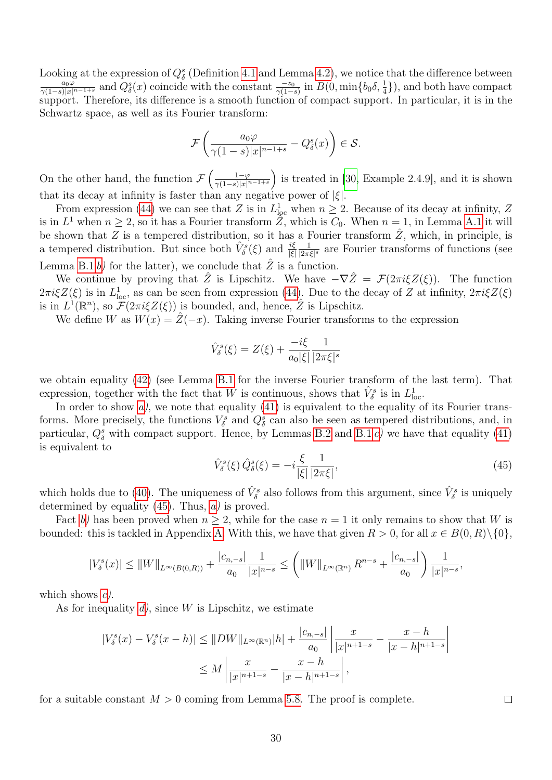Looking at the expression of  $Q_{\delta}^{s}$  (Definition [4.1](#page-12-5) and Lemma [4.2\)](#page-0-0), we notice that the difference between  $\frac{a_0\varphi}{\gamma(1-s)|x|^{n-1+s}}$  and  $Q^s_{\delta}(x)$  coincide with the constant  $\frac{-z_0}{\gamma(1-s)}$  in  $B(0, \min\{b_0\delta, \frac{1}{4}\})$ , and both have compact support. Therefore, its difference is a smooth function of compact support. In particular, it is in the Schwartz space, as well as its Fourier transform:

$$
\mathcal{F}\left(\frac{a_0\varphi}{\gamma(1-s)|x|^{n-1+s}} - Q^s_{\delta}(x)\right) \in \mathcal{S}.
$$

On the other hand, the function  $\mathcal{F}\left(\frac{1-\varphi}{\gamma(1-\epsilon)|x|^{\gamma}}\right)$  $\frac{1-\varphi}{\gamma(1-s)|x|^{n-1+s}}$  is treated in [\[30,](#page-45-12) Example 2.4.9], and it is shown that its decay at infinity is faster than any negative power of  $|\xi|$ .

From expression [\(44\)](#page-28-0) we can see that Z is in  $L^1_{loc}$  when  $n \geq 2$ . Because of its decay at infinity, Z is in  $L^1$  when  $n \geq 2$ , so it has a Fourier transform  $\tilde{Z}$ , which is  $C_0$ . When  $n = 1$ , in Lemma [A.1](#page-39-1) it will be shown that Z is a tempered distribution, so it has a Fourier transform  $\tilde{Z}$ , which, in principle, is a tempered distribution. But since both  $\hat{V}^s_{\delta}(\xi)$  and  $\frac{i\xi}{|\xi|}$ 1  $\frac{1}{|2\pi\xi|^s}$  are Fourier transforms of functions (see Lemma [B.1](#page-0-0) [b\)](#page-41-2) for the latter), we conclude that  $\hat{Z}$  is a function.

We continue by proving that  $\hat{Z}$  is Lipschitz. We have  $-\nabla \hat{Z} = \mathcal{F}(2\pi i \xi Z(\xi))$ . The function  $2\pi i \xi Z(\xi)$  is in  $L^1_{loc}$ , as can be seen from expression [\(44\)](#page-28-0). Due to the decay of Z at infinity,  $2\pi i \xi Z(\xi)$ is in  $L^1(\mathbb{R}^n)$ , so  $\widetilde{\mathcal{F}}(2\pi i \xi Z(\xi))$  is bounded, and, hence,  $\hat{Z}$  is Lipschitz.

We define W as  $W(x) = \hat{Z}(-x)$ . Taking inverse Fourier transforms to the expression

$$
\hat{V}_{\delta}^{s}(\xi) = Z(\xi) + \frac{-i\xi}{a_0|\xi|} \frac{1}{|2\pi\xi|^{s}}
$$

we obtain equality [\(42\)](#page-27-3) (see Lemma [B.1](#page-0-0) for the inverse Fourier transform of the last term). That expression, together with the fact that W is continuous, shows that  $\hat{V}^s_{\delta}$  is in  $L^1_{loc}$ .

In order to show  $a$ , we note that equality  $(41)$  is equivalent to the equality of its Fourier transforms. More precisely, the functions  $V^s_{\delta}$  and  $Q^s_{\delta}$  can also be seen as tempered distributions, and, in particular,  $Q_{\delta}^{s}$  with compact support. Hence, by Lemmas [B.2](#page-43-0) and [B.1](#page-0-0) [c\)](#page-41-1) we have that equality [\(41\)](#page-27-5) is equivalent to

<span id="page-29-0"></span>
$$
\hat{V}^s_{\delta}(\xi)\,\hat{Q}^s_{\delta}(\xi) = -i\frac{\xi}{|\xi|}\frac{1}{|2\pi\xi|},\tag{45}
$$

which holds due to [\(40\)](#page-27-1). The uniqueness of  $\hat{V}^s_{\delta}$  also follows from this argument, since  $\hat{V}^s_{\delta}$  is uniquely determined by equality  $(45)$ . Thus,  $a)$  is proved.

Fact [b\)](#page-27-6) has been proved when  $n \geq 2$ , while for the case  $n = 1$  it only remains to show that W is bounded: this is tackled in Appendix [A.](#page-39-0) With this, we have that given  $R > 0$ , for all  $x \in B(0, R) \setminus \{0\}$ ,

$$
|V^s_{\delta}(x)| \le ||W||_{L^{\infty}(B(0,R))} + \frac{|c_{n,-s}|}{a_0} \frac{1}{|x|^{n-s}} \le \left(||W||_{L^{\infty}(\mathbb{R}^n)} R^{n-s} + \frac{|c_{n,-s}|}{a_0} \right) \frac{1}{|x|^{n-s}},
$$

which shows  $c$ ).

As for inequality  $d$ , since W is Lipschitz, we estimate

$$
|V_{\delta}^{s}(x) - V_{\delta}^{s}(x - h)| \leq ||DW||_{L^{\infty}(\mathbb{R}^{n})}|h| + \frac{|c_{n,-s}|}{a_{0}} \left| \frac{x}{|x|^{n+1-s}} - \frac{x-h}{|x-h|^{n+1-s}} \right|
$$
  

$$
\leq M \left| \frac{x}{|x|^{n+1-s}} - \frac{x-h}{|x-h|^{n+1-s}} \right|,
$$

for a suitable constant  $M > 0$  coming from Lemma [5.8.](#page-24-3) The proof is complete.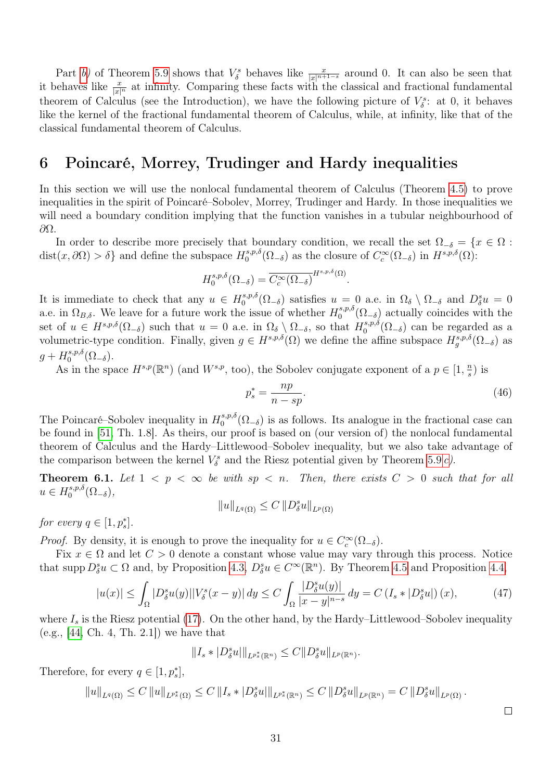Part [b\)](#page-27-6) of Theorem [5.9](#page-27-0) shows that  $V^s_{\delta}$  behaves like  $\frac{x}{|x|^{n+1-s}}$  around 0. It can also be seen that it behaves like  $\frac{x}{|x|^n}$  at infinity. Comparing these facts with the classical and fractional fundamental theorem of Calculus (see the Introduction), we have the following picture of  $V^s_{\delta}$ : at 0, it behaves like the kernel of the fractional fundamental theorem of Calculus, while, at infinity, like that of the classical fundamental theorem of Calculus.

## <span id="page-30-0"></span>6 Poincaré, Morrey, Trudinger and Hardy inequalities

In this section we will use the nonlocal fundamental theorem of Calculus (Theorem [4.5\)](#page-14-3) to prove inequalities in the spirit of Poincaré–Sobolev, Morrey, Trudinger and Hardy. In those inequalities we will need a boundary condition implying that the function vanishes in a tubular neighbourhood of ∂Ω.

In order to describe more precisely that boundary condition, we recall the set  $\Omega_{-\delta} = \{x \in \Omega :$  $dist(x, \partial\Omega) > \delta$  and define the subspace  $H_0^{s,p,\delta}$  $\int_0^{s,p,\delta} (\Omega_{-\delta})$  as the closure of  $C_c^{\infty}(\Omega_{-\delta})$  in  $H^{s,p,\delta}(\Omega)$ :

$$
H_0^{s,p,\delta}(\Omega_{-\delta}) = \overline{C_c^{\infty}(\Omega_{-\delta})}^{H^{s,p,\delta}(\Omega)}.
$$

It is immediate to check that any  $u \in H_0^{s,p,\delta}$  $\Omega_0^{s,p,\delta}(\Omega_{-\delta})$  satisfies  $u=0$  a.e. in  $\Omega_{\delta} \setminus \Omega_{-\delta}$  and  $D_{\delta}^{s}u=0$ a.e. in  $\Omega_{B,\delta}$ . We leave for a future work the issue of whether  $H_0^{s,p,\delta}$  $0^{\text{s},p,o}(\Omega_{-\delta})$  actually coincides with the set of  $u \in H^{s,p,\delta}(\Omega_{-\delta})$  such that  $u = 0$  a.e. in  $\Omega_{\delta} \setminus \Omega_{-\delta}$ , so that  $H_0^{s,p,\delta}$  $0^{\{s,p,\sigma}(\Omega_{-\delta})}$  can be regarded as a volumetric-type condition. Finally, given  $g \in H^{s,p,\delta}(\Omega)$  we define the affine subspace  $H^{s,p,\delta}_g(\Omega_{-\delta})$  as  $g + H_0^{s,p,\delta}$  $_{0}^{s,p,o}(\Omega_{-\delta}).$ 

As in the space  $H^{s,p}(\mathbb{R}^n)$  (and  $W^{s,p}$ , too), the Sobolev conjugate exponent of a  $p \in [1, \frac{n}{s}]$  $\frac{n}{s}$ ) is

<span id="page-30-3"></span>
$$
p_s^* = \frac{np}{n - sp}.\tag{46}
$$

The Poincaré–Sobolev inequality in  $H_0^{s,p,\delta}$  $0^{s,p,\delta}(\Omega_{-\delta})$  is as follows. Its analogue in the fractional case can be found in [\[51,](#page-46-0) Th. 1.8]. As theirs, our proof is based on (our version of) the nonlocal fundamental theorem of Calculus and the Hardy–Littlewood–Sobolev inequality, but we also take advantage of the comparison between the kernel  $V^s_{\delta}$  and the Riesz potential given by Theorem [5.9](#page-27-0) [c\)](#page-27-7).

<span id="page-30-1"></span>**Theorem 6.1.** Let  $1 < p < \infty$  be with  $sp < n$ . Then, there exists  $C > 0$  such that for all  $u \in H_0^{s,p,\delta}$  $\Omega_0^{s,p,\sigma}(\Omega_{-\delta}),$ 

$$
||u||_{L^{q}(\Omega)} \leq C ||D_{\delta}^{s}u||_{L^{p}(\Omega)}
$$

for every  $q \in [1, p_s^*]$ .

*Proof.* By density, it is enough to prove the inequality for  $u \in C_c^{\infty}(\Omega_{-\delta})$ .

Fix  $x \in \Omega$  and let  $C > 0$  denote a constant whose value may vary through this process. Notice that supp  $D^s_{\delta}u \subset \Omega$  and, by Proposition [4.3,](#page-13-0)  $D^s_{\delta}u \in C^{\infty}(\mathbb{R}^n)$ . By Theorem [4.5](#page-14-3) and Proposition [4.4,](#page-14-0)

<span id="page-30-2"></span>
$$
|u(x)| \le \int_{\Omega} |D_{\delta}^{s} u(y)| |V_{\delta}^{s}(x-y)| dy \le C \int_{\Omega} \frac{|D_{\delta}^{s} u(y)|}{|x-y|^{n-s}} dy = C \left( I_{s} * |D_{\delta}^{s} u| \right)(x), \tag{47}
$$

where  $I_s$  is the Riesz potential [\(17\)](#page-15-1). On the other hand, by the Hardy–Littlewood–Sobolev inequality (e.g., [\[44,](#page-46-16) Ch. 4, Th. 2.1]) we have that

$$
||I_s * |D_\delta^s u||_{L^{p^*_s}(\mathbb{R}^n)} \leq C ||D_\delta^s u||_{L^p(\mathbb{R}^n)}.
$$

Therefore, for every  $q \in [1, p_s^*]$ ,

$$
||u||_{L^{q}(\Omega)} \leq C ||u||_{L^{p^*_s}(\Omega)} \leq C ||I_s * |D^s_\delta u||_{L^{p^*_s}(\mathbb{R}^n)} \leq C ||D^s_\delta u||_{L^{p}(\mathbb{R}^n)} = C ||D^s_\delta u||_{L^{p}(\Omega)}.
$$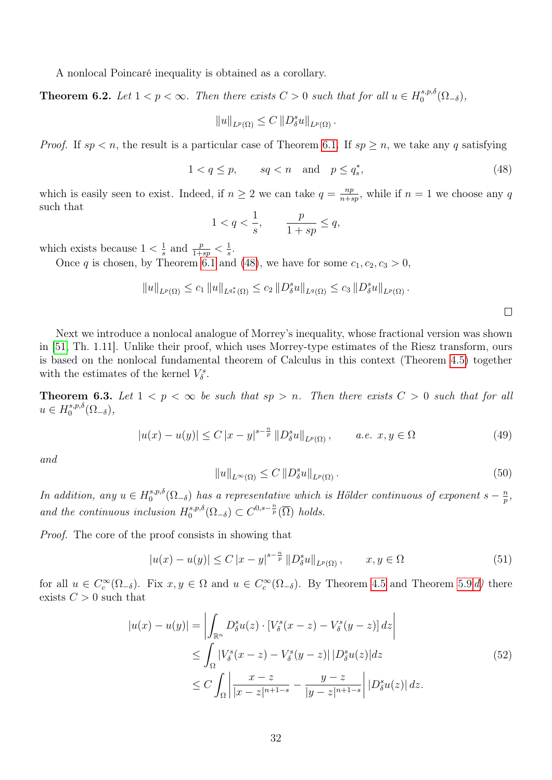A nonlocal Poincaré inequality is obtained as a corollary.

<span id="page-31-5"></span>**Theorem 6.2.** Let  $1 < p < \infty$ . Then there exists  $C > 0$  such that for all  $u \in H_0^{s,p,\delta}$  $\Omega_0^{s,p,o}(\Omega_{-\delta}),$ 

$$
||u||_{L^p(\Omega)} \leq C ||D_\delta^s u||_{L^p(\Omega)}.
$$

*Proof.* If  $sp < n$ , the result is a particular case of Theorem [6.1.](#page-30-1) If  $sp \geq n$ , we take any q satisfying

<span id="page-31-0"></span>
$$
1 < q \le p, \qquad sq < n \quad \text{and} \quad p \le q_s^*, \tag{48}
$$

which is easily seen to exist. Indeed, if  $n \geq 2$  we can take  $q = \frac{np}{n+6}$  $\frac{np}{n+sp}$ , while if  $n=1$  we choose any q such that

$$
1
$$

which exists because  $1 < \frac{1}{s}$  $\frac{1}{s}$  and  $\frac{p}{1+sp} < \frac{1}{s}$  $\frac{1}{s}$ .

Once q is chosen, by Theorem [6.1](#page-30-1) and [\(48\)](#page-31-0), we have for some  $c_1, c_2, c_3 > 0$ ,

$$
||u||_{L^{p}(\Omega)} \leq c_1 ||u||_{L^{q_s^*}(\Omega)} \leq c_2 ||D_\delta^s u||_{L^{q}(\Omega)} \leq c_3 ||D_\delta^s u||_{L^{p}(\Omega)}.
$$

Next we introduce a nonlocal analogue of Morrey's inequality, whose fractional version was shown in [\[51,](#page-46-0) Th. 1.11]. Unlike their proof, which uses Morrey-type estimates of the Riesz transform, ours is based on the nonlocal fundamental theorem of Calculus in this context (Theorem [4.5\)](#page-14-3) together with the estimates of the kernel  $V^s_{\delta}$ .

<span id="page-31-6"></span>**Theorem 6.3.** Let  $1 < p < \infty$  be such that  $sp > n$ . Then there exists  $C > 0$  such that for all  $u \in H_0^{s,p,\delta}$  $_{0}^{s,p,o}(\Omega_{-\delta}),$ 

<span id="page-31-3"></span>
$$
|u(x) - u(y)| \le C |x - y|^{s - \frac{n}{p}} ||D_{\delta}^{s} u||_{L^{p}(\Omega)}, \qquad a.e. \ x, y \in \Omega
$$
 (49)

and

<span id="page-31-4"></span>
$$
||u||_{L^{\infty}(\Omega)} \le C ||D^s_{\delta}u||_{L^p(\Omega)}.
$$
\n
$$
(50)
$$

In addition, any  $u \in H_0^{s,p,\delta}$  $\int_0^{s,p,\delta}(\Omega_{-\delta})$  has a representative which is Hölder continuous of exponent  $s-\frac{n}{p}$  $\frac{n}{p}$ , and the continuous inclusion  $H_0^{s,p,\delta}$  $C^{s,p,\delta}(\Omega_{-\delta}) \subset C^{0,s-\frac{n}{p}}(\overline{\Omega})$  holds.

Proof. The core of the proof consists in showing that

<span id="page-31-2"></span>
$$
|u(x) - u(y)| \le C |x - y|^{s - \frac{n}{p}} ||D_{\delta}^{s} u||_{L^{p}(\Omega)}, \qquad x, y \in \Omega
$$
\n(51)

<span id="page-31-1"></span>for all  $u \in C_c^{\infty}(\Omega_{-\delta})$ . Fix  $x, y \in \Omega$  and  $u \in C_c^{\infty}(\Omega_{-\delta})$ . By Theorem [4.5](#page-14-3) and Theorem [5.9](#page-27-0) [d\)](#page-27-8) there exists  $C > 0$  such that

$$
|u(x) - u(y)| = \left| \int_{\mathbb{R}^n} D_\delta^s u(z) \cdot \left[ V_\delta^s(x - z) - V_\delta^s(y - z) \right] dz \right|
$$
  
\n
$$
\leq \int_{\Omega} |V_\delta^s(x - z) - V_\delta^s(y - z)| |D_\delta^s u(z)| dz
$$
  
\n
$$
\leq C \int_{\Omega} \left| \frac{x - z}{|x - z|^{n+1 - s}} - \frac{y - z}{|y - z|^{n+1 - s}} \right| |D_\delta^s u(z)| dz.
$$
\n(52)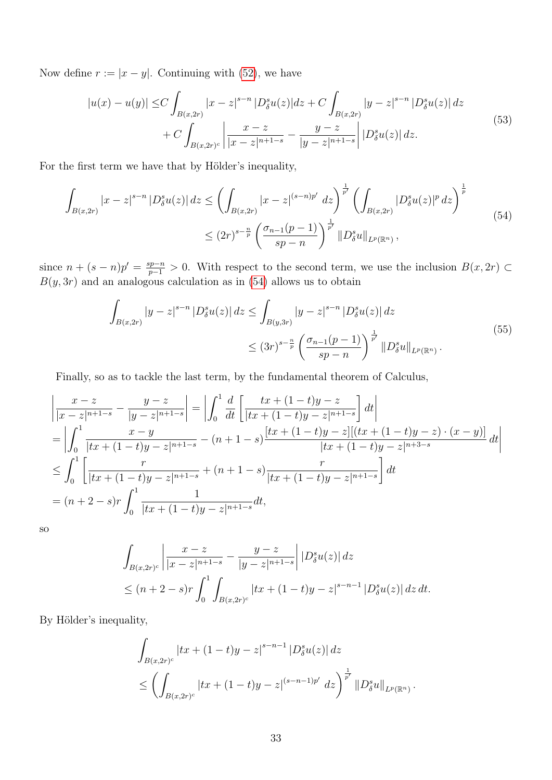<span id="page-32-1"></span>Now define  $r := |x - y|$ . Continuing with [\(52\)](#page-31-1), we have

$$
|u(x) - u(y)| \le C \int_{B(x,2r)} |x - z|^{s-n} |D^s_\delta u(z)| dz + C \int_{B(x,2r)} |y - z|^{s-n} |D^s_\delta u(z)| dz + C \int_{B(x,2r)^c} \left| \frac{x - z}{|x - z|^{n+1-s}} - \frac{y - z}{|y - z|^{n+1-s}} \right| |D^s_\delta u(z)| dz.
$$
 (53)

For the first term we have that by Hölder's inequality,

<span id="page-32-0"></span>
$$
\int_{B(x,2r)} |x-z|^{s-n} |D_{\delta}^{s} u(z)| dz \leq \left( \int_{B(x,2r)} |x-z|^{(s-n)p'} dz \right)^{\frac{1}{p'}} \left( \int_{B(x,2r)} |D_{\delta}^{s} u(z)|^{p} dz \right)^{\frac{1}{p}}
$$
\n
$$
\leq (2r)^{s-\frac{n}{p}} \left( \frac{\sigma_{n-1}(p-1)}{sp-n} \right)^{\frac{1}{p'}} ||D_{\delta}^{s} u||_{L^{p}(\mathbb{R}^{n})},\tag{54}
$$

since  $n + (s - n)p' = \frac{sp-n}{p-1} > 0$ . With respect to the second term, we use the inclusion  $B(x, 2r)$  $B(y, 3r)$  and an analogous calculation as in [\(54\)](#page-32-0) allows us to obtain

$$
\int_{B(x,2r)} |y-z|^{s-n} |D_{\delta}^{s} u(z)| dz \leq \int_{B(y,3r)} |y-z|^{s-n} |D_{\delta}^{s} u(z)| dz
$$
\n
$$
\leq (3r)^{s-\frac{n}{p}} \left( \frac{\sigma_{n-1}(p-1)}{sp-n} \right)^{\frac{1}{p'}} ||D_{\delta}^{s} u||_{L^{p}(\mathbb{R}^{n})}.
$$
\n(55)

<span id="page-32-2"></span>Finally, so as to tackle the last term, by the fundamental theorem of Calculus,

$$
\left| \frac{x-z}{|x-z|^{n+1-s}} - \frac{y-z}{|y-z|^{n+1-s}} \right| = \left| \int_0^1 \frac{d}{dt} \left[ \frac{tx + (1-t)y-z}{|tx + (1-t)y-z|^{n+1-s}} \right] dt \right|
$$
  
\n
$$
= \left| \int_0^1 \frac{x-y}{|tx + (1-t)y-z|^{n+1-s}} - (n+1-s) \frac{[tx + (1-t)y-z][(tx + (1-t)y-z) \cdot (x-y)]}{|tx + (1-t)y-z|^{n+3-s}} \right| dt
$$
  
\n
$$
\leq \int_0^1 \left[ \frac{r}{|tx + (1-t)y-z|^{n+1-s}} + (n+1-s) \frac{r}{|tx + (1-t)y-z|^{n+1-s}} \right] dt
$$
  
\n
$$
= (n+2-s)r \int_0^1 \frac{1}{|tx + (1-t)y-z|^{n+1-s}} dt,
$$

so

$$
\int_{B(x,2r)^c} \left| \frac{x-z}{|x-z|^{n+1-s}} - \frac{y-z}{|y-z|^{n+1-s}} \right| |D^s_\delta u(z)| dz
$$
\n
$$
\le (n+2-s)r \int_0^1 \int_{B(x,2r)^c} |tx + (1-t)y - z|^{s-n-1} |D^s_\delta u(z)| dz dt.
$$

By Hölder's inequality,

$$
\int_{B(x,2r)^c} |tx + (1-t)y - z|^{s-n-1} |D^s_\delta u(z)| dz
$$
\n
$$
\leq \left( \int_{B(x,2r)^c} |tx + (1-t)y - z|^{(s-n-1)p'} dz \right)^{\frac{1}{p'}} ||D^s_\delta u||_{L^p(\mathbb{R}^n)}.
$$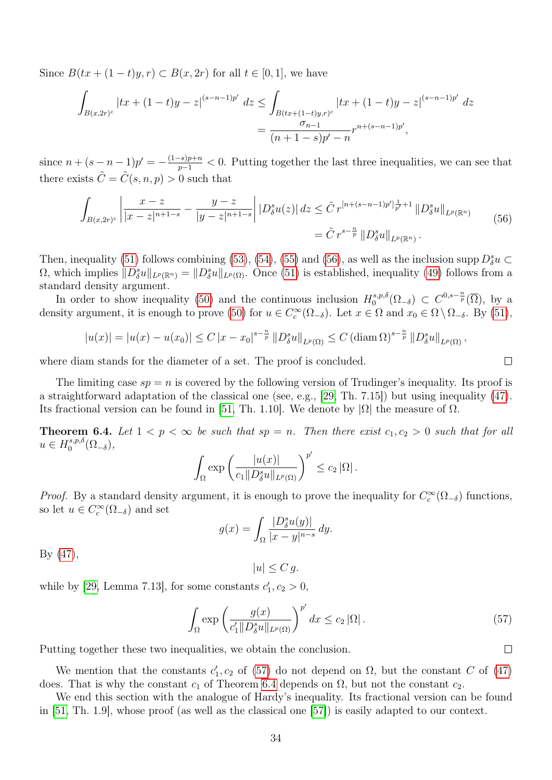Since  $B(tx + (1-t)y, r) \subset B(x, 2r)$  for all  $t \in [0, 1]$ , we have

$$
\int_{B(x,2r)^c} |tx + (1-t)y - z|^{(s-n-1)p'} dz \le \int_{B(tx + (1-t)y,r)^c} |tx + (1-t)y - z|^{(s-n-1)p'} dz
$$
\n
$$
= \frac{\sigma_{n-1}}{(n+1-s)p' - n} r^{n+(s-n-1)p'},
$$

since  $n + (s - n - 1)p' = -\frac{(1-s)p+n}{p-1} < 0$ . Putting together the last three inequalities, we can see that there exists  $\tilde{C} = \tilde{C}(s, n, p) > 0$  such that

<span id="page-33-0"></span>
$$
\int_{B(x,2r)^c} \left| \frac{x-z}{|x-z|^{n+1-s}} - \frac{y-z}{|y-z|^{n+1-s}} \right| |D^s_\delta u(z)| \, dz \le \tilde{C} \, r^{[n+(s-n-1)p']\frac{1}{p'}+1} \, \|D^s_\delta u\|_{L^p(\mathbb{R}^n)} \\
= \tilde{C} \, r^{s-\frac{n}{p}} \, \|D^s_\delta u\|_{L^p(\mathbb{R}^n)}\,. \tag{56}
$$

Then, inequality [\(51\)](#page-31-2) follows combining [\(53\)](#page-32-1), [\(54\)](#page-32-0), [\(55\)](#page-32-2) and [\(56\)](#page-33-0), as well as the inclusion supp  $D_{\delta}^{s}u \subset$  $\Omega$ , which implies  $||D_{\delta}^{s}u||_{L^{p}(\mathbb{R}^{n})} = ||D_{\delta}^{s}u||_{L^{p}(\Omega)}$ . Once [\(51\)](#page-31-2) is established, inequality [\(49\)](#page-31-3) follows from a standard density argument.

In order to show inequality [\(50\)](#page-31-4) and the continuous inclusion  $H_0^{s,p,\delta}$  $C^{s,p,\delta}_0(\Omega_{-\delta})$  ⊂  $C^{0,s-\frac{n}{p}}(\overline{\Omega}),$  by a density argument, it is enough to prove [\(50\)](#page-31-4) for  $u \in C_c^{\infty}(\Omega_{-\delta})$ . Let  $x \in \Omega$  and  $x_0 \in \Omega \setminus \Omega_{-\delta}$ . By [\(51\)](#page-31-2),

$$
|u(x)| = |u(x) - u(x_0)| \le C |x - x_0|^{s - \frac{n}{p}} ||D_{\delta}^s u||_{L^p(\Omega)} \le C (\text{diam}\,\Omega)^{s - \frac{n}{p}} ||D_{\delta}^s u||_{L^p(\Omega)},
$$

where diam stands for the diameter of a set. The proof is concluded.

The limiting case  $sp = n$  is covered by the following version of Trudinger's inequality. Its proof is a straightforward adaptation of the classical one (see, e.g., [\[29,](#page-45-15) Th. 7.15]) but using inequality [\(47\)](#page-30-2). Its fractional version can be found in [\[51,](#page-46-0) Th. 1.10]. We denote by  $|\Omega|$  the measure of  $\Omega$ .

<span id="page-33-2"></span>**Theorem 6.4.** Let  $1 < p < \infty$  be such that  $sp = n$ . Then there exist  $c_1, c_2 > 0$  such that for all  $u \in H_0^{s,p,\delta}$ <sup>-s,p,o</sup> $(\Omega_{-\delta}),$ 

$$
\int_{\Omega} \exp \left( \frac{|u(x)|}{c_1 \| D_{\delta}^s u \|_{L^p(\Omega)}} \right)^{p'} \leq c_2 |\Omega|.
$$

*Proof.* By a standard density argument, it is enough to prove the inequality for  $C_c^{\infty}(\Omega_{-\delta})$  functions, so let  $u \in C_c^{\infty}(\Omega_{-\delta})$  and set

$$
g(x) = \int_{\Omega} \frac{|D_{\delta}^s u(y)|}{|x - y|^{n - s}} dy.
$$

By [\(47\)](#page-30-2),

$$
|u| \le C g.
$$

while by [\[29,](#page-45-15) Lemma 7.13], for some constants  $c'_1, c_2 > 0$ ,

<span id="page-33-1"></span>
$$
\int_{\Omega} \exp\left(\frac{g(x)}{c_1' \|D^s_{\delta} u\|_{L^p(\Omega)}}\right)^{p'} dx \le c_2 |\Omega|.
$$
\n(57)

Putting together these two inequalities, we obtain the conclusion.

We mention that the constants  $c'_1, c_2$  of [\(57\)](#page-33-1) do not depend on  $\Omega$ , but the constant C of [\(47\)](#page-30-2) does. That is why the constant  $c_1$  of Theorem [6.4](#page-33-2) depends on  $\Omega$ , but not the constant  $c_2$ .

We end this section with the analogue of Hardy's inequality. Its fractional version can be found in [\[51,](#page-46-0) Th. 1.9], whose proof (as well as the classical one [\[57\]](#page-47-9)) is easily adapted to our context.

 $\Box$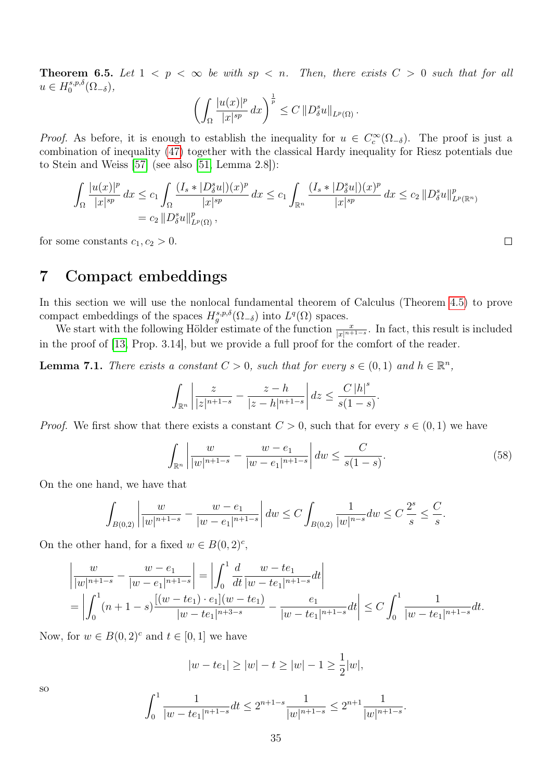**Theorem 6.5.** Let  $1 < p < \infty$  be with  $sp < n$ . Then, there exists  $C > 0$  such that for all  $u \in H_0^{s,p,\delta}$ <sup>-s,p,o</sup> $(\Omega_{-\delta}),$ 

$$
\left(\int_{\Omega} \frac{|u(x)|^p}{|x|^{sp}} dx\right)^{\frac{1}{p}} \leq C \left\|D^s_{\delta} u\right\|_{L^p(\Omega)}.
$$

*Proof.* As before, it is enough to establish the inequality for  $u \in C_c^{\infty}(\Omega_{-\delta})$ . The proof is just a combination of inequality [\(47\)](#page-30-2) together with the classical Hardy inequality for Riesz potentials due to Stein and Weiss [\[57\]](#page-47-9) (see also [\[51,](#page-46-0) Lemma 2.8]):

$$
\int_{\Omega} \frac{|u(x)|^p}{|x|^{sp}} dx \le c_1 \int_{\Omega} \frac{(I_s * |D^s_{\delta} u|)(x)^p}{|x|^{sp}} dx \le c_1 \int_{\mathbb{R}^n} \frac{(I_s * |D^s_{\delta} u|)(x)^p}{|x|^{sp}} dx \le c_2 ||D^s_{\delta} u||^p_{L^p(\mathbb{R}^n)}
$$
  
=  $c_2 ||D^s_{\delta} u||^p_{L^p(\Omega)},$ 

for some constants  $c_1, c_2 > 0$ .

## <span id="page-34-0"></span>7 Compact embeddings

In this section we will use the nonlocal fundamental theorem of Calculus (Theorem [4.5\)](#page-14-3) to prove compact embeddings of the spaces  $H_g^{s,p,\delta}(\Omega_{-\delta})$  into  $L^q(\Omega)$  spaces.

We start with the following Hölder estimate of the function  $\frac{x}{|x|^{n+1-s}}$ . In fact, this result is included in the proof of [\[13,](#page-44-2) Prop. 3.14], but we provide a full proof for the comfort of the reader.

<span id="page-34-2"></span>**Lemma 7.1.** There exists a constant  $C > 0$ , such that for every  $s \in (0,1)$  and  $h \in \mathbb{R}^n$ ,

$$
\int_{\mathbb{R}^n} \left| \frac{z}{|z|^{n+1-s}} - \frac{z-h}{|z-h|^{n+1-s}} \right| dz \leq \frac{C |h|^s}{s(1-s)}.
$$

*Proof.* We first show that there exists a constant  $C > 0$ , such that for every  $s \in (0, 1)$  we have

<span id="page-34-1"></span>
$$
\int_{\mathbb{R}^n} \left| \frac{w}{|w|^{n+1-s}} - \frac{w - e_1}{|w - e_1|^{n+1-s}} \right| dw \le \frac{C}{s(1-s)}.
$$
\n(58)

On the one hand, we have that

$$
\int_{B(0,2)} \left| \frac{w}{|w|^{n+1-s}} - \frac{w - e_1}{|w - e_1|^{n+1-s}} \right| dw \le C \int_{B(0,2)} \frac{1}{|w|^{n-s}} dw \le C \frac{2^s}{s} \le \frac{C}{s}.
$$

On the other hand, for a fixed  $w \in B(0, 2)^c$ ,

$$
\left|\frac{w}{|w|^{n+1-s}} - \frac{w - e_1}{|w - e_1|^{n+1-s}}\right| = \left|\int_0^1 \frac{d}{dt} \frac{w - te_1}{|w - te_1|^{n+1-s}} dt\right|
$$
  
= 
$$
\left|\int_0^1 (n+1-s) \frac{[(w - te_1) \cdot e_1](w - te_1)}{|w - te_1|^{n+3-s}} - \frac{e_1}{|w - te_1|^{n+1-s}} dt\right| \le C \int_0^1 \frac{1}{|w - te_1|^{n+1-s}} dt.
$$

Now, for  $w \in B(0, 2)^c$  and  $t \in [0, 1]$  we have

$$
|w - te_1| \ge |w| - t \ge |w| - 1 \ge \frac{1}{2}|w|,
$$
  

$$
\int_0^1 \frac{1}{|w - te_1|^{n+1-s}} dt \le 2^{n+1-s} \frac{1}{|w|^{n+1-s}} \le 2^{n+1} \frac{1}{|w|^{n+1-s}}.
$$

so

$$
\frac{1}{te_1\vert n+1-s}dt \le 2^{n+1-s} \frac{1}{\vert w \vert^{n+1-s}} \le 2^{n+1} \frac{1}{\vert n \vert^{n+1-s}}
$$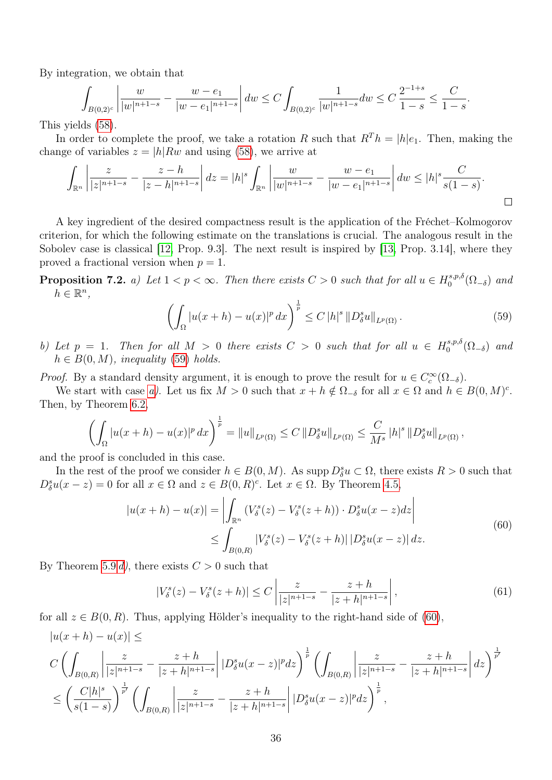By integration, we obtain that

$$
\int_{B(0,2)^c} \left| \frac{w}{|w|^{n+1-s}} - \frac{w - e_1}{|w - e_1|^{n+1-s}} \right| dw \le C \int_{B(0,2)^c} \frac{1}{|w|^{n+1-s}} dw \le C \frac{2^{-1+s}}{1-s} \le \frac{C}{1-s}
$$

This yields [\(58\)](#page-34-1).

In order to complete the proof, we take a rotation R such that  $R^{T}h = |h|e_1$ . Then, making the change of variables  $z = |h|Rw$  and using [\(58\)](#page-34-1), we arrive at

$$
\int_{\mathbb{R}^n} \left| \frac{z}{|z|^{n+1-s}} - \frac{z-h}{|z-h|^{n+1-s}} \right| dz = |h|^s \int_{\mathbb{R}^n} \left| \frac{w}{|w|^{n+1-s}} - \frac{w-e_1}{|w-e_1|^{n+1-s}} \right| dw \le |h|^s \frac{C}{s(1-s)}.
$$

A key ingredient of the desired compactness result is the application of the Fréchet–Kolmogorov criterion, for which the following estimate on the translations is crucial. The analogous result in the Sobolev case is classical [\[12,](#page-44-13) Prop. 9.3]. The next result is inspired by [\[13,](#page-44-2) Prop. 3.14], where they proved a fractional version when  $p = 1$ .

<span id="page-35-1"></span>**Proposition 7.2.** a) Let  $1 < p < \infty$ . Then there exists  $C > 0$  such that for all  $u \in H_0^{s,p,\delta}$  $\int_0^{\delta,p,0}$  ( $\Omega_{-\delta}$ ) and  $h \in \mathbb{R}^n$ ,

<span id="page-35-0"></span>
$$
\left(\int_{\Omega} |u(x+h) - u(x)|^p \, dx\right)^{\frac{1}{p}} \le C \left|h\right|^s \left\|D_{\delta}^s u\right\|_{L^p(\Omega)}.
$$
\n(59)

.

<span id="page-35-3"></span>b) Let  $p = 1$ . Then for all  $M > 0$  there exists  $C > 0$  such that for all  $u \in H_0^{s,p,\delta}$  $\int_0^{\delta,p,0}$  ( $\Omega_{-\delta}$ ) and  $h \in B(0, M)$ , inequality [\(59\)](#page-35-0) holds.

*Proof.* By a standard density argument, it is enough to prove the result for  $u \in C_c^{\infty}(\Omega_{-\delta})$ .

We start with case [a\)](#page-35-1). Let us fix  $M > 0$  such that  $x + h \notin \Omega_{-\delta}$  for all  $x \in \Omega$  and  $h \in B(0, M)^c$ . Then, by Theorem [6.2,](#page-31-5)

$$
\left(\int_{\Omega} |u(x+h) - u(x)|^p dx\right)^{\frac{1}{p}} = \|u\|_{L^p(\Omega)} \le C \|D_{\delta}^s u\|_{L^p(\Omega)} \le \frac{C}{M^s} \|h\|^s \|D_{\delta}^s u\|_{L^p(\Omega)},
$$

and the proof is concluded in this case.

In the rest of the proof we consider  $h \in B(0, M)$ . As supp  $D^s_{\delta} u \subset \Omega$ , there exists  $R > 0$  such that  $D_{\delta}^{s}u(x-z) = 0$  for all  $x \in \Omega$  and  $z \in B(0, R)^{c}$ . Let  $x \in \Omega$ . By Theorem [4.5,](#page-14-3)

$$
|u(x+h) - u(x)| = \left| \int_{\mathbb{R}^n} (V^s_\delta(z) - V^s_\delta(z+h)) \cdot D^s_\delta u(x-z) dz \right|
$$
  
 
$$
\leq \int_{B(0,R)} |V^s_\delta(z) - V^s_\delta(z+h)| |D^s_\delta u(x-z)| dz.
$$
 (60)

<span id="page-35-2"></span>By Theorem [5.9](#page-27-0) [d\)](#page-27-8), there exists  $C > 0$  such that

<span id="page-35-4"></span>
$$
|V^s_{\delta}(z) - V^s_{\delta}(z+h)| \le C \left| \frac{z}{|z|^{n+1-s}} - \frac{z+h}{|z+h|^{n+1-s}} \right|,
$$
\n(61)

for all  $z \in B(0, R)$ . Thus, applying Hölder's inequality to the right-hand side of [\(60\)](#page-35-2),  $|u(x + h) - u(x)| <$ 

$$
C\left(\int_{B(0,R)}\left|\frac{z}{|z|^{n+1-s}}-\frac{z+h}{|z+h|^{n+1-s}}\right||D_{\delta}^{s}u(x-z)|^{p}dz\right)^{\frac{1}{p}}\left(\int_{B(0,R)}\left|\frac{z}{|z|^{n+1-s}}-\frac{z+h}{|z+h|^{n+1-s}}\right|dz\right)^{\frac{1}{p'}}
$$

$$
\leq \left(\frac{C|h|^{s}}{s(1-s)}\right)^{\frac{1}{p'}}\left(\int_{B(0,R)}\left|\frac{z}{|z|^{n+1-s}}-\frac{z+h}{|z+h|^{n+1-s}}\right||D_{\delta}^{s}u(x-z)|^{p}dz\right)^{\frac{1}{p}},
$$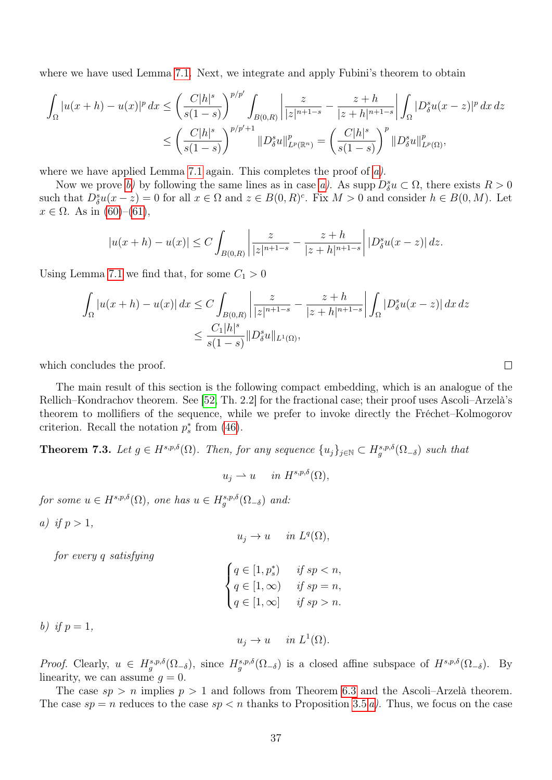where we have used Lemma [7.1.](#page-34-2) Next, we integrate and apply Fubini's theorem to obtain

$$
\int_{\Omega} |u(x+h) - u(x)|^p dx \le \left(\frac{C|h|^s}{s(1-s)}\right)^{p/p'} \int_{B(0,R)} \left|\frac{z}{|z|^{n+1-s}} - \frac{z+h}{|z+h|^{n+1-s}}\right| \int_{\Omega} |D^s_\delta u(x-z)|^p dx dz
$$
  

$$
\le \left(\frac{C|h|^s}{s(1-s)}\right)^{p/p'+1} \|D^s_\delta u\|_{L^p(\mathbb{R}^n)}^p = \left(\frac{C|h|^s}{s(1-s)}\right)^p \|D^s_\delta u\|_{L^p(\Omega)}^p,
$$

where we have applied Lemma [7.1](#page-34-2) again. This completes the proof of  $a$ ).

Now we prove [b\)](#page-35-3) by following the same lines as in case [a\)](#page-35-1). As supp  $D^s_\delta u \subset \Omega$ , there exists  $R > 0$ such that  $D_{\delta}^{s}u(x-z) = 0$  for all  $x \in \Omega$  and  $z \in B(0, R)^{c}$ . Fix  $M > 0$  and consider  $h \in B(0, M)$ . Let  $x \in \Omega$ . As in [\(60\)](#page-35-2)–[\(61\)](#page-35-4),

$$
|u(x+h) - u(x)| \le C \int_{B(0,R)} \left| \frac{z}{|z|^{n+1-s}} - \frac{z+h}{|z+h|^{n+1-s}} \right| |D^s_\delta u(x-z)| dz.
$$

Using Lemma [7.1](#page-34-2) we find that, for some  $C_1 > 0$ 

$$
\int_{\Omega} |u(x+h) - u(x)| dx \le C \int_{B(0,R)} \left| \frac{z}{|z|^{n+1-s}} - \frac{z+h}{|z+h|^{n+1-s}} \right| \int_{\Omega} |D_{\delta}^{s} u(x-z)| dx dz
$$
  

$$
\le \frac{C_{1}|h|^{s}}{s(1-s)} \|D_{\delta}^{s} u\|_{L^{1}(\Omega)},
$$

which concludes the proof.

The main result of this section is the following compact embedding, which is an analogue of the Rellich–Kondrachov theorem. See [\[52,](#page-47-0) Th. 2.2] for the fractional case; their proof uses Ascoli–Arzelà's theorem to mollifiers of the sequence, while we prefer to invoke directly the Fréchet–Kolmogorov criterion. Recall the notation  $p_s^*$  from [\(46\)](#page-30-3).

<span id="page-36-2"></span>**Theorem 7.3.** Let  $g \in H^{s,p,\delta}(\Omega)$ . Then, for any sequence  $\{u_j\}_{j\in\mathbb{N}} \subset H^{s,p,\delta}_g(\Omega_{-\delta})$  such that

$$
u_j \rightharpoonup u \quad in \ H^{s,p,\delta}(\Omega),
$$

for some  $u \in H^{s,p,\delta}(\Omega)$ , one has  $u \in H^{s,p,\delta}_g(\Omega_{-\delta})$  and:

<span id="page-36-0"></span>a) if  $p > 1$ ,

$$
u_j \to u \quad in \ L^q(\Omega),
$$

for every q satisfying

$$
\begin{cases} q \in [1, p_s^*) & \text{if } sp < n, \\ q \in [1, \infty) & \text{if } sp = n, \\ q \in [1, \infty] & \text{if } sp > n. \end{cases}
$$

<span id="page-36-1"></span>b) if  $p=1$ ,

$$
u_j \to u \quad in \ L^1(\Omega).
$$

*Proof.* Clearly,  $u \in H_g^{s,p,\delta}(\Omega_{-\delta})$ , since  $H_g^{s,p,\delta}(\Omega_{-\delta})$  is a closed affine subspace of  $H^{s,p,\delta}(\Omega_{-\delta})$ . By linearity, we can assume  $q = 0$ .

The case  $sp > n$  implies  $p > 1$  and follows from Theorem [6.3](#page-31-6) and the Ascoli–Arzelà theorem. The case  $sp = n$  reduces to the case  $sp < n$  thanks to Proposition [3.5](#page-10-1) [a\)](#page-11-1). Thus, we focus on the case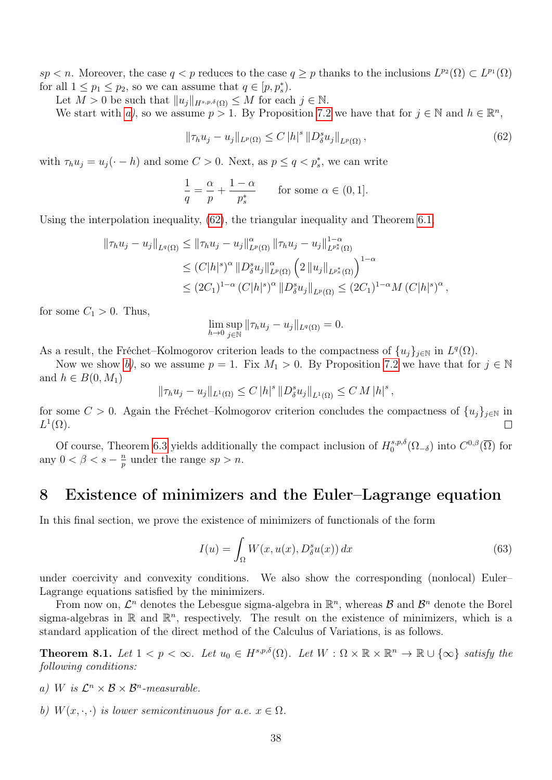$sp < n$ . Moreover, the case  $q < p$  reduces to the case  $q \geq p$  thanks to the inclusions  $L^{p_2}(\Omega) \subset L^{p_1}(\Omega)$ for all  $1 \leq p_1 \leq p_2$ , so we can assume that  $q \in [p, p_s^*).$ 

Let  $M > 0$  be such that  $||u_j||_{H^{s,p,\delta}(\Omega)} \leq M$  for each  $j \in \mathbb{N}$ .

We start with [a\)](#page-36-0), so we assume  $p > 1$ . By Proposition [7.2](#page-0-0) we have that for  $j \in \mathbb{N}$  and  $h \in \mathbb{R}^n$ ,

<span id="page-37-1"></span>
$$
\|\tau_h u_j - u_j\|_{L^p(\Omega)} \le C |h|^s \|D_\delta^s u_j\|_{L^p(\Omega)},
$$
\n(62)

with  $\tau_h u_j = u_j(\cdot - h)$  and some  $C > 0$ . Next, as  $p \le q < p_s^*$ , we can write

$$
\frac{1}{q} = \frac{\alpha}{p} + \frac{1-\alpha}{p_s^*}
$$
 for some  $\alpha \in (0,1]$ .

Using the interpolation inequality, [\(62\)](#page-37-1), the triangular inequality and Theorem [6.1,](#page-30-1)

$$
\|\tau_h u_j - u_j\|_{L^q(\Omega)} \le \|\tau_h u_j - u_j\|_{L^p(\Omega)}^{\alpha} \|\tau_h u_j - u_j\|_{L^{p^*_s}(\Omega)}^{1-\alpha}
$$
  
\n
$$
\le (C|h|^s)^{\alpha} \|D_{\delta}^s u_j\|_{L^p(\Omega)}^{\alpha} \left(2\|u_j\|_{L^{p^*_s}(\Omega)}\right)^{1-\alpha}
$$
  
\n
$$
\le (2C_1)^{1-\alpha} (C|h|^s)^{\alpha} \|D_{\delta}^s u_j\|_{L^p(\Omega)} \le (2C_1)^{1-\alpha} M (C|h|^s)^{\alpha},
$$

for some  $C_1 > 0$ . Thus,

$$
\lim_{h \to 0} \sup_{j \in \mathbb{N}} \|\tau_h u_j - u_j\|_{L^q(\Omega)} = 0.
$$

As a result, the Fréchet–Kolmogorov criterion leads to the compactness of  $\{u_j\}_{j\in\mathbb{N}}$  in  $L^q(\Omega)$ .

Now we show [b\)](#page-36-1), so we assume  $p = 1$ . Fix  $M_1 > 0$ . By Proposition [7.2](#page-0-0) we have that for  $j \in \mathbb{N}$ and  $h \in B(0, M_1)$ 

$$
\|\tau_h u_j - u_j\|_{L^1(\Omega)} \le C |h|^s \|D_\delta^s u_j\|_{L^1(\Omega)} \le C M |h|^s,
$$

for some  $C > 0$ . Again the Fréchet–Kolmogorov criterion concludes the compactness of  $\{u_j\}_{j\in\mathbb{N}}$  in  $L^1(\Omega)$ .

Of course, Theorem [6.3](#page-31-6) yields additionally the compact inclusion of  $H_0^{s,p,\delta}$  $C^{s,p,\delta}(Ω_{-δ})$  into  $C^{0,\beta}(\overline{Ω})$  for any  $0 < \beta < s - \frac{n}{n}$  $\frac{n}{p}$  under the range  $sp > n$ .

### <span id="page-37-0"></span>8 Existence of minimizers and the Euler–Lagrange equation

In this final section, we prove the existence of minimizers of functionals of the form

<span id="page-37-2"></span>
$$
I(u) = \int_{\Omega} W(x, u(x), D^s_{\delta}u(x)) dx
$$
\n(63)

under coercivity and convexity conditions. We also show the corresponding (nonlocal) Euler– Lagrange equations satisfied by the minimizers.

From now on,  $\mathcal{L}^n$  denotes the Lebesgue sigma-algebra in  $\mathbb{R}^n$ , whereas  $\mathcal{B}$  and  $\mathcal{B}^n$  denote the Borel sigma-algebras in  $\mathbb{R}$  and  $\mathbb{R}^n$ , respectively. The result on the existence of minimizers, which is a standard application of the direct method of the Calculus of Variations, is as follows.

**Theorem 8.1.** Let  $1 < p < \infty$ . Let  $u_0 \in H^{s,p,\delta}(\Omega)$ . Let  $W : \Omega \times \mathbb{R} \times \mathbb{R}^n \to \mathbb{R} \cup {\infty}$  satisfy the following conditions:

- a) W is  $\mathcal{L}^n \times \mathcal{B} \times \mathcal{B}^n$ -measurable.
- b)  $W(x, \cdot, \cdot)$  is lower semicontinuous for a.e.  $x \in \Omega$ .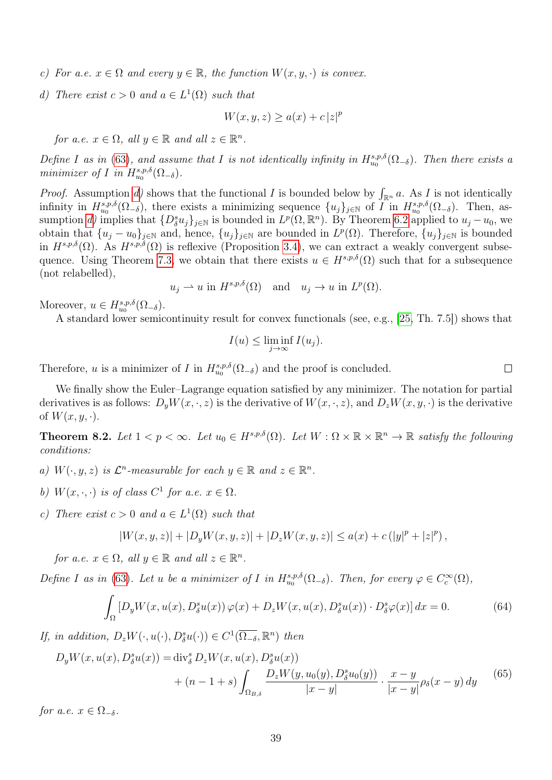- c) For a.e.  $x \in \Omega$  and every  $y \in \mathbb{R}$ , the function  $W(x, y, \cdot)$  is convex.
- <span id="page-38-0"></span>d) There exist  $c > 0$  and  $a \in L^1(\Omega)$  such that

$$
W(x, y, z) \ge a(x) + c |z|^p
$$

for a.e.  $x \in \Omega$ , all  $y \in \mathbb{R}$  and all  $z \in \mathbb{R}^n$ .

Define I as in [\(63\)](#page-37-2), and assume that I is not identically infinity in  $H^{s,p,\delta}_{u_0}(\Omega_{-\delta})$ . Then there exists a minimizer of I in  $H^{s,p,\delta}_{u_0}(\Omega_{-\delta}).$ 

*Proof.* Assumption [d\)](#page-38-0) shows that the functional I is bounded below by  $\int_{\mathbb{R}^n} a$ . As I is not identically infinity in  $H^{s,p,\delta}_{u_0}(\Omega_{-\delta})$ , there exists a minimizing sequence  $\{u_j\}_{j\in\mathbb{N}}$  of  $\overline{I}$  in  $H^{s,p,\delta}_{u_0}(\Omega_{-\delta})$ . Then, assumption [d\)](#page-38-0) implies that  $\{D_{\delta}^{s}u_j\}_{j\in\mathbb{N}}$  is bounded in  $L^p(\Omega,\mathbb{R}^n)$ . By Theorem [6.2](#page-31-5) applied to  $u_j-u_0$ , we obtain that  $\{u_j - u_0\}_{j \in \mathbb{N}}$  and, hence,  $\{u_j\}_{j \in \mathbb{N}}$  are bounded in  $L^p(\Omega)$ . Therefore,  $\{u_j\}_{j \in \mathbb{N}}$  is bounded in  $H^{s,p,\delta}(\Omega)$ . As  $H^{s,p,\delta}(\Omega)$  is reflexive (Proposition [3.4\)](#page-10-2), we can extract a weakly convergent subse-quence. Using Theorem [7.3,](#page-36-2) we obtain that there exists  $u \in H^{s,p,\delta}(\Omega)$  such that for a subsequence (not relabelled),

$$
u_j \rightharpoonup u
$$
 in  $H^{s,p,\delta}(\Omega)$  and  $u_j \rightharpoonup u$  in  $L^p(\Omega)$ .

Moreover,  $u \in H^{s,p,\delta}_{u_0}(\Omega_{-\delta}).$ 

A standard lower semicontinuity result for convex functionals (see, e.g., [\[25,](#page-45-16) Th. 7.5]) shows that

$$
I(u) \le \liminf_{j \to \infty} I(u_j).
$$

Therefore, u is a minimizer of I in  $H^{s,p,\delta}_{u_0}(\Omega_{-\delta})$  and the proof is concluded.

We finally show the Euler–Lagrange equation satisfied by any minimizer. The notation for partial derivatives is as follows:  $D_n W(x, \cdot, z)$  is the derivative of  $W(x, \cdot, z)$ , and  $D_z W(x, y, \cdot)$  is the derivative of  $W(x, y, \cdot)$ .

**Theorem 8.2.** Let  $1 < p < \infty$ . Let  $u_0 \in H^{s,p,\delta}(\Omega)$ . Let  $W : \Omega \times \mathbb{R} \times \mathbb{R}^n \to \mathbb{R}$  satisfy the following conditions:

a)  $W(\cdot, y, z)$  is  $\mathcal{L}^n$ -measurable for each  $y \in \mathbb{R}$  and  $z \in \mathbb{R}^n$ .

- b)  $W(x, \cdot, \cdot)$  is of class  $C^1$  for a.e.  $x \in \Omega$ .
- <span id="page-38-2"></span>c) There exist  $c > 0$  and  $a \in L^1(\Omega)$  such that

$$
|W(x,y,z)| + |D_y W(x,y,z)| + |D_z W(x,y,z)| \le a(x) + c (|y|^p + |z|^p),
$$

for a.e.  $x \in \Omega$ , all  $y \in \mathbb{R}$  and all  $z \in \mathbb{R}^n$ .

Define I as in [\(63\)](#page-37-2). Let u be a minimizer of I in  $H^{s,p,\delta}_{u_0}(\Omega_{-\delta})$ . Then, for every  $\varphi \in C_c^{\infty}(\Omega)$ ,

<span id="page-38-1"></span>
$$
\int_{\Omega} \left[ D_y W(x, u(x), D_\delta^s u(x)) \, \varphi(x) + D_z W(x, u(x), D_\delta^s u(x)) \cdot D_\delta^s \varphi(x) \right] dx = 0. \tag{64}
$$

If, in addition,  $D_zW(\cdot, u(\cdot), D_\delta^su(\cdot)) \in C^1(\overline{\Omega_{-\delta}}, \mathbb{R}^n)$  then

<span id="page-38-3"></span>
$$
D_y W(x, u(x), D_\delta^s u(x)) = \text{div}_\delta^s D_z W(x, u(x), D_\delta^s u(x)) + (n - 1 + s) \int_{\Omega_{B,\delta}} \frac{D_z W(y, u_0(y), D_\delta^s u_0(y))}{|x - y|} \cdot \frac{x - y}{|x - y|} \rho_\delta(x - y) \, dy \tag{65}
$$

for a.e.  $x \in \Omega_{-\delta}$ .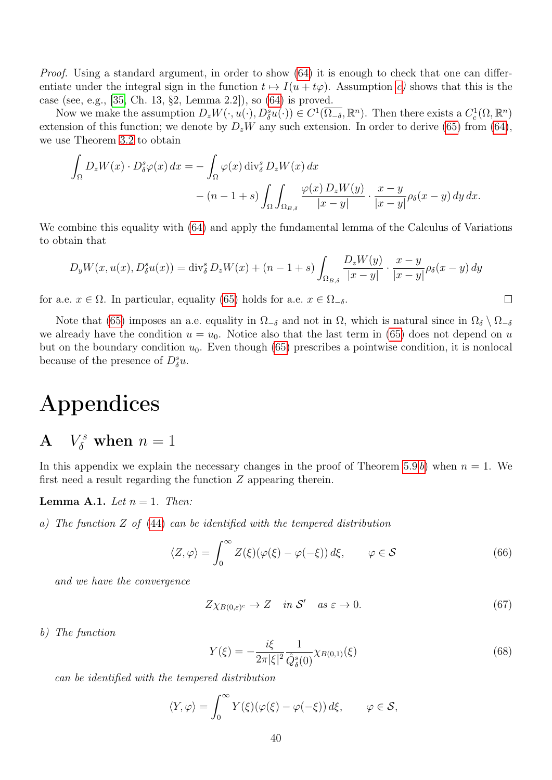Proof. Using a standard argument, in order to show [\(64\)](#page-38-1) it is enough to check that one can differentiate under the integral sign in the function  $t \mapsto I(u + t\varphi)$ . Assumption [c\)](#page-38-2) shows that this is the case (see, e.g., [\[35,](#page-46-17) Ch. 13, §2, Lemma 2.2]), so [\(64\)](#page-38-1) is proved.

Now we make the assumption  $D_z W(\cdot, u(\cdot), D^s_{\delta} u(\cdot)) \in C^1(\overline{\Omega_{-\delta}}, \mathbb{R}^n)$ . Then there exists a  $C_c^1(\Omega, \mathbb{R}^n)$ extension of this function; we denote by  $D_zW$  any such extension. In order to derive [\(65\)](#page-38-3) from [\(64\)](#page-38-1), we use Theorem [3.2](#page-8-0) to obtain

$$
\int_{\Omega} D_z W(x) \cdot D_{\delta}^s \varphi(x) dx = - \int_{\Omega} \varphi(x) \operatorname{div}_{\delta}^s D_z W(x) dx \n- (n - 1 + s) \int_{\Omega} \int_{\Omega_{B,\delta}} \frac{\varphi(x) D_z W(y)}{|x - y|} \cdot \frac{x - y}{|x - y|} \rho_{\delta}(x - y) dy dx.
$$

We combine this equality with [\(64\)](#page-38-1) and apply the fundamental lemma of the Calculus of Variations to obtain that

$$
D_y W(x, u(x), D_\delta^s u(x)) = \text{div}_\delta^s D_z W(x) + (n - 1 + s) \int_{\Omega_{B,\delta}} \frac{D_z W(y)}{|x - y|} \cdot \frac{x - y}{|x - y|} \rho_\delta(x - y) dy
$$

for a.e.  $x \in \Omega$ . In particular, equality [\(65\)](#page-38-3) holds for a.e.  $x \in \Omega_{-\delta}$ .

Note that [\(65\)](#page-38-3) imposes an a.e. equality in  $\Omega_{-\delta}$  and not in  $\Omega$ , which is natural since in  $\Omega_{\delta} \setminus \Omega_{-\delta}$ we already have the condition  $u = u_0$ . Notice also that the last term in [\(65\)](#page-38-3) does not depend on u but on the boundary condition  $u_0$ . Even though [\(65\)](#page-38-3) prescribes a pointwise condition, it is nonlocal because of the presence of  $D^s_{\delta}u$ .

# Appendices

#### <span id="page-39-0"></span> $\bf{A}$  $\delta^s$  when  $n=1$

In this appendix we explain the necessary changes in the proof of Theorem [5.9](#page-27-0) [b](#page-27-6)) when  $n = 1$ . We first need a result regarding the function Z appearing therein.

<span id="page-39-1"></span>**Lemma A.1.** Let  $n = 1$ . Then:

<span id="page-39-2"></span>a) The function Z of [\(44\)](#page-28-0) can be identified with the tempered distribution

<span id="page-39-3"></span>
$$
\langle Z, \varphi \rangle = \int_0^\infty Z(\xi)(\varphi(\xi) - \varphi(-\xi)) d\xi, \qquad \varphi \in \mathcal{S}
$$
 (66)

and we have the convergence

<span id="page-39-4"></span>
$$
Z\chi_{B(0,\varepsilon)^c} \to Z \quad \text{in } \mathcal{S}' \quad \text{as } \varepsilon \to 0. \tag{67}
$$

 $\Box$ 

<span id="page-39-5"></span>b) The function

<span id="page-39-6"></span>
$$
Y(\xi) = -\frac{i\xi}{2\pi|\xi|^2} \frac{1}{\hat{Q}_{\delta}^s(0)} \chi_{B(0,1)}(\xi)
$$
\n(68)

can be identified with the tempered distribution

$$
\langle Y, \varphi \rangle = \int_0^\infty Y(\xi) (\varphi(\xi) - \varphi(-\xi)) d\xi, \qquad \varphi \in \mathcal{S},
$$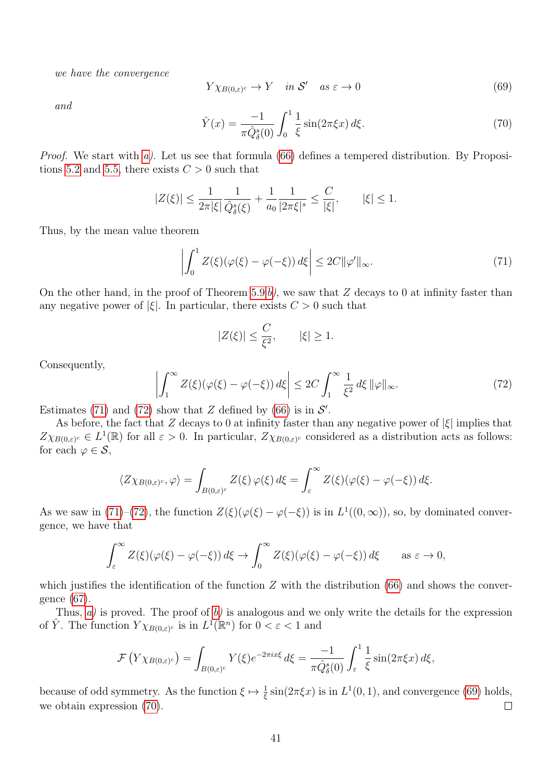we have the convergence

<span id="page-40-2"></span>
$$
Y \chi_{B(0,\varepsilon)^c} \to Y \quad \text{in } \mathcal{S}' \quad \text{as } \varepsilon \to 0 \tag{69}
$$

and

<span id="page-40-3"></span>
$$
\hat{Y}(x) = \frac{-1}{\pi \hat{Q}_{\delta}^s(0)} \int_0^1 \frac{1}{\xi} \sin(2\pi \xi x) \, d\xi. \tag{70}
$$

*Proof.* We start with  $a$ ). Let us see that formula [\(66\)](#page-39-3) defines a tempered distribution. By Proposi-tions [5.2](#page-0-0) and [5.5,](#page-20-1) there exists  $C > 0$  such that

$$
|Z(\xi)| \le \frac{1}{2\pi |\xi|} \frac{1}{\hat{Q}_{\delta}^s(\xi)} + \frac{1}{a_0} \frac{1}{|2\pi \xi|^s} \le \frac{C}{|\xi|}, \qquad |\xi| \le 1.
$$

Thus, by the mean value theorem

<span id="page-40-0"></span>
$$
\left| \int_0^1 Z(\xi)(\varphi(\xi) - \varphi(-\xi)) d\xi \right| \le 2C \|\varphi'\|_{\infty}.
$$
\n(71)

On the other hand, in the proof of Theorem [5.9](#page-27-0) [b\)](#page-27-6), we saw that  $Z$  decays to 0 at infinity faster than any negative power of  $|\xi|$ . In particular, there exists  $C > 0$  such that

$$
|Z(\xi)| \le \frac{C}{\xi^2}, \qquad |\xi| \ge 1.
$$

Consequently,

<span id="page-40-1"></span>
$$
\left| \int_{1}^{\infty} Z(\xi)(\varphi(\xi) - \varphi(-\xi)) d\xi \right| \le 2C \int_{1}^{\infty} \frac{1}{\xi^2} d\xi \, \|\varphi\|_{\infty}.
$$
 (72)

Estimates [\(71\)](#page-40-0) and [\(72\)](#page-40-1) show that Z defined by [\(66\)](#page-39-3) is in  $\mathcal{S}'$ .

As before, the fact that Z decays to 0 at infinity faster than any negative power of  $|\xi|$  implies that  $Z\chi_{B(0,\varepsilon)^c} \in L^1(\mathbb{R})$  for all  $\varepsilon > 0$ . In particular,  $Z\chi_{B(0,\varepsilon)^c}$  considered as a distribution acts as follows: for each  $\varphi \in \mathcal{S}$ ,

$$
\langle Z\chi_{B(0,\varepsilon)^c},\varphi\rangle=\int_{B(0,\varepsilon)^c}Z(\xi)\,\varphi(\xi)\,d\xi=\int_{\varepsilon}^\infty Z(\xi)(\varphi(\xi)-\varphi(-\xi))\,d\xi.
$$

As we saw in [\(71\)](#page-40-0)–[\(72\)](#page-40-1), the function  $Z(\xi)(\varphi(\xi) - \varphi(-\xi))$  is in  $L^1((0,\infty))$ , so, by dominated convergence, we have that

$$
\int_{\varepsilon}^{\infty} Z(\xi)(\varphi(\xi) - \varphi(-\xi)) d\xi \to \int_{0}^{\infty} Z(\xi)(\varphi(\xi) - \varphi(-\xi)) d\xi \quad \text{as } \varepsilon \to 0,
$$

which justifies the identification of the function  $Z$  with the distribution [\(66\)](#page-39-3) and shows the convergence [\(67\)](#page-39-4).

Thus,  $a$ ) is proved. The proof of  $b$ ) is analogous and we only write the details for the expression of  $\hat{Y}$ . The function  $Y \chi_{B(0,\varepsilon)^c}$  is in  $L^1(\mathbb{R}^n)$  for  $0 < \varepsilon < 1$  and

$$
\mathcal{F}\left(Y\chi_{B(0,\varepsilon)^c}\right) = \int_{B(0,\varepsilon)^c} Y(\xi) e^{-2\pi ix\xi} d\xi = \frac{-1}{\pi \hat{Q}_\delta^s(0)} \int_{\varepsilon}^1 \frac{1}{\xi} \sin(2\pi \xi x) d\xi,
$$

because of odd symmetry. As the function  $\xi \mapsto \frac{1}{\xi} \sin(2\pi \xi x)$  is in  $L^1(0, 1)$ , and convergence [\(69\)](#page-40-2) holds, we obtain expression [\(70\)](#page-40-3).  $\Box$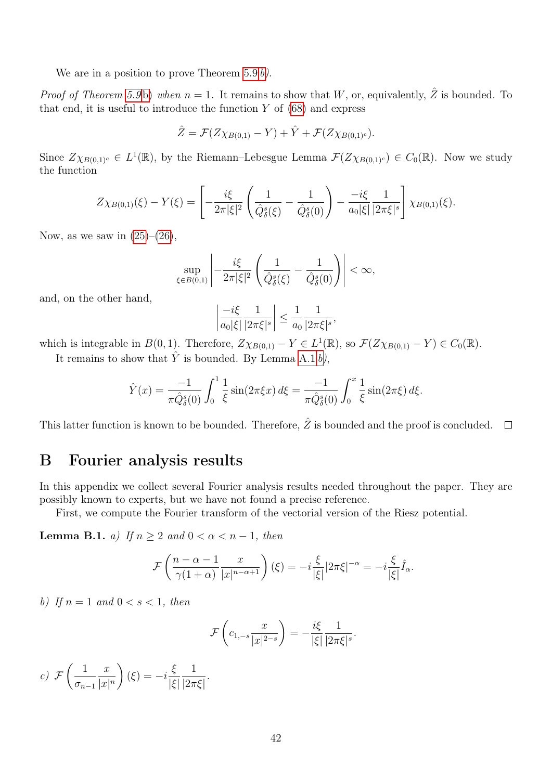We are in a position to prove Theorem  $5.9 b$ ).

*Proof of Theorem [5.9](#page-27-0)[b\)](#page-27-6)* when  $n = 1$ . It remains to show that W, or, equivalently,  $\hat{Z}$  is bounded. To that end, it is useful to introduce the function  $Y$  of  $(68)$  and express

$$
\hat{Z} = \mathcal{F}(Z\chi_{B(0,1)} - Y) + \hat{Y} + \mathcal{F}(Z\chi_{B(0,1)^c}).
$$

Since  $Z\chi_{B(0,1)^c} \in L^1(\mathbb{R})$ , by the Riemann–Lebesgue Lemma  $\mathcal{F}(Z\chi_{B(0,1)^c}) \in C_0(\mathbb{R})$ . Now we study the function

$$
Z\chi_{B(0,1)}(\xi) - Y(\xi) = \left[ -\frac{i\xi}{2\pi|\xi|^2} \left( \frac{1}{\hat{Q}_{\delta}^s(\xi)} - \frac{1}{\hat{Q}_{\delta}^s(0)} \right) - \frac{-i\xi}{a_0|\xi|} \frac{1}{|2\pi\xi|^s} \right] \chi_{B(0,1)}(\xi).
$$

Now, as we saw in  $(25)-(26)$  $(25)-(26)$  $(25)-(26)$ ,

$$
\sup_{\xi \in B(0,1)} \left| -\frac{i\xi}{2\pi |\xi|^2} \left( \frac{1}{\hat{Q}_{\delta}^s(\xi)} - \frac{1}{\hat{Q}_{\delta}^s(0)} \right) \right| < \infty,
$$

and, on the other hand,

$$
\left|\frac{-i\xi}{a_0|\xi|}\frac{1}{|2\pi\xi|^s}\right| \le \frac{1}{a_0}\frac{1}{|2\pi\xi|^s},
$$

which is integrable in  $B(0, 1)$ . Therefore,  $Z\chi_{B(0,1)} - Y \in L^1(\mathbb{R})$ , so  $\mathcal{F}(Z\chi_{B(0,1)} - Y) \in C_0(\mathbb{R})$ .

It remains to show that  $\hat{Y}$  is bounded. By Lemma [A.1](#page-39-1) [b\)](#page-39-5).

$$
\hat{Y}(x) = \frac{-1}{\pi \hat{Q}_{\delta}^s(0)} \int_0^1 \frac{1}{\xi} \sin(2\pi \xi x) \, d\xi = \frac{-1}{\pi \hat{Q}_{\delta}^s(0)} \int_0^x \frac{1}{\xi} \sin(2\pi \xi) \, d\xi.
$$

This latter function is known to be bounded. Therefore,  $\hat{Z}$  is bounded and the proof is concluded.  $\square$ 

### <span id="page-41-0"></span>B Fourier analysis results

In this appendix we collect several Fourier analysis results needed throughout the paper. They are possibly known to experts, but we have not found a precise reference.

First, we compute the Fourier transform of the vectorial version of the Riesz potential.

<span id="page-41-3"></span>**Lemma B.1.** a) If  $n \geq 2$  and  $0 < \alpha < n - 1$ , then

$$
\mathcal{F}\left(\frac{n-\alpha-1}{\gamma(1+\alpha)}\frac{x}{|x|^{n-\alpha+1}}\right)(\xi)=-i\frac{\xi}{|\xi|}|2\pi\xi|^{-\alpha}=-i\frac{\xi}{|\xi|}\hat{I}_{\alpha}.
$$

<span id="page-41-2"></span>b) If  $n = 1$  and  $0 < s < 1$ , then

$$
\mathcal{F}\left(c_{1,-s}\frac{x}{|x|^{2-s}}\right)=-\frac{i\xi}{|\xi|}\frac{1}{|2\pi\xi|^{s}}.
$$

<span id="page-41-1"></span> $c)$  F  $\begin{pmatrix} 1 \end{pmatrix}$  $\sigma_{n-1}$  $\boldsymbol{x}$  $|x|$ <sup>n</sup>  $\setminus$  $(\xi) = -i\frac{\xi}{k}$ |ξ| 1  $|2\pi\xi|$ .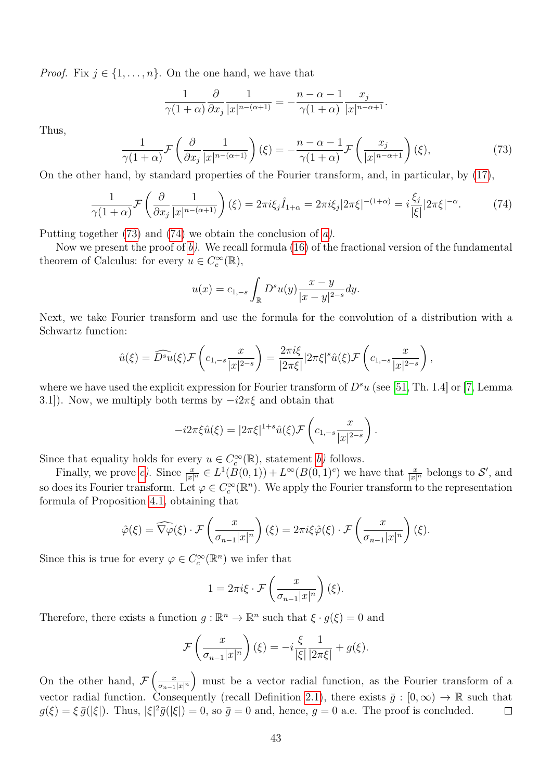*Proof.* Fix  $j \in \{1, \ldots, n\}$ . On the one hand, we have that

$$
\frac{1}{\gamma(1+\alpha)}\frac{\partial}{\partial x_j}\frac{1}{|x|^{n-(\alpha+1)}} = -\frac{n-\alpha-1}{\gamma(1+\alpha)}\frac{x_j}{|x|^{n-\alpha+1}}.
$$

Thus,

<span id="page-42-0"></span>
$$
\frac{1}{\gamma(1+\alpha)}\mathcal{F}\left(\frac{\partial}{\partial x_j}\frac{1}{|x|^{n-(\alpha+1)}}\right)(\xi) = -\frac{n-\alpha-1}{\gamma(1+\alpha)}\mathcal{F}\left(\frac{x_j}{|x|^{n-\alpha+1}}\right)(\xi),\tag{73}
$$

On the other hand, by standard properties of the Fourier transform, and, in particular, by [\(17\)](#page-15-1),

<span id="page-42-1"></span>
$$
\frac{1}{\gamma(1+\alpha)}\mathcal{F}\left(\frac{\partial}{\partial x_j}\frac{1}{|x|^{n-(\alpha+1)}}\right)(\xi) = 2\pi i\xi_j\hat{I}_{1+\alpha} = 2\pi i\xi_j|2\pi\xi|^{-(1+\alpha)} = i\frac{\xi_j}{|\xi|}|2\pi\xi|^{-\alpha}.\tag{74}
$$

Putting together  $(73)$  and  $(74)$  we obtain the conclusion of [a\)](#page-41-3).

Now we present the proof of  $b$ ). We recall formula [\(16\)](#page-15-2) of the fractional version of the fundamental theorem of Calculus: for every  $u \in C_c^{\infty}(\mathbb{R}),$ 

$$
u(x) = c_{1,-s} \int_{\mathbb{R}} D^s u(y) \frac{x-y}{|x-y|^{2-s}} dy.
$$

Next, we take Fourier transform and use the formula for the convolution of a distribution with a Schwartz function:

$$
\hat{u}(\xi) = \widehat{D^s u}(\xi) \mathcal{F}\left(c_{1,-s} \frac{x}{|x|^{2-s}}\right) = \frac{2\pi i \xi}{|2\pi \xi|} |2\pi \xi|^s \hat{u}(\xi) \mathcal{F}\left(c_{1,-s} \frac{x}{|x|^{2-s}}\right),
$$

where we have used the explicit expression for Fourier transform of  $D^s u$  (see [\[51,](#page-46-0) Th. 1.4] or [\[7,](#page-44-1) Lemma 3.1]). Now, we multiply both terms by  $-i2\pi\xi$  and obtain that

$$
-i2\pi\xi\hat{u}(\xi) = |2\pi\xi|^{1+s}\hat{u}(\xi)\mathcal{F}\left(c_{1,-s}\frac{x}{|x|^{2-s}}\right).
$$

Since that equality holds for every  $u \in C_c^{\infty}(\mathbb{R})$ , statement [b\)](#page-41-2) follows.

Finally, we prove [c\)](#page-41-1). Since  $\frac{x}{|x|^n} \in L^1(B(0,1)) + L^\infty(B(0,1)^c)$  we have that  $\frac{x}{|x|^n}$  belongs to S', and so does its Fourier transform. Let  $\varphi \in C_c^{\infty}(\mathbb{R}^n)$ . We apply the Fourier transform to the representation formula of Proposition [4.1,](#page-12-0) obtaining that

$$
\hat{\varphi}(\xi) = \widehat{\nabla \varphi}(\xi) \cdot \mathcal{F}\left(\frac{x}{\sigma_{n-1}|x|^n}\right)(\xi) = 2\pi i \xi \hat{\varphi}(\xi) \cdot \mathcal{F}\left(\frac{x}{\sigma_{n-1}|x|^n}\right)(\xi).
$$

Since this is true for every  $\varphi \in C_c^{\infty}(\mathbb{R}^n)$  we infer that

$$
1 = 2\pi i \xi \cdot \mathcal{F}\left(\frac{x}{\sigma_{n-1}|x|^n}\right)(\xi).
$$

Therefore, there exists a function  $g : \mathbb{R}^n \to \mathbb{R}^n$  such that  $\xi \cdot g(\xi) = 0$  and

$$
\mathcal{F}\left(\frac{x}{\sigma_{n-1}|x|^n}\right)(\xi) = -i\frac{\xi}{|\xi|}\frac{1}{|2\pi\xi|} + g(\xi).
$$

On the other hand,  $\mathcal{F}\left(\frac{x}{\sigma-1}\right)$  must be a vector radial function, as the Fourier transform of a  $\overline{\sigma_{n-1}|x|^n}$ vector radial function. Consequently (recall Definition [2.1\)](#page-5-1), there exists  $\bar{g} : [0, \infty) \to \mathbb{R}$  such that  $g(\xi) = \xi \bar{g}(|\xi|)$ . Thus,  $|\xi|^2 \bar{g}(|\xi|) = 0$ , so  $\bar{g} = 0$  and, hence,  $g = 0$  a.e. The proof is concluded.  $\Box$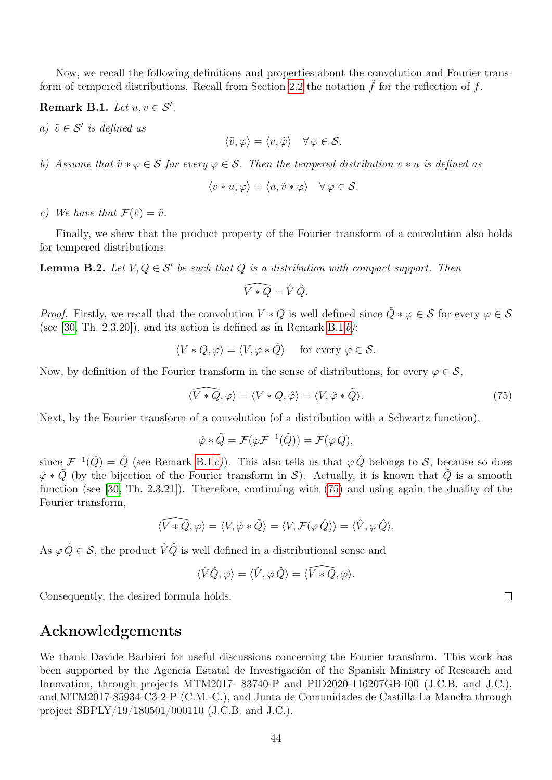Now, we recall the following definitions and properties about the convolution and Fourier trans-form of tempered distributions. Recall from Section [2.2](#page-5-2) the notation  $\tilde{f}$  for the reflection of f.

<span id="page-43-1"></span>Remark B.1. Let  $u, v \in S'$ .

a)  $\tilde{v} \in \mathcal{S}'$  is defined as

$$
\langle \tilde{v}, \varphi \rangle = \langle v, \tilde{\varphi} \rangle \quad \forall \, \varphi \in \mathcal{S}.
$$

<span id="page-43-2"></span>b) Assume that  $\tilde{v} * \varphi \in \mathcal{S}$  for every  $\varphi \in \mathcal{S}$ . Then the tempered distribution  $v * u$  is defined as

$$
\langle v * u, \varphi \rangle = \langle u, \tilde{v} * \varphi \rangle \quad \forall \varphi \in \mathcal{S}.
$$

<span id="page-43-3"></span>c) We have that  $\mathcal{F}(\hat{v}) = \tilde{v}$ .

Finally, we show that the product property of the Fourier transform of a convolution also holds for tempered distributions.

<span id="page-43-0"></span>**Lemma B.2.** Let  $V, Q \in S'$  be such that Q is a distribution with compact support. Then

$$
\widehat{V \ast Q} = \hat{V} \hat{Q}.
$$

*Proof.* Firstly, we recall that the convolution  $V * Q$  is well defined since  $\tilde{Q} * \varphi \in S$  for every  $\varphi \in S$ (see [\[30,](#page-45-12) Th. 2.3.20]), and its action is defined as in Remark [B.1](#page-43-1)  $b$ ):

$$
\langle V * Q, \varphi \rangle = \langle V, \varphi * \tilde{Q} \rangle \quad \text{for every } \varphi \in \mathcal{S}.
$$

Now, by definition of the Fourier transform in the sense of distributions, for every  $\varphi \in \mathcal{S}$ ,

<span id="page-43-4"></span>
$$
\langle \widehat{V \ast Q}, \varphi \rangle = \langle V \ast Q, \hat{\varphi} \rangle = \langle V, \hat{\varphi} \ast \tilde{Q} \rangle. \tag{75}
$$

Next, by the Fourier transform of a convolution (of a distribution with a Schwartz function),

$$
\hat{\varphi} * \tilde{Q} = \mathcal{F}(\varphi \mathcal{F}^{-1}(\tilde{Q})) = \mathcal{F}(\varphi \hat{Q}),
$$

since  $\mathcal{F}^{-1}(\tilde{Q}) = \hat{Q}$  (see Remark [B.1](#page-43-1) [c\)](#page-43-3)). This also tells us that  $\varphi \hat{Q}$  belongs to S, because so does  $\hat{\varphi} * \tilde{Q}$  (by the bijection of the Fourier transform in S). Actually, it is known that  $\hat{Q}$  is a smooth function (see [\[30,](#page-45-12) Th. 2.3.21]). Therefore, continuing with [\(75\)](#page-43-4) and using again the duality of the Fourier transform,

$$
\langle \widehat{V*Q}, \varphi \rangle = \langle V, \hat{\varphi} * \tilde{Q} \rangle = \langle V, \mathcal{F}(\varphi \, \hat{Q}) \rangle = \langle \hat{V}, \varphi \, \hat{Q} \rangle.
$$

As  $\varphi \, \hat{Q} \in \mathcal{S}$ , the product  $\hat{V} \hat{Q}$  is well defined in a distributional sense and

$$
\langle \hat{V} \hat{Q}, \varphi \rangle = \langle \hat{V}, \varphi \, \hat{Q} \rangle = \langle \widehat{V * Q}, \varphi \rangle.
$$

Consequently, the desired formula holds.

## Acknowledgements

We thank Davide Barbieri for useful discussions concerning the Fourier transform. This work has been supported by the Agencia Estatal de Investigación of the Spanish Ministry of Research and Innovation, through projects MTM2017- 83740-P and PID2020-116207GB-I00 (J.C.B. and J.C.), and MTM2017-85934-C3-2-P (C.M.-C.), and Junta de Comunidades de Castilla-La Mancha through project SBPLY/19/180501/000110 (J.C.B. and J.C.).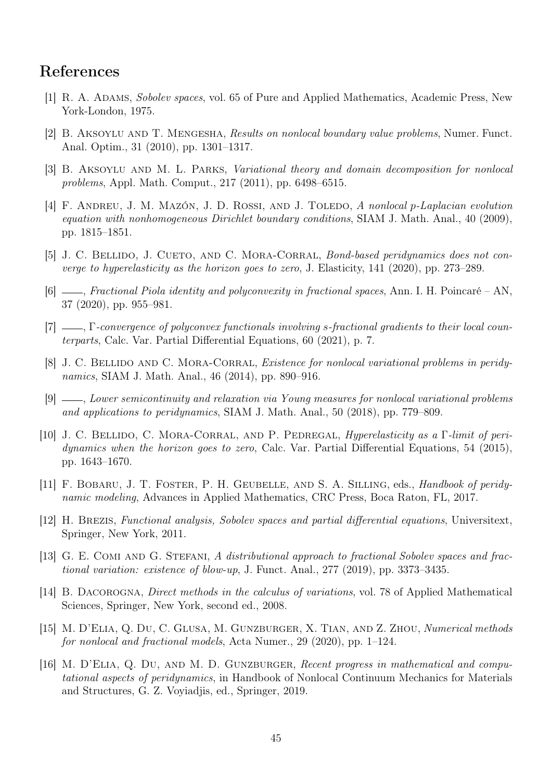## References

- <span id="page-44-3"></span>[1] R. A. Adams, Sobolev spaces, vol. 65 of Pure and Applied Mathematics, Academic Press, New York-London, 1975.
- <span id="page-44-11"></span>[2] B. Aksoylu and T. Mengesha, Results on nonlocal boundary value problems, Numer. Funct. Anal. Optim., 31 (2010), pp. 1301–1317.
- [3] B. AKSOYLU AND M. L. PARKS, *Variational theory and domain decomposition for nonlocal* problems, Appl. Math. Comput., 217 (2011), pp. 6498–6515.
- <span id="page-44-12"></span>[4] F. ANDREU, J. M. MAZÓN, J. D. ROSSI, AND J. TOLEDO, A nonlocal p-Laplacian evolution equation with nonhomogeneous Dirichlet boundary conditions, SIAM J. Math. Anal., 40 (2009), pp. 1815–1851.
- <span id="page-44-10"></span>[5] J. C. BELLIDO, J. CUETO, AND C. MORA-CORRAL, *Bond-based peridynamics does not con*verge to hyperelasticity as the horizon goes to zero, J. Elasticity, 141 (2020), pp. 273–289.
- <span id="page-44-0"></span>[6] , Fractional Piola identity and polyconvexity in fractional spaces, Ann. I. H. Poincaré – AN, 37 (2020), pp. 955–981.
- <span id="page-44-1"></span>[7]  $\ldots$ , Γ-convergence of polyconvex functionals involving s-fractional gradients to their local counterparts, Calc. Var. Partial Differential Equations, 60 (2021), p. 7.
- <span id="page-44-8"></span>[8] J. C. BELLIDO AND C. MORA-CORRAL, *Existence for nonlocal variational problems in peridy*namics, SIAM J. Math. Anal., 46 (2014), pp. 890–916.
- [9] , Lower semicontinuity and relaxation via Young measures for nonlocal variational problems and applications to peridynamics, SIAM J. Math. Anal., 50 (2018), pp. 779–809.
- <span id="page-44-9"></span>[10] J. C. BELLIDO, C. MORA-CORRAL, AND P. PEDREGAL, Hyperelasticity as a Γ-limit of peridynamics when the horizon goes to zero, Calc. Var. Partial Differential Equations, 54 (2015), pp. 1643–1670.
- <span id="page-44-5"></span>[11] F. BOBARU, J. T. FOSTER, P. H. GEUBELLE, AND S. A. SILLING, eds., *Handbook of peridy*namic modeling, Advances in Applied Mathematics, CRC Press, Boca Raton, FL, 2017.
- <span id="page-44-13"></span>[12] H. Brezis, Functional analysis, Sobolev spaces and partial differential equations, Universitext, Springer, New York, 2011.
- <span id="page-44-2"></span>[13] G. E. COMI AND G. STEFANI, A distributional approach to fractional Sobolev spaces and fractional variation: existence of blow-up, J. Funct. Anal., 277 (2019), pp. 3373–3435.
- <span id="page-44-4"></span>[14] B. DACOROGNA, *Direct methods in the calculus of variations*, vol. 78 of Applied Mathematical Sciences, Springer, New York, second ed., 2008.
- <span id="page-44-6"></span>[15] M. D'Elia, Q. Du, C. Glusa, M. Gunzburger, X. Tian, and Z. Zhou, Numerical methods for nonlocal and fractional models, Acta Numer., 29 (2020), pp. 1–124.
- <span id="page-44-7"></span>[16] M. D'ELIA, Q. DU, AND M. D. GUNZBURGER, Recent progress in mathematical and computational aspects of peridynamics, in Handbook of Nonlocal Continuum Mechanics for Materials and Structures, G. Z. Voyiadjis, ed., Springer, 2019.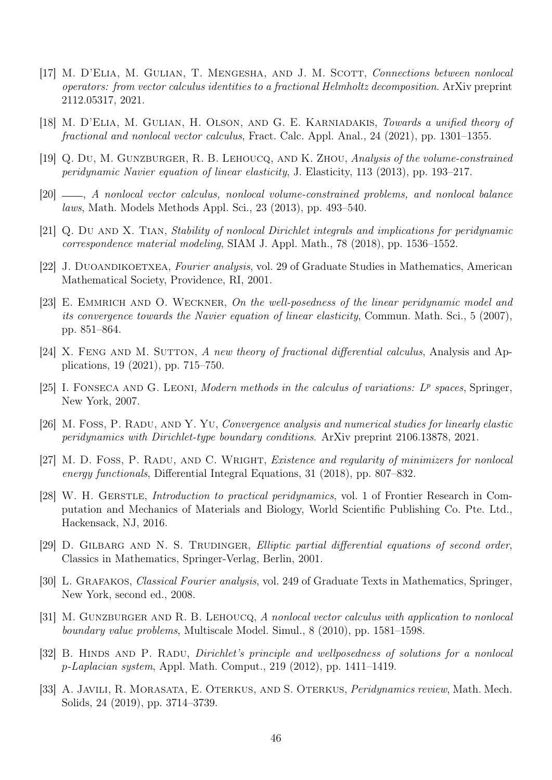- <span id="page-45-10"></span>[17] M. D'ELIA, M. GULIAN, T. MENGESHA, AND J. M. SCOTT, Connections between nonlocal operators: from vector calculus identities to a fractional Helmholtz decomposition. ArXiv preprint 2112.05317, 2021.
- <span id="page-45-7"></span>[18] M. D'ELIA, M. GULIAN, H. OLSON, AND G. E. KARNIADAKIS, Towards a unified theory of fractional and nonlocal vector calculus, Fract. Calc. Appl. Anal., 24 (2021), pp. 1301–1355.
- <span id="page-45-4"></span>[19] Q. Du, M. Gunzburger, R. B. Lehoucq, and K. Zhou, Analysis of the volume-constrained peridynamic Navier equation of linear elasticity, J. Elasticity, 113 (2013), pp. 193–217.
- <span id="page-45-8"></span>[20] , A nonlocal vector calculus, nonlocal volume-constrained problems, and nonlocal balance laws, Math. Models Methods Appl. Sci., 23 (2013), pp. 493–540.
- <span id="page-45-5"></span>[21] Q. DU AND X. TIAN, *Stability of nonlocal Dirichlet integrals and implications for peridynamic* correspondence material modeling, SIAM J. Appl. Math., 78 (2018), pp. 1536–1552.
- <span id="page-45-13"></span>[22] J. Duoandikoetxea, Fourier analysis, vol. 29 of Graduate Studies in Mathematics, American Mathematical Society, Providence, RI, 2001.
- <span id="page-45-6"></span>[23] E. EMMRICH AND O. WECKNER, On the well-posedness of the linear peridynamic model and its convergence towards the Navier equation of linear elasticity, Commun. Math. Sci., 5 (2007), pp. 851–864.
- <span id="page-45-11"></span>[24] X. FENG AND M. SUTTON, A new theory of fractional differential calculus, Analysis and Applications, 19 (2021), pp. 715–750.
- <span id="page-45-16"></span>[25] I. FONSECA AND G. LEONI, Modern methods in the calculus of variations:  $L^p$  spaces, Springer, New York, 2007.
- <span id="page-45-2"></span>[26] M. Foss, P. Radu, and Y. Yu, Convergence analysis and numerical studies for linearly elastic peridynamics with Dirichlet-type boundary conditions. ArXiv preprint 2106.13878, 2021.
- <span id="page-45-3"></span>[27] M. D. FOSS, P. RADU, AND C. WRIGHT, *Existence and regularity of minimizers for nonlocal* energy functionals, Differential Integral Equations, 31 (2018), pp. 807–832.
- <span id="page-45-1"></span>[28] W. H. GERSTLE, *Introduction to practical peridynamics*, vol. 1 of Frontier Research in Computation and Mechanics of Materials and Biology, World Scientific Publishing Co. Pte. Ltd., Hackensack, NJ, 2016.
- <span id="page-45-15"></span>[29] D. GILBARG AND N. S. TRUDINGER, Elliptic partial differential equations of second order, Classics in Mathematics, Springer-Verlag, Berlin, 2001.
- <span id="page-45-12"></span>[30] L. Grafakos, Classical Fourier analysis, vol. 249 of Graduate Texts in Mathematics, Springer, New York, second ed., 2008.
- <span id="page-45-9"></span>[31] M. GUNZBURGER AND R. B. LEHOUCQ, A nonlocal vector calculus with application to nonlocal boundary value problems, Multiscale Model. Simul., 8 (2010), pp. 1581–1598.
- <span id="page-45-14"></span>[32] B. HINDS AND P. RADU, *Dirichlet's principle and wellposedness of solutions for a nonlocal* p-Laplacian system, Appl. Math. Comput., 219 (2012), pp. 1411–1419.
- <span id="page-45-0"></span>[33] A. JAVILI, R. MORASATA, E. OTERKUS, AND S. OTERKUS, *Peridynamics review*, Math. Mech. Solids, 24 (2019), pp. 3714–3739.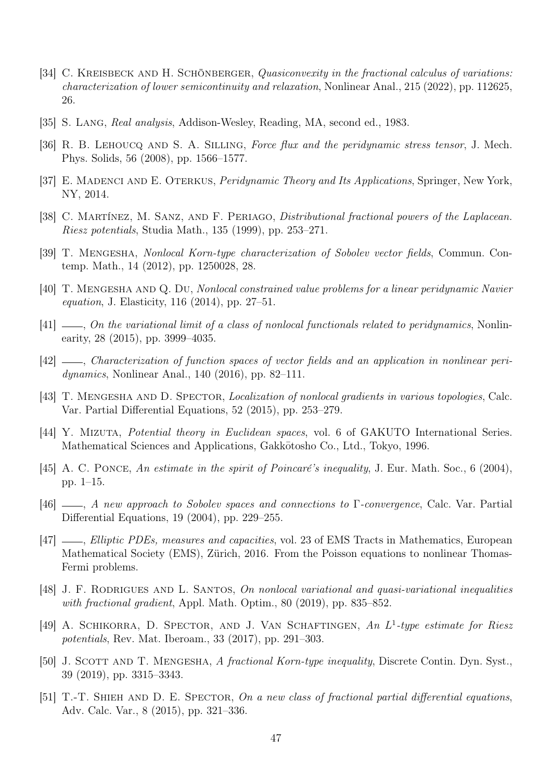- <span id="page-46-1"></span>[34] C. KREISBECK AND H. SCHÖNBERGER, Quasiconvexity in the fractional calculus of variations: characterization of lower semicontinuity and relaxation, Nonlinear Anal., 215 (2022), pp. 112625, 26.
- <span id="page-46-17"></span>[35] S. LANG, Real analysis, Addison-Wesley, Reading, MA, second ed., 1983.
- <span id="page-46-6"></span>[36] R. B. LEHOUCQ AND S. A. SILLING, Force flux and the peridynamic stress tensor, J. Mech. Phys. Solids, 56 (2008), pp. 1566–1577.
- <span id="page-46-7"></span>[37] E. MADENCI AND E. OTERKUS, *Peridynamic Theory and Its Applications*, Springer, New York, NY, 2014.
- <span id="page-46-15"></span>[38] C. MARTÍNEZ, M. SANZ, AND F. PERIAGO, *Distributional fractional powers of the Laplacean*. Riesz potentials, Studia Math., 135 (1999), pp. 253–271.
- <span id="page-46-10"></span>[39] T. Mengesha, Nonlocal Korn-type characterization of Sobolev vector fields, Commun. Contemp. Math., 14 (2012), pp. 1250028, 28.
- <span id="page-46-12"></span>[40] T. MENGESHA AND Q. DU, Nonlocal constrained value problems for a linear peridynamic Navier equation, J. Elasticity, 116 (2014), pp. 27–51.
- <span id="page-46-8"></span> $[41]$  , On the variational limit of a class of nonlocal functionals related to peridynamics, Nonlinearity, 28 (2015), pp. 3999–4035.
- <span id="page-46-11"></span>[42] —, Characterization of function spaces of vector fields and an application in nonlinear peridynamics, Nonlinear Anal., 140 (2016), pp. 82–111.
- <span id="page-46-9"></span>[43] T. MENGESHA AND D. SPECTOR, *Localization of nonlocal gradients in various topologies*, Calc. Var. Partial Differential Equations, 52 (2015), pp. 253–279.
- <span id="page-46-16"></span>[44] Y. MIZUTA, *Potential theory in Euclidean spaces*, vol. 6 of GAKUTO International Series. Mathematical Sciences and Applications, Gakkotosho Co., Ltd., Tokyo, 1996.
- <span id="page-46-4"></span>[45] A. C. PONCE, An estimate in the spirit of Poincaré's inequality, J. Eur. Math. Soc., 6 (2004), pp. 1–15.
- <span id="page-46-5"></span>[46]  $\longrightarrow$ , A new approach to Sobolev spaces and connections to Γ-convergence, Calc. Var. Partial Differential Equations, 19 (2004), pp. 229–255.
- <span id="page-46-14"></span>[47]  $\_\_\_\_\$ n, Elliptic PDEs, measures and capacities, vol. 23 of EMS Tracts in Mathematics, European Mathematical Society (EMS), Zürich, 2016. From the Poisson equations to nonlinear Thomas-Fermi problems.
- <span id="page-46-2"></span>[48] J. F. RODRIGUES AND L. SANTOS, On nonlocal variational and quasi-variational inequalities with fractional gradient, Appl. Math. Optim., 80 (2019), pp. 835–852.
- <span id="page-46-3"></span>[49] A. SCHIKORRA, D. SPECTOR, AND J. VAN SCHAFTINGEN, An L<sup>1</sup>-type estimate for Riesz potentials, Rev. Mat. Iberoam., 33 (2017), pp. 291–303.
- <span id="page-46-13"></span>[50] J. SCOTT AND T. MENGESHA, A fractional Korn-type inequality, Discrete Contin. Dyn. Syst., 39 (2019), pp. 3315–3343.
- <span id="page-46-0"></span>[51] T.-T. SHIEH AND D. E. SPECTOR, On a new class of fractional partial differential equations, Adv. Calc. Var., 8 (2015), pp. 321–336.